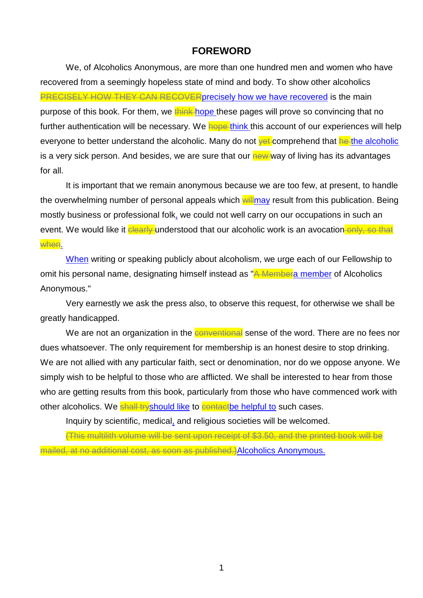## **FOREWORD**

We, of Alcoholics Anonymous, are more than one hundred men and women who have recovered from a seemingly hopeless state of mind and body. To show other alcoholics PRECISELY HOW THEY CAN RECOVER precisely how we have recovered is the main purpose of this book. For them, we think hope these pages will prove so convincing that no further authentication will be necessary. We hope think this account of our experiences will help everyone to better understand the alcoholic. Many do not vet comprehend that he the alcoholic is a very sick person. And besides, we are sure that our new way of living has its advantages for all.

It is important that we remain anonymous because we are too few, at present, to handle the overwhelming number of personal appeals which willmay result from this publication. Being mostly business or professional folk, we could not well carry on our occupations in such an event. We would like it clearly understood that our alcoholic work is an avocation only, so that when.

When writing or speaking publicly about alcoholism, we urge each of our Fellowship to omit his personal name, designating himself instead as "A Membera member of Alcoholics Anonymous."

Very earnestly we ask the press also, to observe this request, for otherwise we shall be greatly handicapped.

We are not an organization in the conventional sense of the word. There are no fees nor dues whatsoever. The only requirement for membership is an honest desire to stop drinking. We are not allied with any particular faith, sect or denomination, nor do we oppose anyone. We simply wish to be helpful to those who are afflicted. We shall be interested to hear from those who are getting results from this book, particularly from those who have commenced work with other alcoholics. We shall tryshould like to contact be helpful to such cases.

Inquiry by scientific, medical, and religious societies will be welcomed.

(This multilith volume will be sent upon receipt of \$3.50, and the printed book will be mailed, at no additional cost, as soon as published.)Alcoholics Anonymous.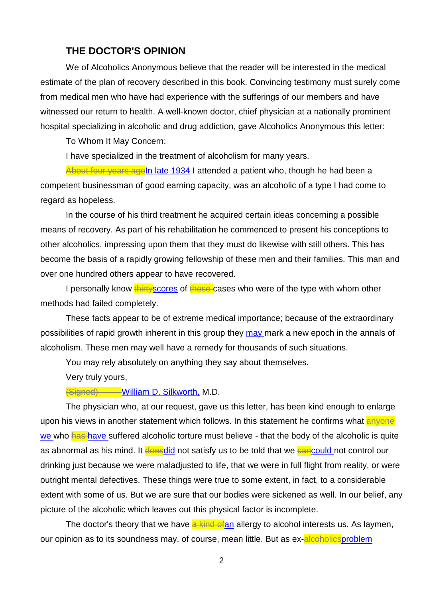## **THE DOCTOR'S OPINION**

We of Alcoholics Anonymous believe that the reader will be interested in the medical estimate of the plan of recovery described in this book. Convincing testimony must surely come from medical men who have had experience with the sufferings of our members and have witnessed our return to health. A well-known doctor, chief physician at a nationally prominent hospital specializing in alcoholic and drug addiction, gave Alcoholics Anonymous this letter:

To Whom It May Concern:

I have specialized in the treatment of alcoholism for many years.

About four years agoIn late 1934 I attended a patient who, though he had been a competent businessman of good earning capacity, was an alcoholic of a type I had come to regard as hopeless.

In the course of his third treatment he acquired certain ideas concerning a possible means of recovery. As part of his rehabilitation he commenced to present his conceptions to other alcoholics, impressing upon them that they must do likewise with still others. This has become the basis of a rapidly growing fellowship of these men and their families. This man and over one hundred others appear to have recovered.

I personally know thirty scores of these cases who were of the type with whom other methods had failed completely.

These facts appear to be of extreme medical importance; because of the extraordinary possibilities of rapid growth inherent in this group they may mark a new epoch in the annals of alcoholism. These men may well have a remedy for thousands of such situations.

You may rely absolutely on anything they say about themselves.

Very truly yours,

(Signed)- - - - -William D. Silkworth, M.D.

The physician who, at our request, gave us this letter, has been kind enough to enlarge upon his views in another statement which follows. In this statement he confirms what anyone we who has have suffered alcoholic torture must believe - that the body of the alcoholic is quite as abnormal as his mind. It doesdid not satisfy us to be told that we cancould not control our drinking just because we were maladjusted to life, that we were in full flight from reality, or were outright mental defectives. These things were true to some extent, in fact, to a considerable extent with some of us. But we are sure that our bodies were sickened as well. In our belief, any picture of the alcoholic which leaves out this physical factor is incomplete.

The doctor's theory that we have a kind of an allergy to alcohol interests us. As laymen, our opinion as to its soundness may, of course, mean little. But as ex-alcoholics problem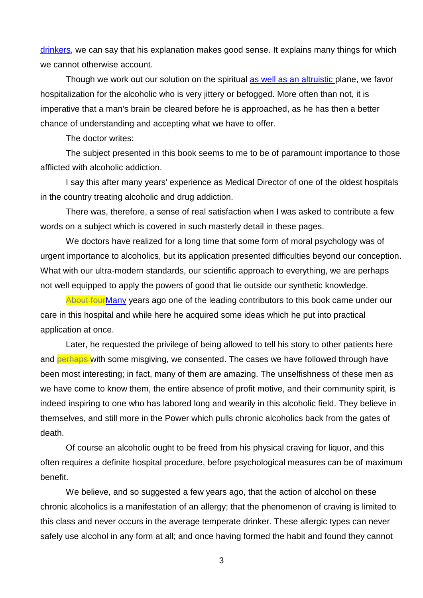drinkers, we can say that his explanation makes good sense. It explains many things for which we cannot otherwise account.

Though we work out our solution on the spiritual as well as an altruistic plane, we favor hospitalization for the alcoholic who is very jittery or befogged. More often than not, it is imperative that a man's brain be cleared before he is approached, as he has then a better chance of understanding and accepting what we have to offer.

The doctor writes:

The subject presented in this book seems to me to be of paramount importance to those afflicted with alcoholic addiction.

I say this after many years' experience as Medical Director of one of the oldest hospitals in the country treating alcoholic and drug addiction.

There was, therefore, a sense of real satisfaction when I was asked to contribute a few words on a subject which is covered in such masterly detail in these pages.

We doctors have realized for a long time that some form of moral psychology was of urgent importance to alcoholics, but its application presented difficulties beyond our conception. What with our ultra-modern standards, our scientific approach to everything, we are perhaps not well equipped to apply the powers of good that lie outside our synthetic knowledge.

About four Many years ago one of the leading contributors to this book came under our care in this hospital and while here he acquired some ideas which he put into practical application at once.

Later, he requested the privilege of being allowed to tell his story to other patients here and perhaps with some misgiving, we consented. The cases we have followed through have been most interesting; in fact, many of them are amazing. The unselfishness of these men as we have come to know them, the entire absence of profit motive, and their community spirit, is indeed inspiring to one who has labored long and wearily in this alcoholic field. They believe in themselves, and still more in the Power which pulls chronic alcoholics back from the gates of death.

Of course an alcoholic ought to be freed from his physical craving for liquor, and this often requires a definite hospital procedure, before psychological measures can be of maximum benefit.

We believe, and so suggested a few years ago, that the action of alcohol on these chronic alcoholics is a manifestation of an allergy; that the phenomenon of craving is limited to this class and never occurs in the average temperate drinker. These allergic types can never safely use alcohol in any form at all; and once having formed the habit and found they cannot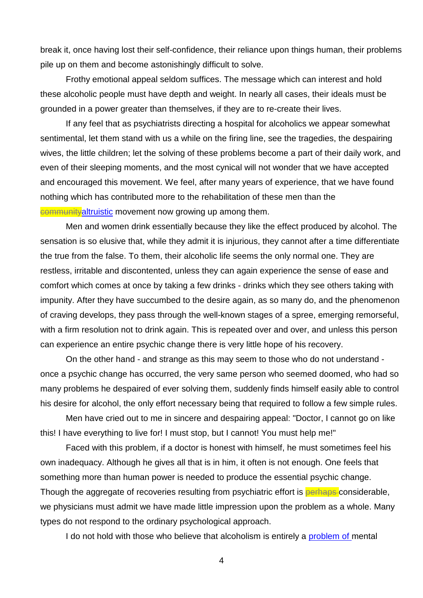break it, once having lost their self-confidence, their reliance upon things human, their problems pile up on them and become astonishingly difficult to solve.

Frothy emotional appeal seldom suffices. The message which can interest and hold these alcoholic people must have depth and weight. In nearly all cases, their ideals must be grounded in a power greater than themselves, if they are to re-create their lives.

If any feel that as psychiatrists directing a hospital for alcoholics we appear somewhat sentimental, let them stand with us a while on the firing line, see the tragedies, the despairing wives, the little children; let the solving of these problems become a part of their daily work, and even of their sleeping moments, and the most cynical will not wonder that we have accepted and encouraged this movement. We feel, after many years of experience, that we have found nothing which has contributed more to the rehabilitation of these men than the community altruistic movement now growing up among them.

Men and women drink essentially because they like the effect produced by alcohol. The sensation is so elusive that, while they admit it is injurious, they cannot after a time differentiate the true from the false. To them, their alcoholic life seems the only normal one. They are restless, irritable and discontented, unless they can again experience the sense of ease and comfort which comes at once by taking a few drinks - drinks which they see others taking with impunity. After they have succumbed to the desire again, as so many do, and the phenomenon of craving develops, they pass through the well-known stages of a spree, emerging remorseful, with a firm resolution not to drink again. This is repeated over and over, and unless this person can experience an entire psychic change there is very little hope of his recovery.

On the other hand - and strange as this may seem to those who do not understand once a psychic change has occurred, the very same person who seemed doomed, who had so many problems he despaired of ever solving them, suddenly finds himself easily able to control his desire for alcohol, the only effort necessary being that required to follow a few simple rules.

Men have cried out to me in sincere and despairing appeal: "Doctor, I cannot go on like this! I have everything to live for! I must stop, but I cannot! You must help me!"

Faced with this problem, if a doctor is honest with himself, he must sometimes feel his own inadequacy. Although he gives all that is in him, it often is not enough. One feels that something more than human power is needed to produce the essential psychic change. Though the aggregate of recoveries resulting from psychiatric effort is perhaps considerable, we physicians must admit we have made little impression upon the problem as a whole. Many types do not respond to the ordinary psychological approach.

I do not hold with those who believe that alcoholism is entirely a problem of mental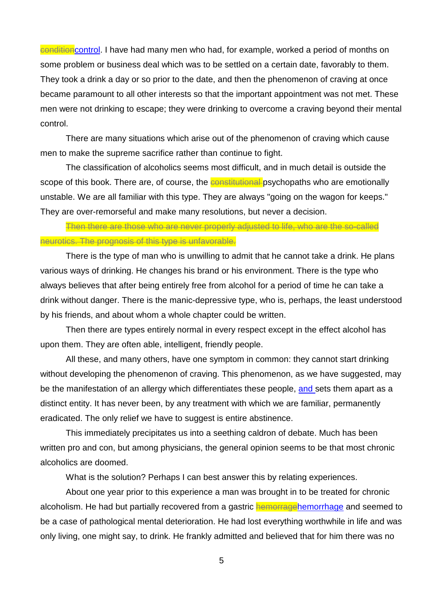condition control. I have had many men who had, for example, worked a period of months on some problem or business deal which was to be settled on a certain date, favorably to them. They took a drink a day or so prior to the date, and then the phenomenon of craving at once became paramount to all other interests so that the important appointment was not met. These men were not drinking to escape; they were drinking to overcome a craving beyond their mental control.

There are many situations which arise out of the phenomenon of craving which cause men to make the supreme sacrifice rather than continue to fight.

The classification of alcoholics seems most difficult, and in much detail is outside the scope of this book. There are, of course, the **constitutional** psychopaths who are emotionally unstable. We are all familiar with this type. They are always "going on the wagon for keeps." They are over-remorseful and make many resolutions, but never a decision.

Then there are those who are never properly adjusted to life, who are the so-called neurotics. The prognosis of this type is unfavorable.

There is the type of man who is unwilling to admit that he cannot take a drink. He plans various ways of drinking. He changes his brand or his environment. There is the type who always believes that after being entirely free from alcohol for a period of time he can take a drink without danger. There is the manic-depressive type, who is, perhaps, the least understood by his friends, and about whom a whole chapter could be written.

Then there are types entirely normal in every respect except in the effect alcohol has upon them. They are often able, intelligent, friendly people.

All these, and many others, have one symptom in common: they cannot start drinking without developing the phenomenon of craving. This phenomenon, as we have suggested, may be the manifestation of an allergy which differentiates these people, and sets them apart as a distinct entity. It has never been, by any treatment with which we are familiar, permanently eradicated. The only relief we have to suggest is entire abstinence.

This immediately precipitates us into a seething caldron of debate. Much has been written pro and con, but among physicians, the general opinion seems to be that most chronic alcoholics are doomed.

What is the solution? Perhaps I can best answer this by relating experiences.

About one year prior to this experience a man was brought in to be treated for chronic alcoholism. He had but partially recovered from a gastric **hemorrage** hemorrhage and seemed to be a case of pathological mental deterioration. He had lost everything worthwhile in life and was only living, one might say, to drink. He frankly admitted and believed that for him there was no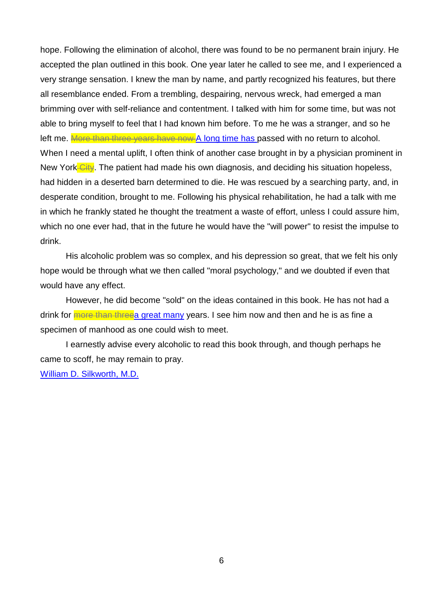hope. Following the elimination of alcohol, there was found to be no permanent brain injury. He accepted the plan outlined in this book. One year later he called to see me, and I experienced a very strange sensation. I knew the man by name, and partly recognized his features, but there all resemblance ended. From a trembling, despairing, nervous wreck, had emerged a man brimming over with self-reliance and contentment. I talked with him for some time, but was not able to bring myself to feel that I had known him before. To me he was a stranger, and so he left me. More than three years have now A long time has passed with no return to alcohol. When I need a mental uplift, I often think of another case brought in by a physician prominent in New York City. The patient had made his own diagnosis, and deciding his situation hopeless, had hidden in a deserted barn determined to die. He was rescued by a searching party, and, in desperate condition, brought to me. Following his physical rehabilitation, he had a talk with me in which he frankly stated he thought the treatment a waste of effort, unless I could assure him, which no one ever had, that in the future he would have the "will power" to resist the impulse to drink.

His alcoholic problem was so complex, and his depression so great, that we felt his only hope would be through what we then called "moral psychology," and we doubted if even that would have any effect.

However, he did become "sold" on the ideas contained in this book. He has not had a drink for more than threea great many years. I see him now and then and he is as fine a specimen of manhood as one could wish to meet.

I earnestly advise every alcoholic to read this book through, and though perhaps he came to scoff, he may remain to pray.

William D. Silkworth, M.D.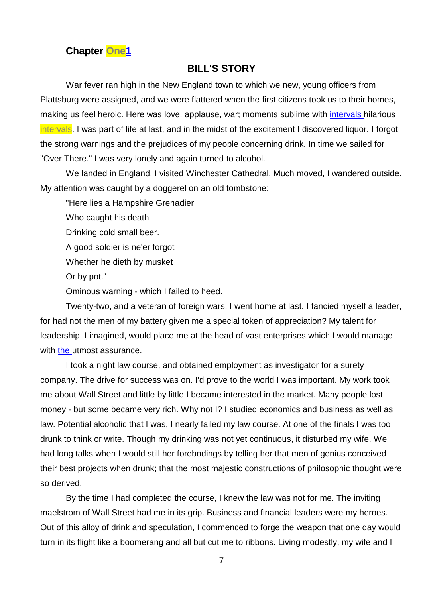## **Chapter One1**

## **BILL'S STORY**

War fever ran high in the New England town to which we new, young officers from Plattsburg were assigned, and we were flattered when the first citizens took us to their homes, making us feel heroic. Here was love, applause, war; moments sublime with intervals hilarious intervals. I was part of life at last, and in the midst of the excitement I discovered liquor. I forgot the strong warnings and the prejudices of my people concerning drink. In time we sailed for "Over There." I was very lonely and again turned to alcohol.

We landed in England. I visited Winchester Cathedral. Much moved, I wandered outside. My attention was caught by a doggerel on an old tombstone:

"Here lies a Hampshire Grenadier

Who caught his death

Drinking cold small beer.

A good soldier is ne'er forgot

Whether he dieth by musket

Or by pot."

Ominous warning - which I failed to heed.

Twenty-two, and a veteran of foreign wars, I went home at last. I fancied myself a leader, for had not the men of my battery given me a special token of appreciation? My talent for leadership, I imagined, would place me at the head of vast enterprises which I would manage with the utmost assurance.

I took a night law course, and obtained employment as investigator for a surety company. The drive for success was on. I'd prove to the world I was important. My work took me about Wall Street and little by little I became interested in the market. Many people lost money - but some became very rich. Why not I? I studied economics and business as well as law. Potential alcoholic that I was, I nearly failed my law course. At one of the finals I was too drunk to think or write. Though my drinking was not yet continuous, it disturbed my wife. We had long talks when I would still her forebodings by telling her that men of genius conceived their best projects when drunk; that the most majestic constructions of philosophic thought were so derived.

By the time I had completed the course, I knew the law was not for me. The inviting maelstrom of Wall Street had me in its grip. Business and financial leaders were my heroes. Out of this alloy of drink and speculation, I commenced to forge the weapon that one day would turn in its flight like a boomerang and all but cut me to ribbons. Living modestly, my wife and I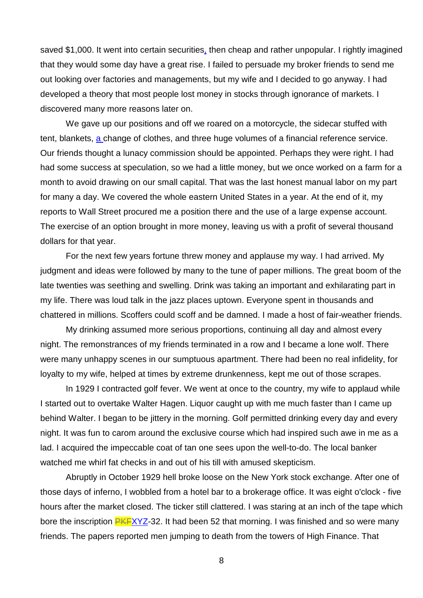saved \$1,000. It went into certain securities, then cheap and rather unpopular. I rightly imagined that they would some day have a great rise. I failed to persuade my broker friends to send me out looking over factories and managements, but my wife and I decided to go anyway. I had developed a theory that most people lost money in stocks through ignorance of markets. I discovered many more reasons later on.

We gave up our positions and off we roared on a motorcycle, the sidecar stuffed with tent, blankets, a change of clothes, and three huge volumes of a financial reference service. Our friends thought a lunacy commission should be appointed. Perhaps they were right. I had had some success at speculation, so we had a little money, but we once worked on a farm for a month to avoid drawing on our small capital. That was the last honest manual labor on my part for many a day. We covered the whole eastern United States in a year. At the end of it, my reports to Wall Street procured me a position there and the use of a large expense account. The exercise of an option brought in more money, leaving us with a profit of several thousand dollars for that year.

For the next few years fortune threw money and applause my way. I had arrived. My judgment and ideas were followed by many to the tune of paper millions. The great boom of the late twenties was seething and swelling. Drink was taking an important and exhilarating part in my life. There was loud talk in the jazz places uptown. Everyone spent in thousands and chattered in millions. Scoffers could scoff and be damned. I made a host of fair-weather friends.

My drinking assumed more serious proportions, continuing all day and almost every night. The remonstrances of my friends terminated in a row and I became a lone wolf. There were many unhappy scenes in our sumptuous apartment. There had been no real infidelity, for loyalty to my wife, helped at times by extreme drunkenness, kept me out of those scrapes.

In 1929 I contracted golf fever. We went at once to the country, my wife to applaud while I started out to overtake Walter Hagen. Liquor caught up with me much faster than I came up behind Walter. I began to be jittery in the morning. Golf permitted drinking every day and every night. It was fun to carom around the exclusive course which had inspired such awe in me as a lad. I acquired the impeccable coat of tan one sees upon the well-to-do. The local banker watched me whirl fat checks in and out of his till with amused skepticism.

Abruptly in October 1929 hell broke loose on the New York stock exchange. After one of those days of inferno, I wobbled from a hotel bar to a brokerage office. It was eight o'clock - five hours after the market closed. The ticker still clattered. I was staring at an inch of the tape which bore the inscription **PKFXYZ-32.** It had been 52 that morning. I was finished and so were many friends. The papers reported men jumping to death from the towers of High Finance. That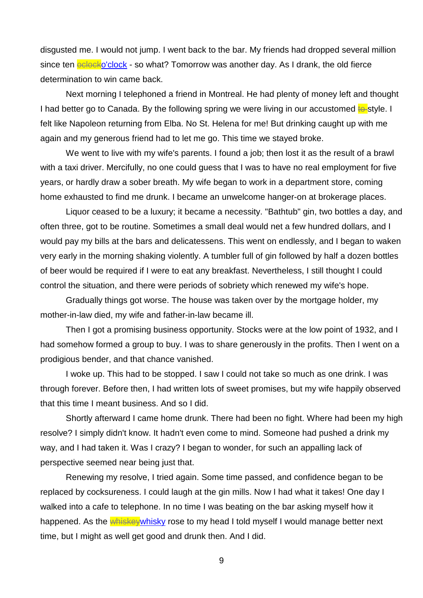disgusted me. I would not jump. I went back to the bar. My friends had dropped several million since ten **eclock**o'clock - so what? Tomorrow was another day. As I drank, the old fierce determination to win came back.

Next morning I telephoned a friend in Montreal. He had plenty of money left and thought I had better go to Canada. By the following spring we were living in our accustomed to style. I felt like Napoleon returning from Elba. No St. Helena for me! But drinking caught up with me again and my generous friend had to let me go. This time we stayed broke.

We went to live with my wife's parents. I found a job; then lost it as the result of a brawl with a taxi driver. Mercifully, no one could guess that I was to have no real employment for five years, or hardly draw a sober breath. My wife began to work in a department store, coming home exhausted to find me drunk. I became an unwelcome hanger-on at brokerage places.

Liquor ceased to be a luxury; it became a necessity. "Bathtub" gin, two bottles a day, and often three, got to be routine. Sometimes a small deal would net a few hundred dollars, and I would pay my bills at the bars and delicatessens. This went on endlessly, and I began to waken very early in the morning shaking violently. A tumbler full of gin followed by half a dozen bottles of beer would be required if I were to eat any breakfast. Nevertheless, I still thought I could control the situation, and there were periods of sobriety which renewed my wife's hope.

Gradually things got worse. The house was taken over by the mortgage holder, my mother-in-law died, my wife and father-in-law became ill.

Then I got a promising business opportunity. Stocks were at the low point of 1932, and I had somehow formed a group to buy. I was to share generously in the profits. Then I went on a prodigious bender, and that chance vanished.

I woke up. This had to be stopped. I saw I could not take so much as one drink. I was through forever. Before then, I had written lots of sweet promises, but my wife happily observed that this time I meant business. And so I did.

Shortly afterward I came home drunk. There had been no fight. Where had been my high resolve? I simply didn't know. It hadn't even come to mind. Someone had pushed a drink my way, and I had taken it. Was I crazy? I began to wonder, for such an appalling lack of perspective seemed near being just that.

Renewing my resolve, I tried again. Some time passed, and confidence began to be replaced by cocksureness. I could laugh at the gin mills. Now I had what it takes! One day I walked into a cafe to telephone. In no time I was beating on the bar asking myself how it happened. As the whiskeywhisky rose to my head I told myself I would manage better next time, but I might as well get good and drunk then. And I did.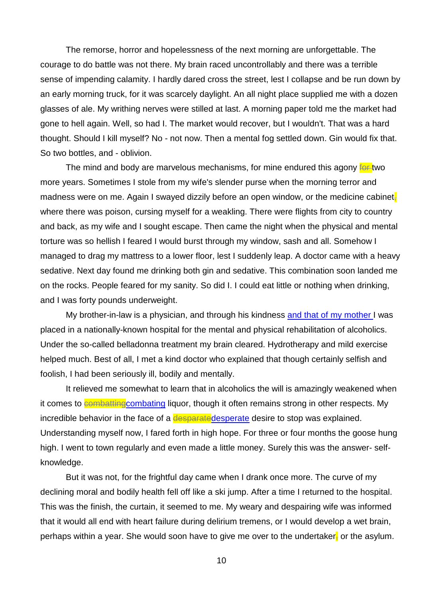The remorse, horror and hopelessness of the next morning are unforgettable. The courage to do battle was not there. My brain raced uncontrollably and there was a terrible sense of impending calamity. I hardly dared cross the street, lest I collapse and be run down by an early morning truck, for it was scarcely daylight. An all night place supplied me with a dozen glasses of ale. My writhing nerves were stilled at last. A morning paper told me the market had gone to hell again. Well, so had I. The market would recover, but I wouldn't. That was a hard thought. Should I kill myself? No - not now. Then a mental fog settled down. Gin would fix that. So two bottles, and - oblivion.

The mind and body are marvelous mechanisms, for mine endured this agony for two more years. Sometimes I stole from my wife's slender purse when the morning terror and madness were on me. Again I swayed dizzily before an open window, or the medicine cabinet, where there was poison, cursing myself for a weakling. There were flights from city to country and back, as my wife and I sought escape. Then came the night when the physical and mental torture was so hellish I feared I would burst through my window, sash and all. Somehow I managed to drag my mattress to a lower floor, lest I suddenly leap. A doctor came with a heavy sedative. Next day found me drinking both gin and sedative. This combination soon landed me on the rocks. People feared for my sanity. So did I. I could eat little or nothing when drinking, and I was forty pounds underweight.

My brother-in-law is a physician, and through his kindness and that of my mother I was placed in a nationally-known hospital for the mental and physical rehabilitation of alcoholics. Under the so-called belladonna treatment my brain cleared. Hydrotherapy and mild exercise helped much. Best of all, I met a kind doctor who explained that though certainly selfish and foolish, I had been seriously ill, bodily and mentally.

It relieved me somewhat to learn that in alcoholics the will is amazingly weakened when it comes to combatting combating liquor, though it often remains strong in other respects. My incredible behavior in the face of a desparatedesperate desire to stop was explained. Understanding myself now, I fared forth in high hope. For three or four months the goose hung high. I went to town regularly and even made a little money. Surely this was the answer- selfknowledge.

But it was not, for the frightful day came when I drank once more. The curve of my declining moral and bodily health fell off like a ski jump. After a time I returned to the hospital. This was the finish, the curtain, it seemed to me. My weary and despairing wife was informed that it would all end with heart failure during delirium tremens, or I would develop a wet brain, perhaps within a year. She would soon have to give me over to the undertaker, or the asylum.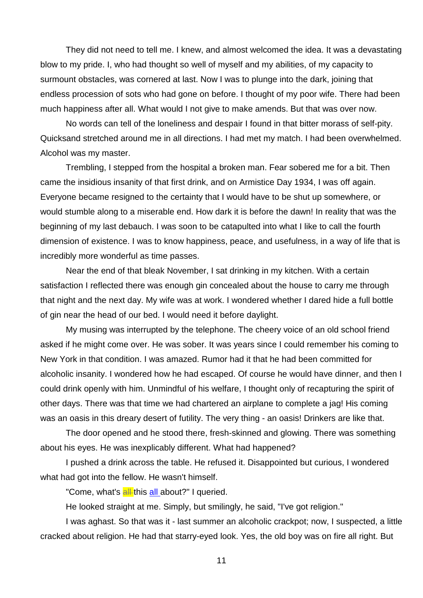They did not need to tell me. I knew, and almost welcomed the idea. It was a devastating blow to my pride. I, who had thought so well of myself and my abilities, of my capacity to surmount obstacles, was cornered at last. Now I was to plunge into the dark, joining that endless procession of sots who had gone on before. I thought of my poor wife. There had been much happiness after all. What would I not give to make amends. But that was over now.

No words can tell of the loneliness and despair I found in that bitter morass of self-pity. Quicksand stretched around me in all directions. I had met my match. I had been overwhelmed. Alcohol was my master.

Trembling, I stepped from the hospital a broken man. Fear sobered me for a bit. Then came the insidious insanity of that first drink, and on Armistice Day 1934, I was off again. Everyone became resigned to the certainty that I would have to be shut up somewhere, or would stumble along to a miserable end. How dark it is before the dawn! In reality that was the beginning of my last debauch. I was soon to be catapulted into what I like to call the fourth dimension of existence. I was to know happiness, peace, and usefulness, in a way of life that is incredibly more wonderful as time passes.

Near the end of that bleak November, I sat drinking in my kitchen. With a certain satisfaction I reflected there was enough gin concealed about the house to carry me through that night and the next day. My wife was at work. I wondered whether I dared hide a full bottle of gin near the head of our bed. I would need it before daylight.

My musing was interrupted by the telephone. The cheery voice of an old school friend asked if he might come over. He was sober. It was years since I could remember his coming to New York in that condition. I was amazed. Rumor had it that he had been committed for alcoholic insanity. I wondered how he had escaped. Of course he would have dinner, and then I could drink openly with him. Unmindful of his welfare, I thought only of recapturing the spirit of other days. There was that time we had chartered an airplane to complete a jag! His coming was an oasis in this dreary desert of futility. The very thing - an oasis! Drinkers are like that.

The door opened and he stood there, fresh-skinned and glowing. There was something about his eyes. He was inexplicably different. What had happened?

I pushed a drink across the table. He refused it. Disappointed but curious, I wondered what had got into the fellow. He wasn't himself.

"Come, what's all this all about?" I queried.

He looked straight at me. Simply, but smilingly, he said, "I've got religion."

I was aghast. So that was it - last summer an alcoholic crackpot; now, I suspected, a little cracked about religion. He had that starry-eyed look. Yes, the old boy was on fire all right. But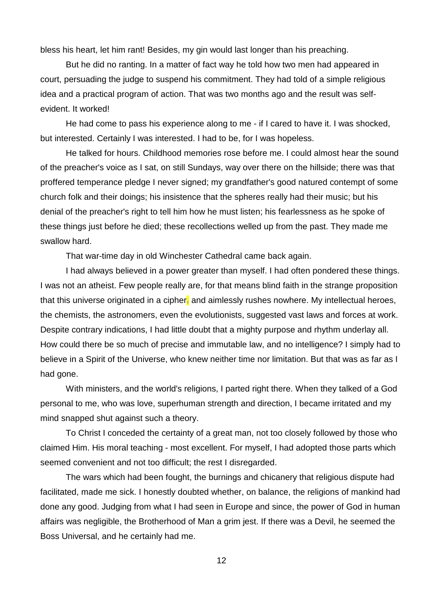bless his heart, let him rant! Besides, my gin would last longer than his preaching.

But he did no ranting. In a matter of fact way he told how two men had appeared in court, persuading the judge to suspend his commitment. They had told of a simple religious idea and a practical program of action. That was two months ago and the result was selfevident. It worked!

He had come to pass his experience along to me - if I cared to have it. I was shocked, but interested. Certainly I was interested. I had to be, for I was hopeless.

He talked for hours. Childhood memories rose before me. I could almost hear the sound of the preacher's voice as I sat, on still Sundays, way over there on the hillside; there was that proffered temperance pledge I never signed; my grandfather's good natured contempt of some church folk and their doings; his insistence that the spheres really had their music; but his denial of the preacher's right to tell him how he must listen; his fearlessness as he spoke of these things just before he died; these recollections welled up from the past. They made me swallow hard.

That war-time day in old Winchester Cathedral came back again.

I had always believed in a power greater than myself. I had often pondered these things. I was not an atheist. Few people really are, for that means blind faith in the strange proposition that this universe originated in a cipher, and aimlessly rushes nowhere. My intellectual heroes, the chemists, the astronomers, even the evolutionists, suggested vast laws and forces at work. Despite contrary indications, I had little doubt that a mighty purpose and rhythm underlay all. How could there be so much of precise and immutable law, and no intelligence? I simply had to believe in a Spirit of the Universe, who knew neither time nor limitation. But that was as far as I had gone.

With ministers, and the world's religions, I parted right there. When they talked of a God personal to me, who was love, superhuman strength and direction, I became irritated and my mind snapped shut against such a theory.

To Christ I conceded the certainty of a great man, not too closely followed by those who claimed Him. His moral teaching - most excellent. For myself, I had adopted those parts which seemed convenient and not too difficult; the rest I disregarded.

The wars which had been fought, the burnings and chicanery that religious dispute had facilitated, made me sick. I honestly doubted whether, on balance, the religions of mankind had done any good. Judging from what I had seen in Europe and since, the power of God in human affairs was negligible, the Brotherhood of Man a grim jest. If there was a Devil, he seemed the Boss Universal, and he certainly had me.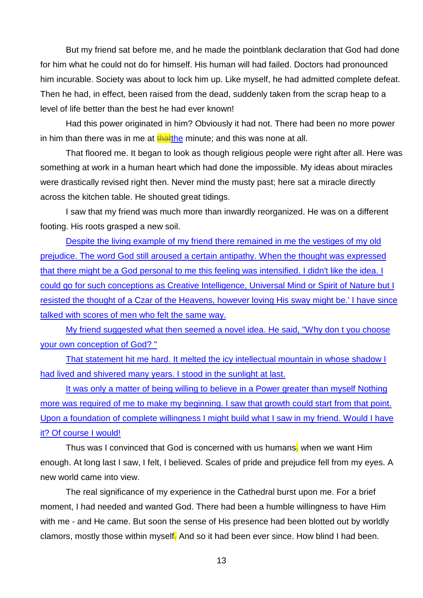But my friend sat before me, and he made the pointblank declaration that God had done for him what he could not do for himself. His human will had failed. Doctors had pronounced him incurable. Society was about to lock him up. Like myself, he had admitted complete defeat. Then he had, in effect, been raised from the dead, suddenly taken from the scrap heap to a level of life better than the best he had ever known!

Had this power originated in him? Obviously it had not. There had been no more power in him than there was in me at  $\frac{1}{2}$  that in mute; and this was none at all.

That floored me. It began to look as though religious people were right after all. Here was something at work in a human heart which had done the impossible. My ideas about miracles were drastically revised right then. Never mind the musty past; here sat a miracle directly across the kitchen table. He shouted great tidings.

I saw that my friend was much more than inwardly reorganized. He was on a different footing. His roots grasped a new soil.

Despite the living example of my friend there remained in me the vestiges of my old prejudice. The word God still aroused a certain antipathy. When the thought was expressed that there might be a God personal to me this feeling was intensified. I didn't like the idea. I could go for such conceptions as Creative Intelligence, Universal Mind or Spirit of Nature but I resisted the thought of a Czar of the Heavens, however loving His sway might be.' I have since talked with scores of men who felt the same way.

My friend suggested what then seemed a novel idea. He said, "Why don t you choose your own conception of God? "

That statement hit me hard. It melted the icy intellectual mountain in whose shadow I had lived and shivered many years. I stood in the sunlight at last.

It was only a matter of being willing to believe in a Power greater than myself Nothing more was required of me to make my beginning. I saw that growth could start from that point. Upon a foundation of complete willingness I might build what I saw in my friend. Would I have it? Of course I would!

Thus was I convinced that God is concerned with us humans, when we want Him enough. At long last I saw, I felt, I believed. Scales of pride and prejudice fell from my eyes. A new world came into view.

The real significance of my experience in the Cathedral burst upon me. For a brief moment, I had needed and wanted God. There had been a humble willingness to have Him with me - and He came. But soon the sense of His presence had been blotted out by worldly clamors, mostly those within myself. And so it had been ever since. How blind I had been.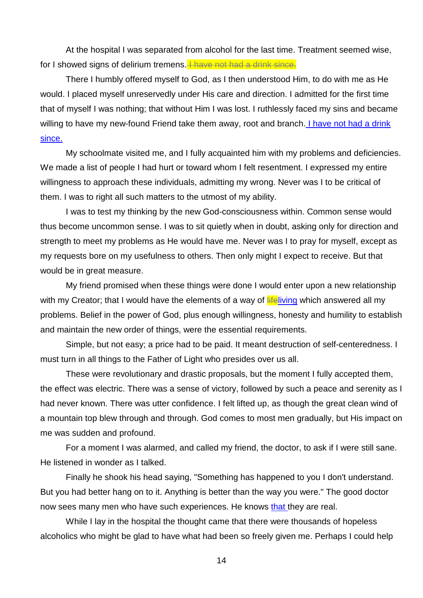At the hospital I was separated from alcohol for the last time. Treatment seemed wise, for I showed signs of delirium tremens. I have not had a drink since.

There I humbly offered myself to God, as I then understood Him, to do with me as He would. I placed myself unreservedly under His care and direction. I admitted for the first time that of myself I was nothing; that without Him I was lost. I ruthlessly faced my sins and became willing to have my new-found Friend take them away, root and branch. I have not had a drink since.

My schoolmate visited me, and I fully acquainted him with my problems and deficiencies. We made a list of people I had hurt or toward whom I felt resentment. I expressed my entire willingness to approach these individuals, admitting my wrong. Never was I to be critical of them. I was to right all such matters to the utmost of my ability.

I was to test my thinking by the new God-consciousness within. Common sense would thus become uncommon sense. I was to sit quietly when in doubt, asking only for direction and strength to meet my problems as He would have me. Never was I to pray for myself, except as my requests bore on my usefulness to others. Then only might I expect to receive. But that would be in great measure.

My friend promised when these things were done I would enter upon a new relationship with my Creator; that I would have the elements of a way of **lifeliving** which answered all my problems. Belief in the power of God, plus enough willingness, honesty and humility to establish and maintain the new order of things, were the essential requirements.

Simple, but not easy; a price had to be paid. It meant destruction of self-centeredness. I must turn in all things to the Father of Light who presides over us all.

These were revolutionary and drastic proposals, but the moment I fully accepted them, the effect was electric. There was a sense of victory, followed by such a peace and serenity as I had never known. There was utter confidence. I felt lifted up, as though the great clean wind of a mountain top blew through and through. God comes to most men gradually, but His impact on me was sudden and profound.

For a moment I was alarmed, and called my friend, the doctor, to ask if I were still sane. He listened in wonder as I talked.

Finally he shook his head saying, "Something has happened to you I don't understand. But you had better hang on to it. Anything is better than the way you were." The good doctor now sees many men who have such experiences. He knows that they are real.

While I lay in the hospital the thought came that there were thousands of hopeless alcoholics who might be glad to have what had been so freely given me. Perhaps I could help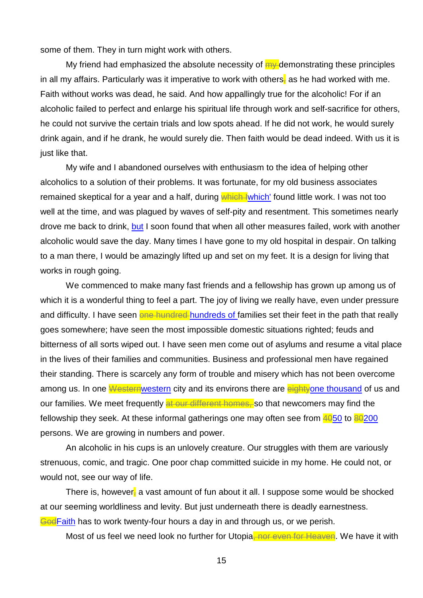some of them. They in turn might work with others.

My friend had emphasized the absolute necessity of **my** demonstrating these principles in all my affairs. Particularly was it imperative to work with others, as he had worked with me. Faith without works was dead, he said. And how appallingly true for the alcoholic! For if an alcoholic failed to perfect and enlarge his spiritual life through work and self-sacrifice for others, he could not survive the certain trials and low spots ahead. If he did not work, he would surely drink again, and if he drank, he would surely die. Then faith would be dead indeed. With us it is just like that.

My wife and I abandoned ourselves with enthusiasm to the idea of helping other alcoholics to a solution of their problems. It was fortunate, for my old business associates remained skeptical for a year and a half, during which Iwhich' found little work. I was not too well at the time, and was plagued by waves of self-pity and resentment. This sometimes nearly drove me back to drink, but I soon found that when all other measures failed, work with another alcoholic would save the day. Many times I have gone to my old hospital in despair. On talking to a man there, I would be amazingly lifted up and set on my feet. It is a design for living that works in rough going.

We commenced to make many fast friends and a fellowship has grown up among us of which it is a wonderful thing to feel a part. The joy of living we really have, even under pressure and difficulty. I have seen one hundred hundreds of families set their feet in the path that really goes somewhere; have seen the most impossible domestic situations righted; feuds and bitterness of all sorts wiped out. I have seen men come out of asylums and resume a vital place in the lives of their families and communities. Business and professional men have regained their standing. There is scarcely any form of trouble and misery which has not been overcome among us. In one Westernwestern city and its environs there are eightyone thousand of us and our families. We meet frequently at our different homes, so that newcomers may find the fellowship they seek. At these informal gatherings one may often see from 4050 to 80200 persons. We are growing in numbers and power.

An alcoholic in his cups is an unlovely creature. Our struggles with them are variously strenuous, comic, and tragic. One poor chap committed suicide in my home. He could not, or would not, see our way of life.

There is, however, a vast amount of fun about it all. I suppose some would be shocked at our seeming worldliness and levity. But just underneath there is deadly earnestness.

GodFaith has to work twenty-four hours a day in and through us, or we perish.

Most of us feel we need look no further for Utopia<del>, nor even for Heaven</del>. We have it with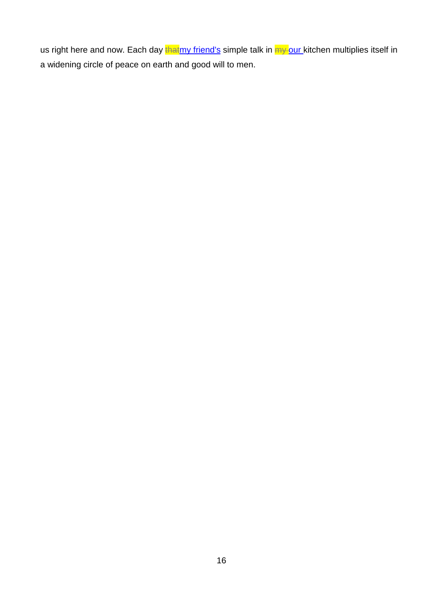us right here and now. Each day that my friend's simple talk in my our kitchen multiplies itself in a widening circle of peace on earth and good will to men.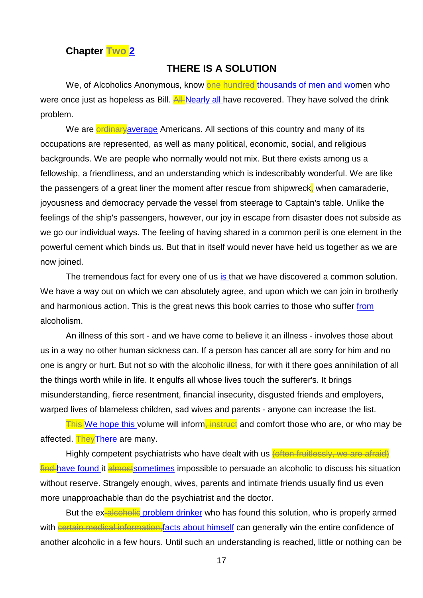# **Chapter Two 2**

## **THERE IS A SOLUTION**

We, of Alcoholics Anonymous, know **one hundred thousands of men and women who** were once just as hopeless as Bill. All Nearly all have recovered. They have solved the drink problem.

We are ordinary average Americans. All sections of this country and many of its occupations are represented, as well as many political, economic, social, and religious backgrounds. We are people who normally would not mix. But there exists among us a fellowship, a friendliness, and an understanding which is indescribably wonderful. We are like the passengers of a great liner the moment after rescue from shipwreck, when camaraderie, joyousness and democracy pervade the vessel from steerage to Captain's table. Unlike the feelings of the ship's passengers, however, our joy in escape from disaster does not subside as we go our individual ways. The feeling of having shared in a common peril is one element in the powerful cement which binds us. But that in itself would never have held us together as we are now joined.

The tremendous fact for every one of us is that we have discovered a common solution. We have a way out on which we can absolutely agree, and upon which we can join in brotherly and harmonious action. This is the great news this book carries to those who suffer from alcoholism.

An illness of this sort - and we have come to believe it an illness - involves those about us in a way no other human sickness can. If a person has cancer all are sorry for him and no one is angry or hurt. But not so with the alcoholic illness, for with it there goes annihilation of all the things worth while in life. It engulfs all whose lives touch the sufferer's. It brings misunderstanding, fierce resentment, financial insecurity, disgusted friends and employers, warped lives of blameless children, sad wives and parents - anyone can increase the list.

This We hope this volume will inform<del>, instruct</del> and comfort those who are, or who may be affected. **They**There are many.

Highly competent psychiatrists who have dealt with us **(often fruitlessly, we are afraid)** find have found it almost sometimes impossible to persuade an alcoholic to discuss his situation without reserve. Strangely enough, wives, parents and intimate friends usually find us even more unapproachable than do the psychiatrist and the doctor.

But the ex-alcoholic problem drinker who has found this solution, who is properly armed with certain medical information, facts about himself can generally win the entire confidence of another alcoholic in a few hours. Until such an understanding is reached, little or nothing can be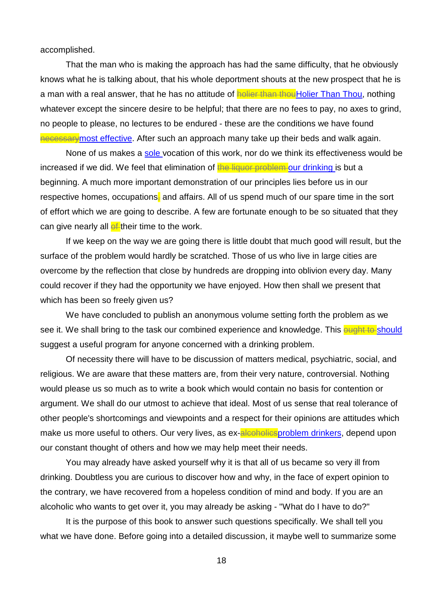accomplished.

That the man who is making the approach has had the same difficulty, that he obviously knows what he is talking about, that his whole deportment shouts at the new prospect that he is a man with a real answer, that he has no attitude of holier than thouHolier Than Thou, nothing whatever except the sincere desire to be helpful; that there are no fees to pay, no axes to grind, no people to please, no lectures to be endured - these are the conditions we have found necessary most effective. After such an approach many take up their beds and walk again.

None of us makes a sole vocation of this work, nor do we think its effectiveness would be increased if we did. We feel that elimination of the liquor problem our drinking is but a beginning. A much more important demonstration of our principles lies before us in our respective homes, occupations, and affairs. All of us spend much of our spare time in the sort of effort which we are going to describe. A few are fortunate enough to be so situated that they can give nearly all  $e^{\frac{f}{f}}$ their time to the work.

If we keep on the way we are going there is little doubt that much good will result, but the surface of the problem would hardly be scratched. Those of us who live in large cities are overcome by the reflection that close by hundreds are dropping into oblivion every day. Many could recover if they had the opportunity we have enjoyed. How then shall we present that which has been so freely given us?

We have concluded to publish an anonymous volume setting forth the problem as we see it. We shall bring to the task our combined experience and knowledge. This **ought to** should suggest a useful program for anyone concerned with a drinking problem.

Of necessity there will have to be discussion of matters medical, psychiatric, social, and religious. We are aware that these matters are, from their very nature, controversial. Nothing would please us so much as to write a book which would contain no basis for contention or argument. We shall do our utmost to achieve that ideal. Most of us sense that real tolerance of other people's shortcomings and viewpoints and a respect for their opinions are attitudes which make us more useful to others. Our very lives, as ex-alcoholics problem drinkers, depend upon our constant thought of others and how we may help meet their needs.

You may already have asked yourself why it is that all of us became so very ill from drinking. Doubtless you are curious to discover how and why, in the face of expert opinion to the contrary, we have recovered from a hopeless condition of mind and body. If you are an alcoholic who wants to get over it, you may already be asking - "What do I have to do?"

It is the purpose of this book to answer such questions specifically. We shall tell you what we have done. Before going into a detailed discussion, it maybe well to summarize some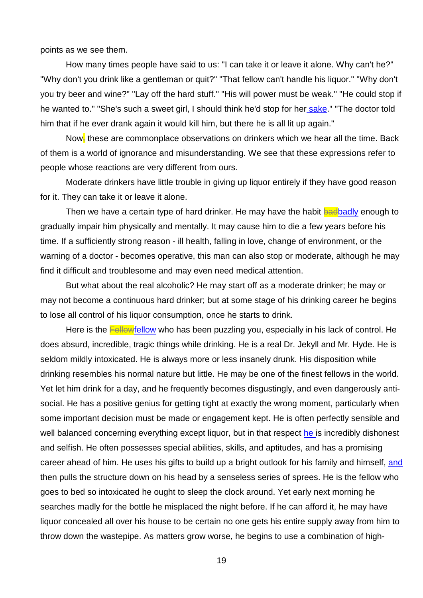points as we see them.

How many times people have said to us: "I can take it or leave it alone. Why can't he?" "Why don't you drink like a gentleman or quit?" "That fellow can't handle his liquor." "Why don't you try beer and wine?" "Lay off the hard stuff." "His will power must be weak." "He could stop if he wanted to." "She's such a sweet girl, I should think he'd stop for her sake." "The doctor told him that if he ever drank again it would kill him, but there he is all lit up again."

Now<sub>r</sub> these are commonplace observations on drinkers which we hear all the time. Back of them is a world of ignorance and misunderstanding. We see that these expressions refer to people whose reactions are very different from ours.

Moderate drinkers have little trouble in giving up liquor entirely if they have good reason for it. They can take it or leave it alone.

Then we have a certain type of hard drinker. He may have the habit **badbadly enough to** gradually impair him physically and mentally. It may cause him to die a few years before his time. If a sufficiently strong reason - ill health, falling in love, change of environment, or the warning of a doctor - becomes operative, this man can also stop or moderate, although he may find it difficult and troublesome and may even need medical attention.

But what about the real alcoholic? He may start off as a moderate drinker; he may or may not become a continuous hard drinker; but at some stage of his drinking career he begins to lose all control of his liquor consumption, once he starts to drink.

Here is the **Fellow** fellow who has been puzzling you, especially in his lack of control. He does absurd, incredible, tragic things while drinking. He is a real Dr. Jekyll and Mr. Hyde. He is seldom mildly intoxicated. He is always more or less insanely drunk. His disposition while drinking resembles his normal nature but little. He may be one of the finest fellows in the world. Yet let him drink for a day, and he frequently becomes disgustingly, and even dangerously antisocial. He has a positive genius for getting tight at exactly the wrong moment, particularly when some important decision must be made or engagement kept. He is often perfectly sensible and well balanced concerning everything except liquor, but in that respect he is incredibly dishonest and selfish. He often possesses special abilities, skills, and aptitudes, and has a promising career ahead of him. He uses his gifts to build up a bright outlook for his family and himself, and then pulls the structure down on his head by a senseless series of sprees. He is the fellow who goes to bed so intoxicated he ought to sleep the clock around. Yet early next morning he searches madly for the bottle he misplaced the night before. If he can afford it, he may have liquor concealed all over his house to be certain no one gets his entire supply away from him to throw down the wastepipe. As matters grow worse, he begins to use a combination of high-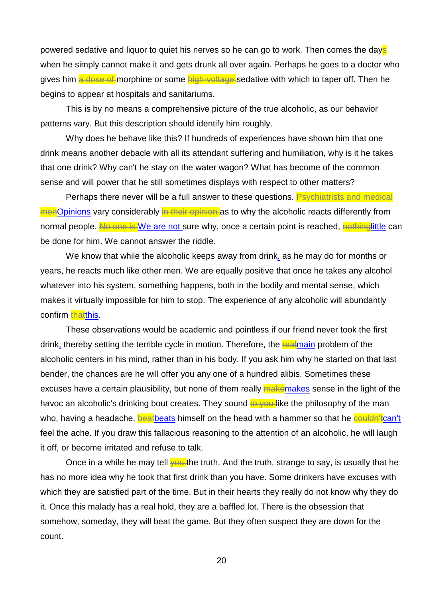powered sedative and liquor to quiet his nerves so he can go to work. Then comes the days when he simply cannot make it and gets drunk all over again. Perhaps he goes to a doctor who gives him a dose of morphine or some high-voltage sedative with which to taper off. Then he begins to appear at hospitals and sanitariums.

This is by no means a comprehensive picture of the true alcoholic, as our behavior patterns vary. But this description should identify him roughly.

Why does he behave like this? If hundreds of experiences have shown him that one drink means another debacle with all its attendant suffering and humiliation, why is it he takes that one drink? Why can't he stay on the water wagon? What has become of the common sense and will power that he still sometimes displays with respect to other matters?

Perhaps there never will be a full answer to these questions. Psychiatrists and medical menOpinions vary considerably in their opinion as to why the alcoholic reacts differently from normal people. No one is We are not sure why, once a certain point is reached, nothing little can be done for him. We cannot answer the riddle.

We know that while the alcoholic keeps away from drink, as he may do for months or years, he reacts much like other men. We are equally positive that once he takes any alcohol whatever into his system, something happens, both in the bodily and mental sense, which makes it virtually impossible for him to stop. The experience of any alcoholic will abundantly confirm thatthis.

These observations would be academic and pointless if our friend never took the first drink, thereby setting the terrible cycle in motion. Therefore, the realmain problem of the alcoholic centers in his mind, rather than in his body. If you ask him why he started on that last bender, the chances are he will offer you any one of a hundred alibis. Sometimes these excuses have a certain plausibility, but none of them really makemakes sense in the light of the havoc an alcoholic's drinking bout creates. They sound to you like the philosophy of the man who, having a headache, **beat beats** himself on the head with a hammer so that he **couldn't**can't feel the ache. If you draw this fallacious reasoning to the attention of an alcoholic, he will laugh it off, or become irritated and refuse to talk.

Once in a while he may tell you the truth. And the truth, strange to say, is usually that he has no more idea why he took that first drink than you have. Some drinkers have excuses with which they are satisfied part of the time. But in their hearts they really do not know why they do it. Once this malady has a real hold, they are a baffled lot. There is the obsession that somehow, someday, they will beat the game. But they often suspect they are down for the count.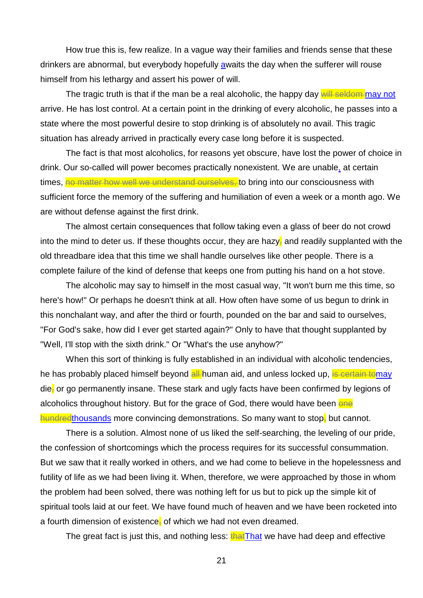How true this is, few realize. In a vague way their families and friends sense that these drinkers are abnormal, but everybody hopefully awaits the day when the sufferer will rouse himself from his lethargy and assert his power of will.

The tragic truth is that if the man be a real alcoholic, the happy day will seldom may not arrive. He has lost control. At a certain point in the drinking of every alcoholic, he passes into a state where the most powerful desire to stop drinking is of absolutely no avail. This tragic situation has already arrived in practically every case long before it is suspected.

The fact is that most alcoholics, for reasons yet obscure, have lost the power of choice in drink. Our so-called will power becomes practically nonexistent. We are unable, at certain times, no matter how well we understand ourselves, to bring into our consciousness with sufficient force the memory of the suffering and humiliation of even a week or a month ago. We are without defense against the first drink.

The almost certain consequences that follow taking even a glass of beer do not crowd into the mind to deter us. If these thoughts occur, they are hazy, and readily supplanted with the old threadbare idea that this time we shall handle ourselves like other people. There is a complete failure of the kind of defense that keeps one from putting his hand on a hot stove.

The alcoholic may say to himself in the most casual way, "It won't burn me this time, so here's how!" Or perhaps he doesn't think at all. How often have some of us begun to drink in this nonchalant way, and after the third or fourth, pounded on the bar and said to ourselves, "For God's sake, how did I ever get started again?" Only to have that thought supplanted by "Well, I'll stop with the sixth drink." Or "What's the use anyhow?"

When this sort of thinking is fully established in an individual with alcoholic tendencies, he has probably placed himself beyond all human aid, and unless locked up, is certain tomay die, or go permanently insane. These stark and ugly facts have been confirmed by legions of alcoholics throughout history. But for the grace of God, there would have been one hundred thousands more convincing demonstrations. So many want to stop, but cannot.

There is a solution. Almost none of us liked the self-searching, the leveling of our pride, the confession of shortcomings which the process requires for its successful consummation. But we saw that it really worked in others, and we had come to believe in the hopelessness and futility of life as we had been living it. When, therefore, we were approached by those in whom the problem had been solved, there was nothing left for us but to pick up the simple kit of spiritual tools laid at our feet. We have found much of heaven and we have been rocketed into a fourth dimension of existence, of which we had not even dreamed.

The great fact is just this, and nothing less: **that That** we have had deep and effective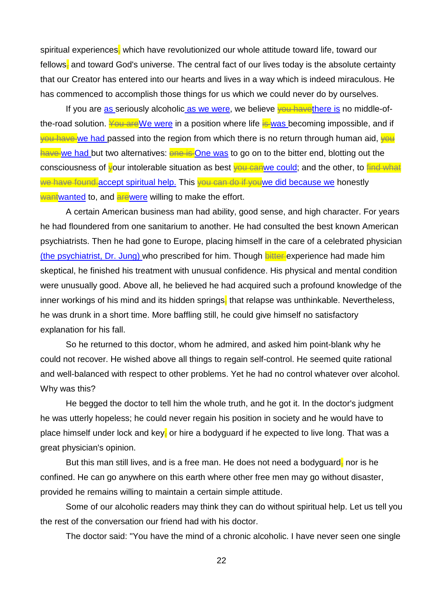spiritual experiences, which have revolutionized our whole attitude toward life, toward our fellows, and toward God's universe. The central fact of our lives today is the absolute certainty that our Creator has entered into our hearts and lives in a way which is indeed miraculous. He has commenced to accomplish those things for us which we could never do by ourselves.

If you are as seriously alcoholic as we were, we believe you have there is no middle-ofthe-road solution. You are We were in a position where life is was becoming impossible, and if you have we had passed into the region from which there is no return through human aid, you have we had but two alternatives: **one is** One was to go on to the bitter end, blotting out the consciousness of your intolerable situation as best vou can we could; and the other, to find what we have found accept spiritual help. This you can do if you'we did because we honestly wantwanted to, and arewere willing to make the effort.

A certain American business man had ability, good sense, and high character. For years he had floundered from one sanitarium to another. He had consulted the best known American psychiatrists. Then he had gone to Europe, placing himself in the care of a celebrated physician (the psychiatrist, Dr. Jung) who prescribed for him. Though **bitter** experience had made him skeptical, he finished his treatment with unusual confidence. His physical and mental condition were unusually good. Above all, he believed he had acquired such a profound knowledge of the inner workings of his mind and its hidden springs, that relapse was unthinkable. Nevertheless, he was drunk in a short time. More baffling still, he could give himself no satisfactory explanation for his fall.

So he returned to this doctor, whom he admired, and asked him point-blank why he could not recover. He wished above all things to regain self-control. He seemed quite rational and well-balanced with respect to other problems. Yet he had no control whatever over alcohol. Why was this?

He begged the doctor to tell him the whole truth, and he got it. In the doctor's judgment he was utterly hopeless; he could never regain his position in society and he would have to place himself under lock and key, or hire a bodyguard if he expected to live long. That was a great physician's opinion.

But this man still lives, and is a free man. He does not need a bodyguard, nor is he confined. He can go anywhere on this earth where other free men may go without disaster, provided he remains willing to maintain a certain simple attitude.

Some of our alcoholic readers may think they can do without spiritual help. Let us tell you the rest of the conversation our friend had with his doctor.

The doctor said: "You have the mind of a chronic alcoholic. I have never seen one single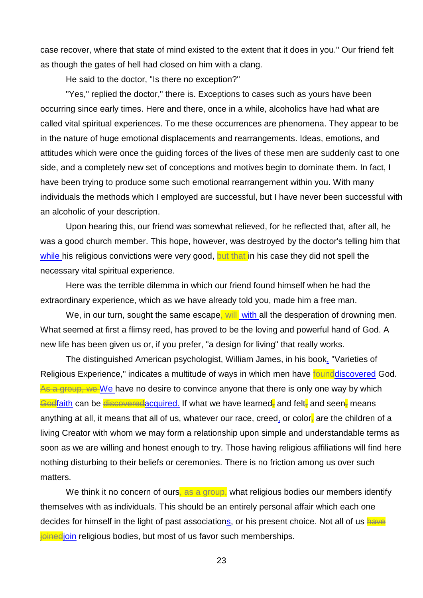case recover, where that state of mind existed to the extent that it does in you." Our friend felt as though the gates of hell had closed on him with a clang.

He said to the doctor, "Is there no exception?"

"Yes," replied the doctor," there is. Exceptions to cases such as yours have been occurring since early times. Here and there, once in a while, alcoholics have had what are called vital spiritual experiences. To me these occurrences are phenomena. They appear to be in the nature of huge emotional displacements and rearrangements. Ideas, emotions, and attitudes which were once the guiding forces of the lives of these men are suddenly cast to one side, and a completely new set of conceptions and motives begin to dominate them. In fact, I have been trying to produce some such emotional rearrangement within you. With many individuals the methods which I employed are successful, but I have never been successful with an alcoholic of your description.

Upon hearing this, our friend was somewhat relieved, for he reflected that, after all, he was a good church member. This hope, however, was destroyed by the doctor's telling him that while his religious convictions were very good, but that in his case they did not spell the necessary vital spiritual experience.

Here was the terrible dilemma in which our friend found himself when he had the extraordinary experience, which as we have already told you, made him a free man.

We, in our turn, sought the same escape, will with all the desperation of drowning men. What seemed at first a flimsy reed, has proved to be the loving and powerful hand of God. A new life has been given us or, if you prefer, "a design for living" that really works.

The distinguished American psychologist, William James, in his book, "Varieties of Religious Experience," indicates a multitude of ways in which men have **found** discovered God. As a group, we We have no desire to convince anyone that there is only one way by which Godfaith can be discoveredacquired. If what we have learned, and felt, and seen, means anything at all, it means that all of us, whatever our race, creed, or color- are the children of a living Creator with whom we may form a relationship upon simple and understandable terms as soon as we are willing and honest enough to try. Those having religious affiliations will find here nothing disturbing to their beliefs or ceremonies. There is no friction among us over such matters.

We think it no concern of ours as a group, what religious bodies our members identify themselves with as individuals. This should be an entirely personal affair which each one decides for himself in the light of past associations, or his present choice. Not all of us have joinedjoin religious bodies, but most of us favor such memberships.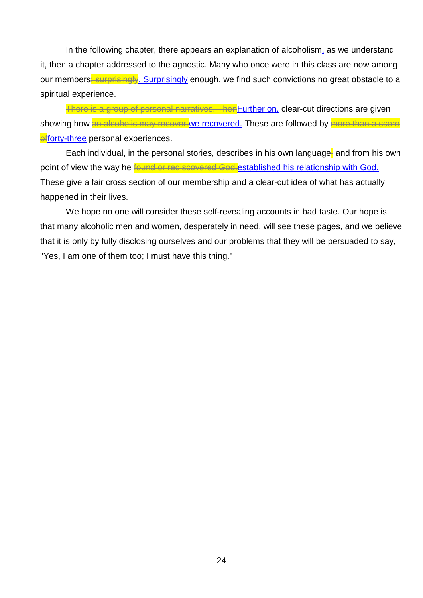In the following chapter, there appears an explanation of alcoholism, as we understand it, then a chapter addressed to the agnostic. Many who once were in this class are now among our members; surprisingly. Surprisingly enough, we find such convictions no great obstacle to a spiritual experience.

There is a group of personal narratives. Then Further on, clear-cut directions are given showing how an alcoholic may recover, we recovered. These are followed by more than a score **offorty-three personal experiences.** 

Each individual, in the personal stories, describes in his own language, and from his own point of view the way he found or rediscovered God. established his relationship with God. These give a fair cross section of our membership and a clear-cut idea of what has actually happened in their lives.

We hope no one will consider these self-revealing accounts in bad taste. Our hope is that many alcoholic men and women, desperately in need, will see these pages, and we believe that it is only by fully disclosing ourselves and our problems that they will be persuaded to say, "Yes, I am one of them too; I must have this thing."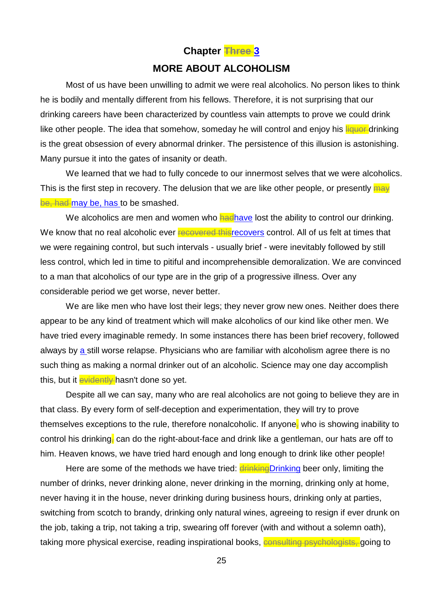#### **Chapter Three 3**

#### **MORE ABOUT ALCOHOLISM**

Most of us have been unwilling to admit we were real alcoholics. No person likes to think he is bodily and mentally different from his fellows. Therefore, it is not surprising that our drinking careers have been characterized by countless vain attempts to prove we could drink like other people. The idea that somehow, someday he will control and enjoy his liquor drinking is the great obsession of every abnormal drinker. The persistence of this illusion is astonishing. Many pursue it into the gates of insanity or death.

We learned that we had to fully concede to our innermost selves that we were alcoholics. This is the first step in recovery. The delusion that we are like other people, or presently may be, had may be, has to be smashed.

We alcoholics are men and women who hadhave lost the ability to control our drinking. We know that no real alcoholic ever **recovered this recovers control.** All of us felt at times that we were regaining control, but such intervals - usually brief - were inevitably followed by still less control, which led in time to pitiful and incomprehensible demoralization. We are convinced to a man that alcoholics of our type are in the grip of a progressive illness. Over any considerable period we get worse, never better.

We are like men who have lost their legs; they never grow new ones. Neither does there appear to be any kind of treatment which will make alcoholics of our kind like other men. We have tried every imaginable remedy. In some instances there has been brief recovery, followed always by a still worse relapse. Physicians who are familiar with alcoholism agree there is no such thing as making a normal drinker out of an alcoholic. Science may one day accomplish this, but it evidently hasn't done so yet.

Despite all we can say, many who are real alcoholics are not going to believe they are in that class. By every form of self-deception and experimentation, they will try to prove themselves exceptions to the rule, therefore nonalcoholic. If anyone, who is showing inability to control his drinking, can do the right-about-face and drink like a gentleman, our hats are off to him. Heaven knows, we have tried hard enough and long enough to drink like other people!

Here are some of the methods we have tried: **drinkingDrinking** beer only, limiting the number of drinks, never drinking alone, never drinking in the morning, drinking only at home, never having it in the house, never drinking during business hours, drinking only at parties, switching from scotch to brandy, drinking only natural wines, agreeing to resign if ever drunk on the job, taking a trip, not taking a trip, swearing off forever (with and without a solemn oath), taking more physical exercise, reading inspirational books, **consulting psychologists,** going to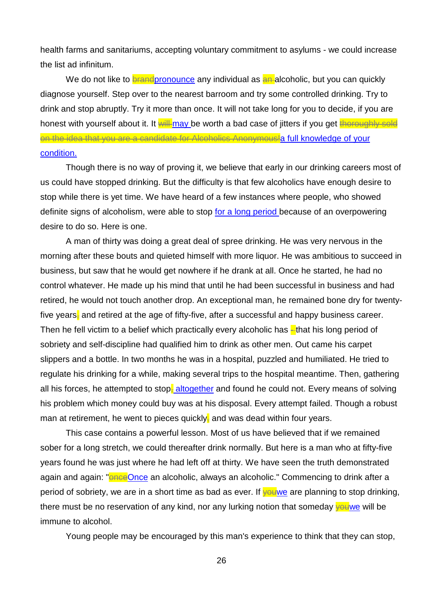health farms and sanitariums, accepting voluntary commitment to asylums - we could increase the list ad infinitum.

We do not like to **brandpronounce** any individual as **an alcoholic**, but you can quickly diagnose yourself. Step over to the nearest barroom and try some controlled drinking. Try to drink and stop abruptly. Try it more than once. It will not take long for you to decide, if you are honest with yourself about it. It will may be worth a bad case of jitters if you get thoroughly sold on the idea that you are a candidate for Alcoholics Anonymous!a full knowledge of your condition.

Though there is no way of proving it, we believe that early in our drinking careers most of us could have stopped drinking. But the difficulty is that few alcoholics have enough desire to stop while there is yet time. We have heard of a few instances where people, who showed definite signs of alcoholism, were able to stop for a long period because of an overpowering desire to do so. Here is one.

A man of thirty was doing a great deal of spree drinking. He was very nervous in the morning after these bouts and quieted himself with more liquor. He was ambitious to succeed in business, but saw that he would get nowhere if he drank at all. Once he started, he had no control whatever. He made up his mind that until he had been successful in business and had retired, he would not touch another drop. An exceptional man, he remained bone dry for twentyfive years, and retired at the age of fifty-five, after a successful and happy business career. Then he fell victim to a belief which practically every alcoholic has  $-$ that his long period of sobriety and self-discipline had qualified him to drink as other men. Out came his carpet slippers and a bottle. In two months he was in a hospital, puzzled and humiliated. He tried to regulate his drinking for a while, making several trips to the hospital meantime. Then, gathering all his forces, he attempted to stop-altogether and found he could not. Every means of solving his problem which money could buy was at his disposal. Every attempt failed. Though a robust man at retirement, he went to pieces quickly, and was dead within four years.

This case contains a powerful lesson. Most of us have believed that if we remained sober for a long stretch, we could thereafter drink normally. But here is a man who at fifty-five years found he was just where he had left off at thirty. We have seen the truth demonstrated again and again: "**onceOnce an alcoholic, always an alcoholic."** Commencing to drink after a period of sobriety, we are in a short time as bad as ever. If you we are planning to stop drinking, there must be no reservation of any kind, nor any lurking notion that someday vouwe will be immune to alcohol.

Young people may be encouraged by this man's experience to think that they can stop,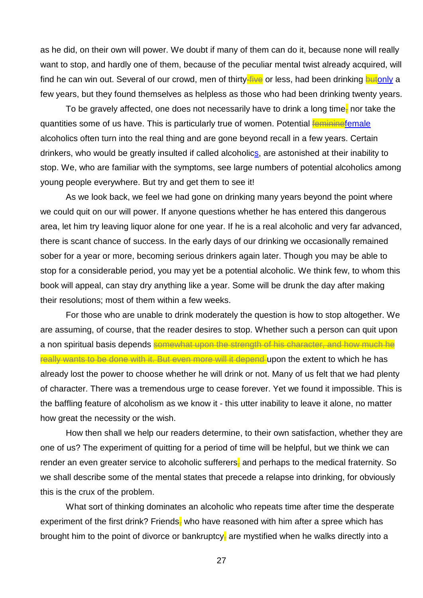as he did, on their own will power. We doubt if many of them can do it, because none will really want to stop, and hardly one of them, because of the peculiar mental twist already acquired, will find he can win out. Several of our crowd, men of thirty-five or less, had been drinking butonly a few years, but they found themselves as helpless as those who had been drinking twenty years.

To be gravely affected, one does not necessarily have to drink a long time, nor take the quantities some of us have. This is particularly true of women. Potential femininefemale alcoholics often turn into the real thing and are gone beyond recall in a few years. Certain drinkers, who would be greatly insulted if called alcoholics, are astonished at their inability to stop. We, who are familiar with the symptoms, see large numbers of potential alcoholics among young people everywhere. But try and get them to see it!

As we look back, we feel we had gone on drinking many years beyond the point where we could quit on our will power. If anyone questions whether he has entered this dangerous area, let him try leaving liquor alone for one year. If he is a real alcoholic and very far advanced, there is scant chance of success. In the early days of our drinking we occasionally remained sober for a year or more, becoming serious drinkers again later. Though you may be able to stop for a considerable period, you may yet be a potential alcoholic. We think few, to whom this book will appeal, can stay dry anything like a year. Some will be drunk the day after making their resolutions; most of them within a few weeks.

For those who are unable to drink moderately the question is how to stop altogether. We are assuming, of course, that the reader desires to stop. Whether such a person can quit upon a non spiritual basis depends somewhat upon the strength of his character, and how much he really wants to be done with it. But even more will it depend upon the extent to which he has already lost the power to choose whether he will drink or not. Many of us felt that we had plenty of character. There was a tremendous urge to cease forever. Yet we found it impossible. This is the baffling feature of alcoholism as we know it - this utter inability to leave it alone, no matter how great the necessity or the wish.

How then shall we help our readers determine, to their own satisfaction, whether they are one of us? The experiment of quitting for a period of time will be helpful, but we think we can render an even greater service to alcoholic sufferers, and perhaps to the medical fraternity. So we shall describe some of the mental states that precede a relapse into drinking, for obviously this is the crux of the problem.

What sort of thinking dominates an alcoholic who repeats time after time the desperate experiment of the first drink? Friends, who have reasoned with him after a spree which has brought him to the point of divorce or bankruptcy, are mystified when he walks directly into a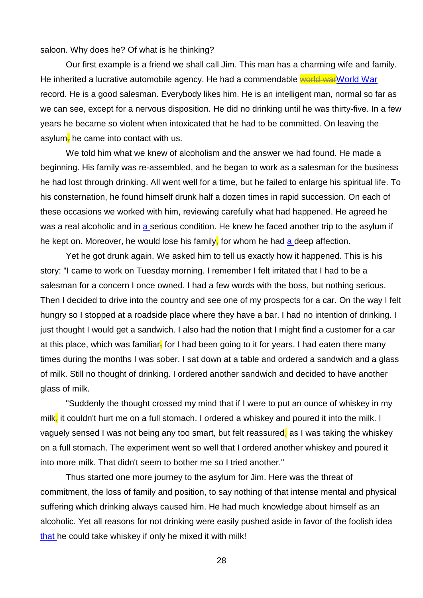saloon. Why does he? Of what is he thinking?

Our first example is a friend we shall call Jim. This man has a charming wife and family. He inherited a lucrative automobile agency. He had a commendable world war World War record. He is a good salesman. Everybody likes him. He is an intelligent man, normal so far as we can see, except for a nervous disposition. He did no drinking until he was thirty-five. In a few years he became so violent when intoxicated that he had to be committed. On leaving the asylum, he came into contact with us.

We told him what we knew of alcoholism and the answer we had found. He made a beginning. His family was re-assembled, and he began to work as a salesman for the business he had lost through drinking. All went well for a time, but he failed to enlarge his spiritual life. To his consternation, he found himself drunk half a dozen times in rapid succession. On each of these occasions we worked with him, reviewing carefully what had happened. He agreed he was a real alcoholic and in a serious condition. He knew he faced another trip to the asylum if he kept on. Moreover, he would lose his family, for whom he had a deep affection.

Yet he got drunk again. We asked him to tell us exactly how it happened. This is his story: "I came to work on Tuesday morning. I remember I felt irritated that I had to be a salesman for a concern I once owned. I had a few words with the boss, but nothing serious. Then I decided to drive into the country and see one of my prospects for a car. On the way I felt hungry so I stopped at a roadside place where they have a bar. I had no intention of drinking. I just thought I would get a sandwich. I also had the notion that I might find a customer for a car at this place, which was familiar, for I had been going to it for years. I had eaten there many times during the months I was sober. I sat down at a table and ordered a sandwich and a glass of milk. Still no thought of drinking. I ordered another sandwich and decided to have another glass of milk.

"Suddenly the thought crossed my mind that if I were to put an ounce of whiskey in my milk, it couldn't hurt me on a full stomach. I ordered a whiskey and poured it into the milk. I vaguely sensed I was not being any too smart, but felt reassured, as I was taking the whiskey on a full stomach. The experiment went so well that I ordered another whiskey and poured it into more milk. That didn't seem to bother me so I tried another."

Thus started one more journey to the asylum for Jim. Here was the threat of commitment, the loss of family and position, to say nothing of that intense mental and physical suffering which drinking always caused him. He had much knowledge about himself as an alcoholic. Yet all reasons for not drinking were easily pushed aside in favor of the foolish idea that he could take whiskey if only he mixed it with milk!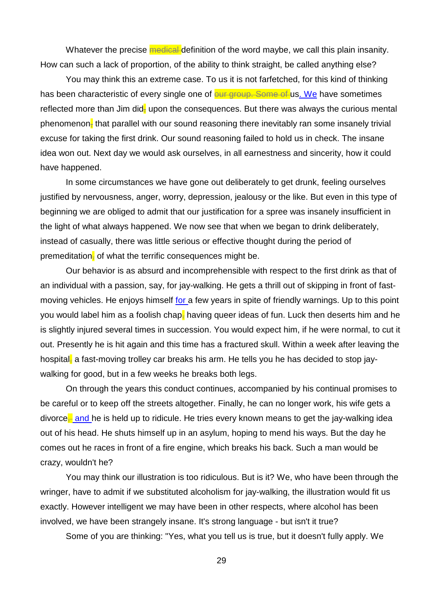Whatever the precise **medical** definition of the word maybe, we call this plain insanity. How can such a lack of proportion, of the ability to think straight, be called anything else?

You may think this an extreme case. To us it is not farfetched, for this kind of thinking has been characteristic of every single one of **our group. Some of us. We have sometimes** reflected more than Jim did-upon the consequences. But there was always the curious mental phenomenon, that parallel with our sound reasoning there inevitably ran some insanely trivial excuse for taking the first drink. Our sound reasoning failed to hold us in check. The insane idea won out. Next day we would ask ourselves, in all earnestness and sincerity, how it could have happened.

In some circumstances we have gone out deliberately to get drunk, feeling ourselves justified by nervousness, anger, worry, depression, jealousy or the like. But even in this type of beginning we are obliged to admit that our justification for a spree was insanely insufficient in the light of what always happened. We now see that when we began to drink deliberately, instead of casually, there was little serious or effective thought during the period of premeditation, of what the terrific consequences might be.

Our behavior is as absurd and incomprehensible with respect to the first drink as that of an individual with a passion, say, for jay-walking. He gets a thrill out of skipping in front of fastmoving vehicles. He enjoys himself for a few years in spite of friendly warnings. Up to this point you would label him as a foolish chap-having queer ideas of fun. Luck then deserts him and he is slightly injured several times in succession. You would expect him, if he were normal, to cut it out. Presently he is hit again and this time has a fractured skull. Within a week after leaving the hospital, a fast-moving trolley car breaks his arm. He tells you he has decided to stop jaywalking for good, but in a few weeks he breaks both legs.

On through the years this conduct continues, accompanied by his continual promises to be careful or to keep off the streets altogether. Finally, he can no longer work, his wife gets a divorce<sub>r</sub> and he is held up to ridicule. He tries every known means to get the jay-walking idea out of his head. He shuts himself up in an asylum, hoping to mend his ways. But the day he comes out he races in front of a fire engine, which breaks his back. Such a man would be crazy, wouldn't he?

You may think our illustration is too ridiculous. But is it? We, who have been through the wringer, have to admit if we substituted alcoholism for jay-walking, the illustration would fit us exactly. However intelligent we may have been in other respects, where alcohol has been involved, we have been strangely insane. It's strong language - but isn't it true?

Some of you are thinking: "Yes, what you tell us is true, but it doesn't fully apply. We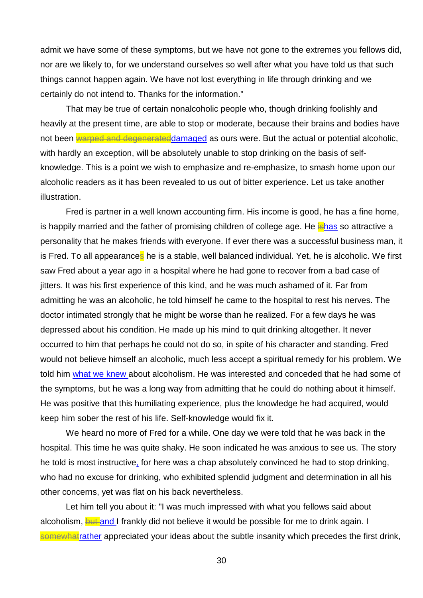admit we have some of these symptoms, but we have not gone to the extremes you fellows did, nor are we likely to, for we understand ourselves so well after what you have told us that such things cannot happen again. We have not lost everything in life through drinking and we certainly do not intend to. Thanks for the information."

That may be true of certain nonalcoholic people who, though drinking foolishly and heavily at the present time, are able to stop or moderate, because their brains and bodies have not been warped and degenerated damaged as ours were. But the actual or potential alcoholic, with hardly an exception, will be absolutely unable to stop drinking on the basis of selfknowledge. This is a point we wish to emphasize and re-emphasize, to smash home upon our alcoholic readers as it has been revealed to us out of bitter experience. Let us take another illustration.

Fred is partner in a well known accounting firm. His income is good, he has a fine home, is happily married and the father of promising children of college age. He ishas so attractive a personality that he makes friends with everyone. If ever there was a successful business man, it is Fred. To all appearances he is a stable, well balanced individual. Yet, he is alcoholic. We first saw Fred about a year ago in a hospital where he had gone to recover from a bad case of jitters. It was his first experience of this kind, and he was much ashamed of it. Far from admitting he was an alcoholic, he told himself he came to the hospital to rest his nerves. The doctor intimated strongly that he might be worse than he realized. For a few days he was depressed about his condition. He made up his mind to quit drinking altogether. It never occurred to him that perhaps he could not do so, in spite of his character and standing. Fred would not believe himself an alcoholic, much less accept a spiritual remedy for his problem. We told him what we knew about alcoholism. He was interested and conceded that he had some of the symptoms, but he was a long way from admitting that he could do nothing about it himself. He was positive that this humiliating experience, plus the knowledge he had acquired, would keep him sober the rest of his life. Self-knowledge would fix it.

We heard no more of Fred for a while. One day we were told that he was back in the hospital. This time he was quite shaky. He soon indicated he was anxious to see us. The story he told is most instructive, for here was a chap absolutely convinced he had to stop drinking, who had no excuse for drinking, who exhibited splendid judgment and determination in all his other concerns, yet was flat on his back nevertheless.

Let him tell you about it: "I was much impressed with what you fellows said about alcoholism, but and I frankly did not believe it would be possible for me to drink again. I somewhat rather appreciated your ideas about the subtle insanity which precedes the first drink,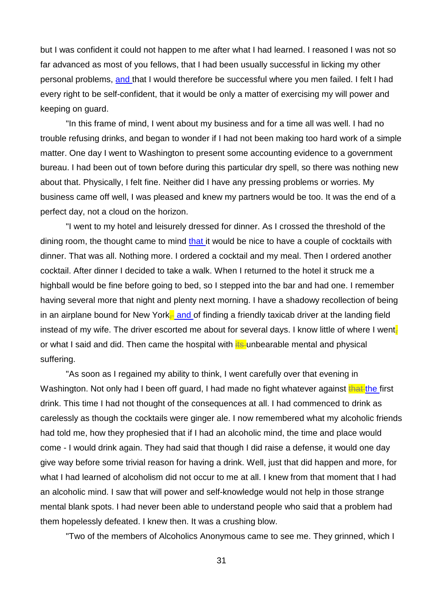but I was confident it could not happen to me after what I had learned. I reasoned I was not so far advanced as most of you fellows, that I had been usually successful in licking my other personal problems, and that I would therefore be successful where you men failed. I felt I had every right to be self-confident, that it would be only a matter of exercising my will power and keeping on guard.

"In this frame of mind, I went about my business and for a time all was well. I had no trouble refusing drinks, and began to wonder if I had not been making too hard work of a simple matter. One day I went to Washington to present some accounting evidence to a government bureau. I had been out of town before during this particular dry spell, so there was nothing new about that. Physically, I felt fine. Neither did I have any pressing problems or worries. My business came off well, I was pleased and knew my partners would be too. It was the end of a perfect day, not a cloud on the horizon.

"I went to my hotel and leisurely dressed for dinner. As I crossed the threshold of the dining room, the thought came to mind that it would be nice to have a couple of cocktails with dinner. That was all. Nothing more. I ordered a cocktail and my meal. Then I ordered another cocktail. After dinner I decided to take a walk. When I returned to the hotel it struck me a highball would be fine before going to bed, so I stepped into the bar and had one. I remember having several more that night and plenty next morning. I have a shadowy recollection of being in an airplane bound for New York- and of finding a friendly taxicab driver at the landing field instead of my wife. The driver escorted me about for several days. I know little of where I went, or what I said and did. Then came the hospital with **its** unbearable mental and physical suffering.

"As soon as I regained my ability to think, I went carefully over that evening in Washington. Not only had I been off guard, I had made no fight whatever against that the first drink. This time I had not thought of the consequences at all. I had commenced to drink as carelessly as though the cocktails were ginger ale. I now remembered what my alcoholic friends had told me, how they prophesied that if I had an alcoholic mind, the time and place would come - I would drink again. They had said that though I did raise a defense, it would one day give way before some trivial reason for having a drink. Well, just that did happen and more, for what I had learned of alcoholism did not occur to me at all. I knew from that moment that I had an alcoholic mind. I saw that will power and self-knowledge would not help in those strange mental blank spots. I had never been able to understand people who said that a problem had them hopelessly defeated. I knew then. It was a crushing blow.

"Two of the members of Alcoholics Anonymous came to see me. They grinned, which I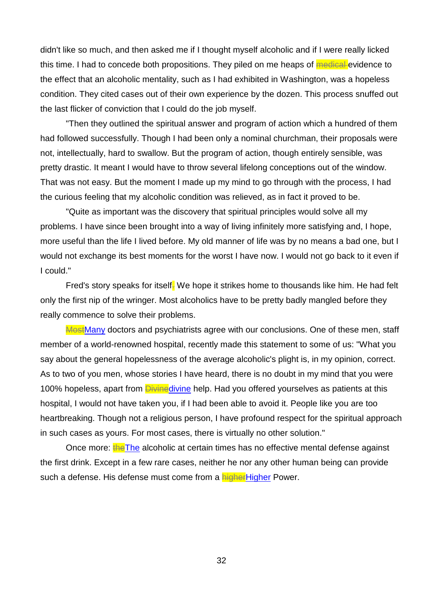didn't like so much, and then asked me if I thought myself alcoholic and if I were really licked this time. I had to concede both propositions. They piled on me heaps of **medical** evidence to the effect that an alcoholic mentality, such as I had exhibited in Washington, was a hopeless condition. They cited cases out of their own experience by the dozen. This process snuffed out the last flicker of conviction that I could do the job myself.

"Then they outlined the spiritual answer and program of action which a hundred of them had followed successfully. Though I had been only a nominal churchman, their proposals were not, intellectually, hard to swallow. But the program of action, though entirely sensible, was pretty drastic. It meant I would have to throw several lifelong conceptions out of the window. That was not easy. But the moment I made up my mind to go through with the process, I had the curious feeling that my alcoholic condition was relieved, as in fact it proved to be.

"Quite as important was the discovery that spiritual principles would solve all my problems. I have since been brought into a way of living infinitely more satisfying and, I hope, more useful than the life I lived before. My old manner of life was by no means a bad one, but I would not exchange its best moments for the worst I have now. I would not go back to it even if I could."

Fred's story speaks for itself. We hope it strikes home to thousands like him. He had felt only the first nip of the wringer. Most alcoholics have to be pretty badly mangled before they really commence to solve their problems.

MostMany doctors and psychiatrists agree with our conclusions. One of these men, staff member of a world-renowned hospital, recently made this statement to some of us: "What you say about the general hopelessness of the average alcoholic's plight is, in my opinion, correct. As to two of you men, whose stories I have heard, there is no doubt in my mind that you were 100% hopeless, apart from **Divinedivine** help. Had you offered yourselves as patients at this hospital, I would not have taken you, if I had been able to avoid it. People like you are too heartbreaking. Though not a religious person, I have profound respect for the spiritual approach in such cases as yours. For most cases, there is virtually no other solution."

Once more: the The alcoholic at certain times has no effective mental defense against the first drink. Except in a few rare cases, neither he nor any other human being can provide such a defense. His defense must come from a **higherHigher Power**.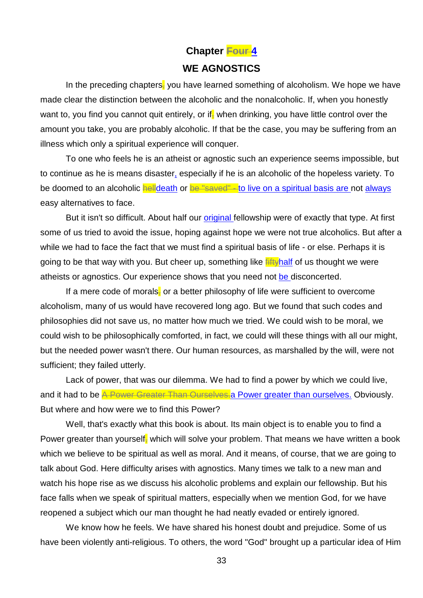#### **Chapter Four 4**

#### **WE AGNOSTICS**

In the preceding chapters, you have learned something of alcoholism. We hope we have made clear the distinction between the alcoholic and the nonalcoholic. If, when you honestly want to, you find you cannot quit entirely, or if, when drinking, you have little control over the amount you take, you are probably alcoholic. If that be the case, you may be suffering from an illness which only a spiritual experience will conquer.

To one who feels he is an atheist or agnostic such an experience seems impossible, but to continue as he is means disaster, especially if he is an alcoholic of the hopeless variety. To be doomed to an alcoholic helldeath or be "saved"-to live on a spiritual basis are not always easy alternatives to face.

But it isn't so difficult. About half our *original* fellowship were of exactly that type. At first some of us tried to avoid the issue, hoping against hope we were not true alcoholics. But after a while we had to face the fact that we must find a spiritual basis of life - or else. Perhaps it is going to be that way with you. But cheer up, something like  $\frac{f}{f}$  alf of us thought we were atheists or agnostics. Our experience shows that you need not be disconcerted.

If a mere code of morals, or a better philosophy of life were sufficient to overcome alcoholism, many of us would have recovered long ago. But we found that such codes and philosophies did not save us, no matter how much we tried. We could wish to be moral, we could wish to be philosophically comforted, in fact, we could will these things with all our might, but the needed power wasn't there. Our human resources, as marshalled by the will, were not sufficient; they failed utterly.

Lack of power, that was our dilemma. We had to find a power by which we could live, and it had to be A Power Greater Than Ourselves. a Power greater than ourselves. Obviously. But where and how were we to find this Power?

Well, that's exactly what this book is about. Its main object is to enable you to find a Power greater than yourself, which will solve your problem. That means we have written a book which we believe to be spiritual as well as moral. And it means, of course, that we are going to talk about God. Here difficulty arises with agnostics. Many times we talk to a new man and watch his hope rise as we discuss his alcoholic problems and explain our fellowship. But his face falls when we speak of spiritual matters, especially when we mention God, for we have reopened a subject which our man thought he had neatly evaded or entirely ignored.

We know how he feels. We have shared his honest doubt and prejudice. Some of us have been violently anti-religious. To others, the word "God" brought up a particular idea of Him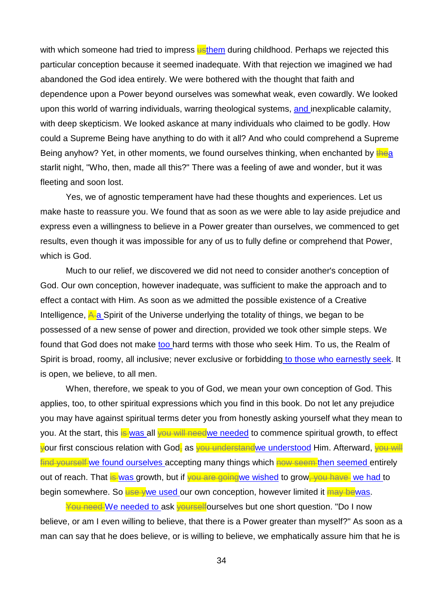with which someone had tried to impress  $\frac{u\cdot v}{v\cdot v}$  during childhood. Perhaps we rejected this particular conception because it seemed inadequate. With that rejection we imagined we had abandoned the God idea entirely. We were bothered with the thought that faith and dependence upon a Power beyond ourselves was somewhat weak, even cowardly. We looked upon this world of warring individuals, warring theological systems, and inexplicable calamity, with deep skepticism. We looked askance at many individuals who claimed to be godly. How could a Supreme Being have anything to do with it all? And who could comprehend a Supreme Being anyhow? Yet, in other moments, we found ourselves thinking, when enchanted by thea starlit night, "Who, then, made all this?" There was a feeling of awe and wonder, but it was fleeting and soon lost.

Yes, we of agnostic temperament have had these thoughts and experiences. Let us make haste to reassure you. We found that as soon as we were able to lay aside prejudice and express even a willingness to believe in a Power greater than ourselves, we commenced to get results, even though it was impossible for any of us to fully define or comprehend that Power, which is God.

Much to our relief, we discovered we did not need to consider another's conception of God. Our own conception, however inadequate, was sufficient to make the approach and to effect a contact with Him. As soon as we admitted the possible existence of a Creative Intelligence,  $\mathsf{A}_a$  Spirit of the Universe underlying the totality of things, we began to be possessed of a new sense of power and direction, provided we took other simple steps. We found that God does not make too hard terms with those who seek Him. To us, the Realm of Spirit is broad, roomy, all inclusive; never exclusive or forbidding to those who earnestly seek. It is open, we believe, to all men.

When, therefore, we speak to you of God, we mean your own conception of God. This applies, too, to other spiritual expressions which you find in this book. Do not let any prejudice you may have against spiritual terms deter you from honestly asking yourself what they mean to you. At the start, this is was all you will need we needed to commence spiritual growth, to effect your first conscious relation with God, as vou understandwe understood Him. Afterward, vou will find yourself we found ourselves accepting many things which now seem then seemed entirely out of reach. That is was growth, but if you are going we wished to grow, you have we had to begin somewhere. So use ywe used our own conception, however limited it may bewas.

You need We needed to ask yourselfourselves but one short question. "Do I now believe, or am I even willing to believe, that there is a Power greater than myself?" As soon as a man can say that he does believe, or is willing to believe, we emphatically assure him that he is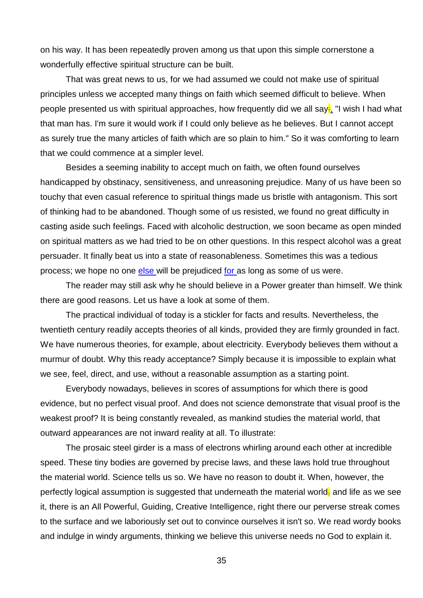on his way. It has been repeatedly proven among us that upon this simple cornerstone a wonderfully effective spiritual structure can be built.

That was great news to us, for we had assumed we could not make use of spiritual principles unless we accepted many things on faith which seemed difficult to believe. When people presented us with spiritual approaches, how frequently did we all say. "I wish I had what that man has. I'm sure it would work if I could only believe as he believes. But I cannot accept as surely true the many articles of faith which are so plain to him." So it was comforting to learn that we could commence at a simpler level.

Besides a seeming inability to accept much on faith, we often found ourselves handicapped by obstinacy, sensitiveness, and unreasoning prejudice. Many of us have been so touchy that even casual reference to spiritual things made us bristle with antagonism. This sort of thinking had to be abandoned. Though some of us resisted, we found no great difficulty in casting aside such feelings. Faced with alcoholic destruction, we soon became as open minded on spiritual matters as we had tried to be on other questions. In this respect alcohol was a great persuader. It finally beat us into a state of reasonableness. Sometimes this was a tedious process; we hope no one else will be prejudiced for as long as some of us were.

The reader may still ask why he should believe in a Power greater than himself. We think there are good reasons. Let us have a look at some of them.

The practical individual of today is a stickler for facts and results. Nevertheless, the twentieth century readily accepts theories of all kinds, provided they are firmly grounded in fact. We have numerous theories, for example, about electricity. Everybody believes them without a murmur of doubt. Why this ready acceptance? Simply because it is impossible to explain what we see, feel, direct, and use, without a reasonable assumption as a starting point.

Everybody nowadays, believes in scores of assumptions for which there is good evidence, but no perfect visual proof. And does not science demonstrate that visual proof is the weakest proof? It is being constantly revealed, as mankind studies the material world, that outward appearances are not inward reality at all. To illustrate:

The prosaic steel girder is a mass of electrons whirling around each other at incredible speed. These tiny bodies are governed by precise laws, and these laws hold true throughout the material world. Science tells us so. We have no reason to doubt it. When, however, the perfectly logical assumption is suggested that underneath the material world, and life as we see it, there is an All Powerful, Guiding, Creative Intelligence, right there our perverse streak comes to the surface and we laboriously set out to convince ourselves it isn't so. We read wordy books and indulge in windy arguments, thinking we believe this universe needs no God to explain it.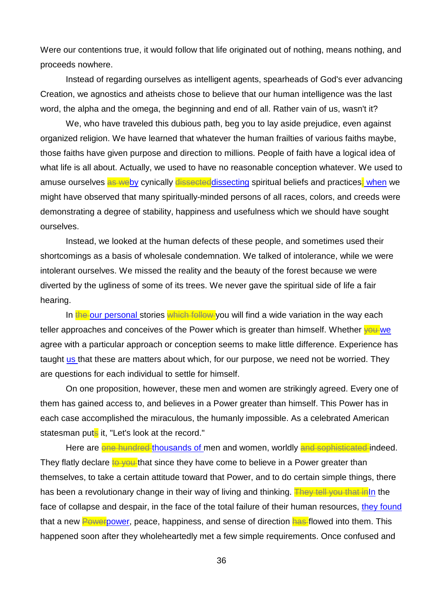Were our contentions true, it would follow that life originated out of nothing, means nothing, and proceeds nowhere.

Instead of regarding ourselves as intelligent agents, spearheads of God's ever advancing Creation, we agnostics and atheists chose to believe that our human intelligence was the last word, the alpha and the omega, the beginning and end of all. Rather vain of us, wasn't it?

We, who have traveled this dubious path, beg you to lay aside prejudice, even against organized religion. We have learned that whatever the human frailties of various faiths maybe, those faiths have given purpose and direction to millions. People of faith have a logical idea of what life is all about. Actually, we used to have no reasonable conception whatever. We used to amuse ourselves as weby cynically dissected dissecting spiritual beliefs and practices; when we might have observed that many spiritually-minded persons of all races, colors, and creeds were demonstrating a degree of stability, happiness and usefulness which we should have sought ourselves.

Instead, we looked at the human defects of these people, and sometimes used their shortcomings as a basis of wholesale condemnation. We talked of intolerance, while we were intolerant ourselves. We missed the reality and the beauty of the forest because we were diverted by the ugliness of some of its trees. We never gave the spiritual side of life a fair hearing.

In the our personal stories which follow you will find a wide variation in the way each teller approaches and conceives of the Power which is greater than himself. Whether  $\frac{1}{2}$  we agree with a particular approach or conception seems to make little difference. Experience has taught us that these are matters about which, for our purpose, we need not be worried. They are questions for each individual to settle for himself.

On one proposition, however, these men and women are strikingly agreed. Every one of them has gained access to, and believes in a Power greater than himself. This Power has in each case accomplished the miraculous, the humanly impossible. As a celebrated American statesman puts it, "Let's look at the record."

Here are one hundred thousands of men and women, worldly and sophisticated indeed. They flatly declare to you that since they have come to believe in a Power greater than themselves, to take a certain attitude toward that Power, and to do certain simple things, there has been a revolutionary change in their way of living and thinking. They tell you that inin the face of collapse and despair, in the face of the total failure of their human resources, they found that a new **Powerpower**, peace, happiness, and sense of direction has flowed into them. This happened soon after they wholeheartedly met a few simple requirements. Once confused and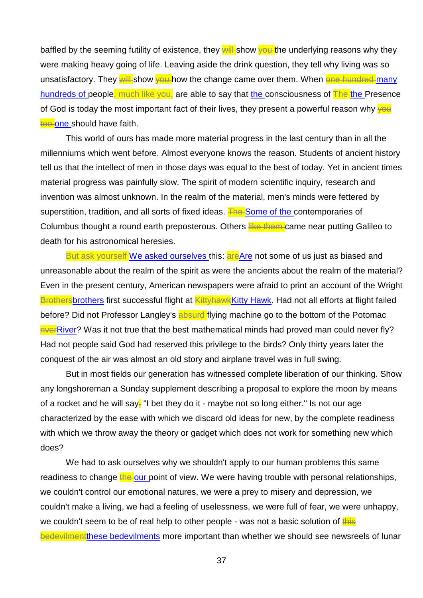baffled by the seeming futility of existence, they will show you the underlying reasons why they were making heavy going of life. Leaving aside the drink question, they tell why living was so unsatisfactory. They will show you how the change came over them. When one hundred many hundreds of people, much like you, are able to say that the consciousness of The the Presence of God is today the most important fact of their lives, they present a powerful reason why  $\frac{1}{2}$ too one should have faith.

This world of ours has made more material progress in the last century than in all the millenniums which went before. Almost everyone knows the reason. Students of ancient history tell us that the intellect of men in those days was equal to the best of today. Yet in ancient times material progress was painfully slow. The spirit of modern scientific inquiry, research and invention was almost unknown. In the realm of the material, men's minds were fettered by superstition, tradition, and all sorts of fixed ideas. The Some of the contemporaries of Columbus thought a round earth preposterous. Others like them came near putting Galileo to death for his astronomical heresies.

But ask yourself We asked ourselves this: are Are not some of us just as biased and unreasonable about the realm of the spirit as were the ancients about the realm of the material? Even in the present century, American newspapers were afraid to print an account of the Wright Brothersbrothers first successful flight at KittyhawkKitty Hawk. Had not all efforts at flight failed before? Did not Professor Langley's absurd flying machine go to the bottom of the Potomac riverRiver? Was it not true that the best mathematical minds had proved man could never fly? Had not people said God had reserved this privilege to the birds? Only thirty years later the conquest of the air was almost an old story and airplane travel was in full swing.

But in most fields our generation has witnessed complete liberation of our thinking. Show any longshoreman a Sunday supplement describing a proposal to explore the moon by means of a rocket and he will say, "I bet they do it - maybe not so long either." Is not our age characterized by the ease with which we discard old ideas for new, by the complete readiness with which we throw away the theory or gadget which does not work for something new which does?

We had to ask ourselves why we shouldn't apply to our human problems this same readiness to change the our point of view. We were having trouble with personal relationships, we couldn't control our emotional natures, we were a prey to misery and depression, we couldn't make a living, we had a feeling of uselessness, we were full of fear, we were unhappy, we couldn't seem to be of real help to other people - was not a basic solution of this bedevilment these bedevilments more important than whether we should see newsreels of lunar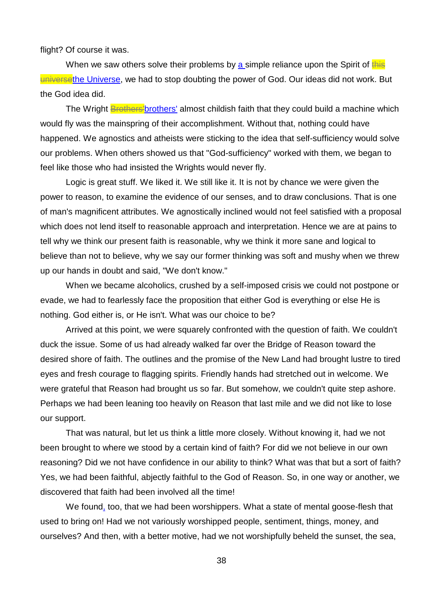flight? Of course it was.

When we saw others solve their problems by a simple reliance upon the Spirit of  $\frac{1}{10}$ universethe Universe, we had to stop doubting the power of God. Our ideas did not work. But the God idea did.

The Wright **Brothers'**brothers' almost childish faith that they could build a machine which would fly was the mainspring of their accomplishment. Without that, nothing could have happened. We agnostics and atheists were sticking to the idea that self-sufficiency would solve our problems. When others showed us that "God-sufficiency" worked with them, we began to feel like those who had insisted the Wrights would never fly.

Logic is great stuff. We liked it. We still like it. It is not by chance we were given the power to reason, to examine the evidence of our senses, and to draw conclusions. That is one of man's magnificent attributes. We agnostically inclined would not feel satisfied with a proposal which does not lend itself to reasonable approach and interpretation. Hence we are at pains to tell why we think our present faith is reasonable, why we think it more sane and logical to believe than not to believe, why we say our former thinking was soft and mushy when we threw up our hands in doubt and said, "We don't know."

When we became alcoholics, crushed by a self-imposed crisis we could not postpone or evade, we had to fearlessly face the proposition that either God is everything or else He is nothing. God either is, or He isn't. What was our choice to be?

Arrived at this point, we were squarely confronted with the question of faith. We couldn't duck the issue. Some of us had already walked far over the Bridge of Reason toward the desired shore of faith. The outlines and the promise of the New Land had brought lustre to tired eyes and fresh courage to flagging spirits. Friendly hands had stretched out in welcome. We were grateful that Reason had brought us so far. But somehow, we couldn't quite step ashore. Perhaps we had been leaning too heavily on Reason that last mile and we did not like to lose our support.

That was natural, but let us think a little more closely. Without knowing it, had we not been brought to where we stood by a certain kind of faith? For did we not believe in our own reasoning? Did we not have confidence in our ability to think? What was that but a sort of faith? Yes, we had been faithful, abjectly faithful to the God of Reason. So, in one way or another, we discovered that faith had been involved all the time!

We found, too, that we had been worshippers. What a state of mental goose-flesh that used to bring on! Had we not variously worshipped people, sentiment, things, money, and ourselves? And then, with a better motive, had we not worshipfully beheld the sunset, the sea,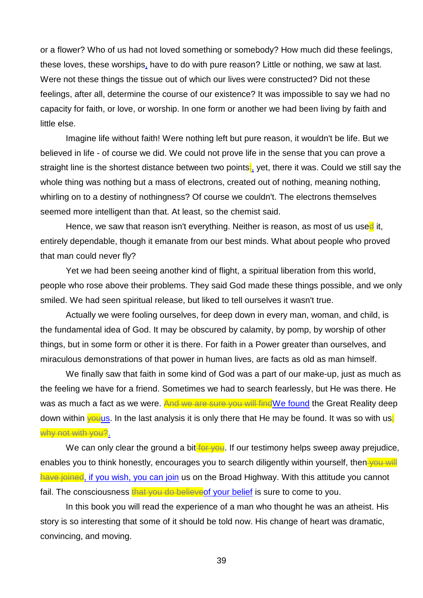or a flower? Who of us had not loved something or somebody? How much did these feelings, these loves, these worships, have to do with pure reason? Little or nothing, we saw at last. Were not these things the tissue out of which our lives were constructed? Did not these feelings, after all, determine the course of our existence? It was impossible to say we had no capacity for faith, or love, or worship. In one form or another we had been living by faith and little else.

Imagine life without faith! Were nothing left but pure reason, it wouldn't be life. But we believed in life - of course we did. We could not prove life in the sense that you can prove a straight line is the shortest distance between two points<sup>-</sup>, yet, there it was. Could we still say the whole thing was nothing but a mass of electrons, created out of nothing, meaning nothing, whirling on to a destiny of nothingness? Of course we couldn't. The electrons themselves seemed more intelligent than that. At least, so the chemist said.

Hence, we saw that reason isn't everything. Neither is reason, as most of us usee it, entirely dependable, though it emanate from our best minds. What about people who proved that man could never fly?

Yet we had been seeing another kind of flight, a spiritual liberation from this world, people who rose above their problems. They said God made these things possible, and we only smiled. We had seen spiritual release, but liked to tell ourselves it wasn't true.

Actually we were fooling ourselves, for deep down in every man, woman, and child, is the fundamental idea of God. It may be obscured by calamity, by pomp, by worship of other things, but in some form or other it is there. For faith in a Power greater than ourselves, and miraculous demonstrations of that power in human lives, are facts as old as man himself.

We finally saw that faith in some kind of God was a part of our make-up, just as much as the feeling we have for a friend. Sometimes we had to search fearlessly, but He was there. He was as much a fact as we were. And we are sure you will find We found the Great Reality deep down within you us. In the last analysis it is only there that He may be found. It was so with us: why not with you?

We can only clear the ground a bit for you. If our testimony helps sweep away prejudice, enables you to think honestly, encourages you to search diligently within yourself, then you will have joined, if you wish, you can join us on the Broad Highway. With this attitude you cannot fail. The consciousness that you do believe of your belief is sure to come to you.

In this book you will read the experience of a man who thought he was an atheist. His story is so interesting that some of it should be told now. His change of heart was dramatic, convincing, and moving.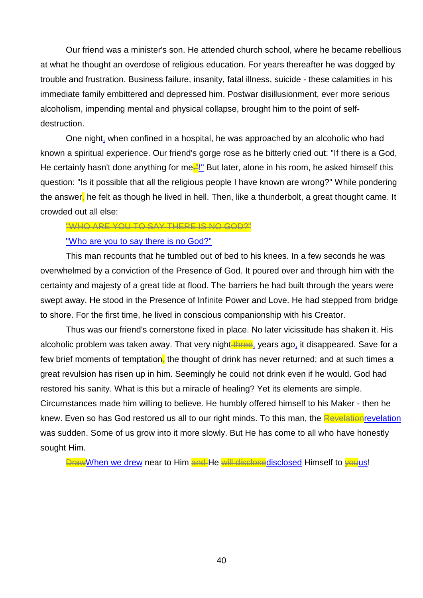Our friend was a minister's son. He attended church school, where he became rebellious at what he thought an overdose of religious education. For years thereafter he was dogged by trouble and frustration. Business failure, insanity, fatal illness, suicide - these calamities in his immediate family embittered and depressed him. Postwar disillusionment, ever more serious alcoholism, impending mental and physical collapse, brought him to the point of selfdestruction.

One night, when confined in a hospital, he was approached by an alcoholic who had known a spiritual experience. Our friend's gorge rose as he bitterly cried out: "If there is a God, He certainly hasn't done anything for me.<sup>"</sup>!!" But later, alone in his room, he asked himself this question: "Is it possible that all the religious people I have known are wrong?" While pondering the answer<sup>-</sup> he felt as though he lived in hell. Then, like a thunderbolt, a great thought came. It crowded out all else:

#### "WHO ARE YOU TO SAY THERE IS NO GOD?"

#### "Who are you to say there is no God?"

This man recounts that he tumbled out of bed to his knees. In a few seconds he was overwhelmed by a conviction of the Presence of God. It poured over and through him with the certainty and majesty of a great tide at flood. The barriers he had built through the years were swept away. He stood in the Presence of Infinite Power and Love. He had stepped from bridge to shore. For the first time, he lived in conscious companionship with his Creator.

Thus was our friend's cornerstone fixed in place. No later vicissitude has shaken it. His alcoholic problem was taken away. That very night three, years ago, it disappeared. Save for a few brief moments of temptation, the thought of drink has never returned; and at such times a great revulsion has risen up in him. Seemingly he could not drink even if he would. God had restored his sanity. What is this but a miracle of healing? Yet its elements are simple. Circumstances made him willing to believe. He humbly offered himself to his Maker - then he knew. Even so has God restored us all to our right minds. To this man, the Revelationrevelation was sudden. Some of us grow into it more slowly. But He has come to all who have honestly sought Him.

**DrawWhen we drew near to Him and He will disclosed also be Himself to voulus!**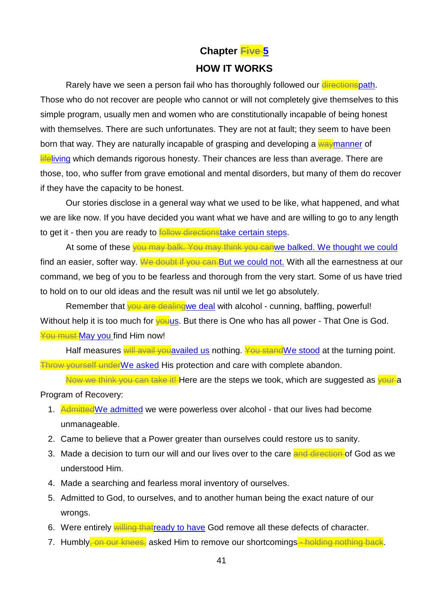## **Chapter Five 5**

## **HOW IT WORKS**

Rarely have we seen a person fail who has thoroughly followed our directions path. Those who do not recover are people who cannot or will not completely give themselves to this simple program, usually men and women who are constitutionally incapable of being honest with themselves. There are such unfortunates. They are not at fault; they seem to have been born that way. They are naturally incapable of grasping and developing a waymanner of **Hiteliving which demands rigorous honesty. Their chances are less than average. There are** those, too, who suffer from grave emotional and mental disorders, but many of them do recover if they have the capacity to be honest.

Our stories disclose in a general way what we used to be like, what happened, and what we are like now. If you have decided you want what we have and are willing to go to any length to get it - then you are ready to **follow directionstake certain steps**.

At some of these you may balk. You may think you can we balked. We thought we could find an easier, softer way. We doubt if you can. But we could not. With all the earnestness at our command, we beg of you to be fearless and thorough from the very start. Some of us have tried to hold on to our old ideas and the result was nil until we let go absolutely.

Remember that you are dealing we deal with alcohol - cunning, baffling, powerful! Without help it is too much for youus. But there is One who has all power - That One is God. You must May you find Him now!

Half measures will avail you availed us nothing. You stand We stood at the turning point. Throw yourself under We asked His protection and care with complete abandon.

Now we think you can take it! Here are the steps we took, which are suggested as vour a Program of Recovery:

- 1. AdmittedWe admitted we were powerless over alcohol that our lives had become unmanageable.
- 2. Came to believe that a Power greater than ourselves could restore us to sanity.
- 3. Made a decision to turn our will and our lives over to the care and direction of God as we understood Him.
- 4. Made a searching and fearless moral inventory of ourselves.
- 5. Admitted to God, to ourselves, and to another human being the exact nature of our wrongs.
- 6. Were entirely willing that ready to have God remove all these defects of character.
- 7. Humbly<del>, on our knees,</del> asked Him to remove our shortcomings holding nothing back.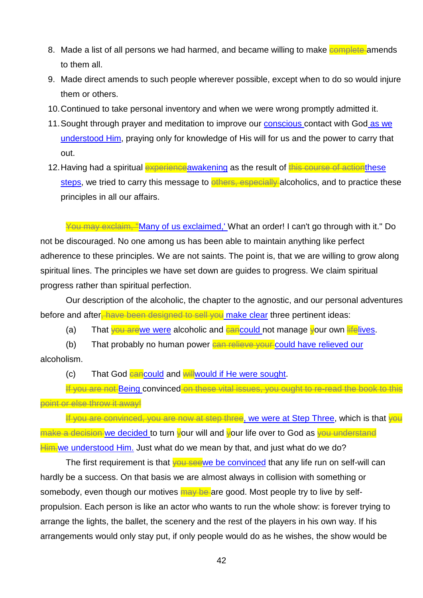- 8. Made a list of all persons we had harmed, and became willing to make complete amends to them all.
- 9. Made direct amends to such people wherever possible, except when to do so would injure them or others.
- 10.Continued to take personal inventory and when we were wrong promptly admitted it.
- 11.Sought through prayer and meditation to improve our conscious contact with God as we understood Him, praying only for knowledge of His will for us and the power to carry that out.
- 12. Having had a spiritual experience awakening as the result of this course of action these steps, we tried to carry this message to others, especially alcoholics, and to practice these principles in all our affairs.

You may exclaim, "Many of us exclaimed,' What an order! I can't go through with it." Do not be discouraged. No one among us has been able to maintain anything like perfect adherence to these principles. We are not saints. The point is, that we are willing to grow along spiritual lines. The principles we have set down are guides to progress. We claim spiritual progress rather than spiritual perfection.

Our description of the alcoholic, the chapter to the agnostic, and our personal adventures before and after, have been designed to sell you make clear three pertinent ideas:

(a) That  $\frac{1}{2}$  That  $\frac{1}{2}$  arewe were alcoholic and  $\frac{1}{2}$  and not manage  $\frac{1}{2}$  our own  $\frac{1}{2}$  if elives.

(b) That probably no human power can relieve your could have relieved our alcoholism.

(c) That God cancould and willwould if He were sought.

If you are not Being convinced on these vital issues, you ought to re-read the book to this point or else throw it away!

If you are convinced, you are now at step three, we were at Step Three, which is that you make a decision we decided to turn your will and your life over to God as vou understand Him.we understood Him. Just what do we mean by that, and just what do we do?

The first requirement is that **you see**we be convinced that any life run on self-will can hardly be a success. On that basis we are almost always in collision with something or somebody, even though our motives may be are good. Most people try to live by selfpropulsion. Each person is like an actor who wants to run the whole show: is forever trying to arrange the lights, the ballet, the scenery and the rest of the players in his own way. If his arrangements would only stay put, if only people would do as he wishes, the show would be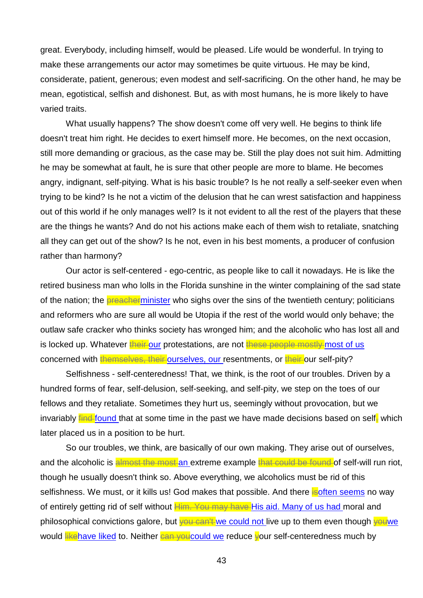great. Everybody, including himself, would be pleased. Life would be wonderful. In trying to make these arrangements our actor may sometimes be quite virtuous. He may be kind, considerate, patient, generous; even modest and self-sacrificing. On the other hand, he may be mean, egotistical, selfish and dishonest. But, as with most humans, he is more likely to have varied traits.

What usually happens? The show doesn't come off very well. He begins to think life doesn't treat him right. He decides to exert himself more. He becomes, on the next occasion, still more demanding or gracious, as the case may be. Still the play does not suit him. Admitting he may be somewhat at fault, he is sure that other people are more to blame. He becomes angry, indignant, self-pitying. What is his basic trouble? Is he not really a self-seeker even when trying to be kind? Is he not a victim of the delusion that he can wrest satisfaction and happiness out of this world if he only manages well? Is it not evident to all the rest of the players that these are the things he wants? And do not his actions make each of them wish to retaliate, snatching all they can get out of the show? Is he not, even in his best moments, a producer of confusion rather than harmony?

Our actor is self-centered - ego-centric, as people like to call it nowadays. He is like the retired business man who lolls in the Florida sunshine in the winter complaining of the sad state of the nation; the **preacherminister** who sighs over the sins of the twentieth century; politicians and reformers who are sure all would be Utopia if the rest of the world would only behave; the outlaw safe cracker who thinks society has wronged him; and the alcoholic who has lost all and is locked up. Whatever their our protestations, are not these people mostly most of us concerned with themselves, their ourselves, our resentments, or their our self-pity?

Selfishness - self-centeredness! That, we think, is the root of our troubles. Driven by a hundred forms of fear, self-delusion, self-seeking, and self-pity, we step on the toes of our fellows and they retaliate. Sometimes they hurt us, seemingly without provocation, but we invariably *find-found that at some time in the past we have made decisions based on self-* which later placed us in a position to be hurt.

So our troubles, we think, are basically of our own making. They arise out of ourselves, and the alcoholic is almost the most an extreme example that could be found of self-will run riot, though he usually doesn't think so. Above everything, we alcoholics must be rid of this selfishness. We must, or it kills us! God makes that possible. And there **isoften seems no way** of entirely getting rid of self without Him. You may have His aid. Many of us had moral and philosophical convictions galore, but vou can't we could not live up to them even though vouwe would likehave liked to. Neither can youcould we reduce your self-centeredness much by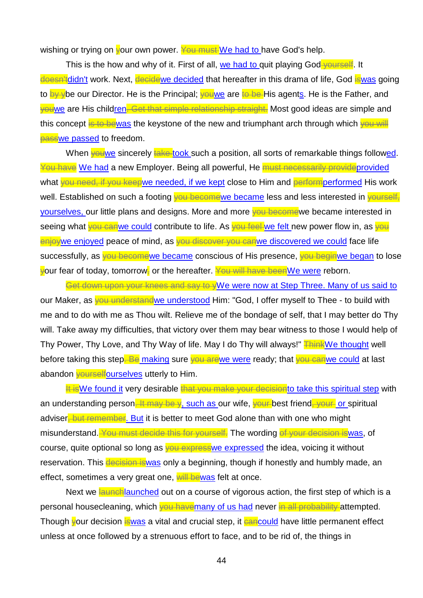wishing or trying on your own power. You must We had to have God's help.

This is the how and why of it. First of all, we had to quit playing God yourself. It doesn't didn't work. Next, decidewe decided that hereafter in this drama of life, God is was going to by ybe our Director. He is the Principal; vouwe are to be His agents. He is the Father, and youwe are His children. Get that simple relationship straight. Most good ideas are simple and this concept is to bewas the keystone of the new and triumphant arch through which vou will passwe passed to freedom.

When **youwe sincerely take took** such a position, all sorts of remarkable things followed. You have We had a new Employer. Being all powerful. He must necessarily provideprovided what you need, if you keepwe needed, if we kept close to Him and perform performed His work well. Established on such a footing vou becomewe became less and less interested in vourself. yourselves, our little plans and designs. More and more you become became interested in seeing what vou canwe could contribute to life. As vou feel we felt new power flow in, as vou enjoywe enjoyed peace of mind, as vou discover you can we discovered we could face life successfully, as you become we became conscious of His presence, you begin we began to lose your fear of today, tomorrow, or the hereafter. You will have been We were reborn.

Get down upon your knees and say to yWe were now at Step Three. Many of us said to our Maker, as vou understand we understood Him: "God, I offer myself to Thee - to build with me and to do with me as Thou wilt. Relieve me of the bondage of self, that I may better do Thy will. Take away my difficulties, that victory over them may bear witness to those I would help of Thy Power, Thy Love, and Thy Way of life. May I do Thy will always!" ThinkWe thought well before taking this step. Be making sure you are we were ready; that you can we could at last abandon **yourselfourselves** utterly to Him.

It is We found it very desirable that you make your decision to take this spiritual step with an understanding person. It may be y, such as our wife, your best friend, your or spiritual adviser<del>, but remember</del>. But it is better to meet God alone than with one who might misunderstand. You must decide this for yourself. The wording of your decision is was, of course, quite optional so long as vou expressive expressed the idea, voicing it without reservation. This decision is was only a beginning, though if honestly and humbly made, an effect, sometimes a very great one, will bewas felt at once.

Next we **launchlaunched out on a course of vigorous action**, the first step of which is a personal housecleaning, which you have many of us had never in all probability attempted. Though your decision is was a vital and crucial step, it cancould have little permanent effect unless at once followed by a strenuous effort to face, and to be rid of, the things in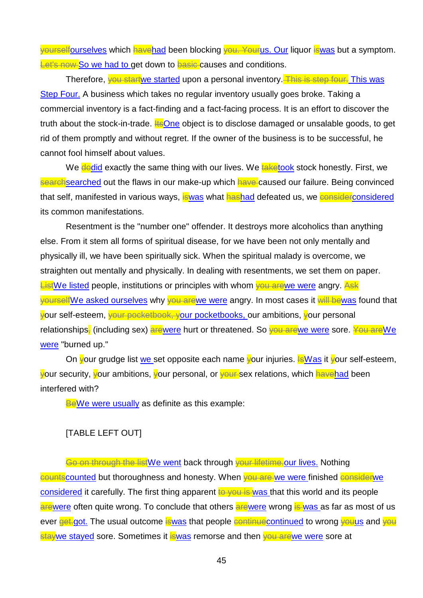yourselfourselves which havehad been blocking you. Yourus. Our liquor is was but a symptom. Let's now So we had to get down to basic causes and conditions.

Therefore, you startwe started upon a personal inventory. This is step four. This was Step Four. A business which takes no regular inventory usually goes broke. Taking a commercial inventory is a fact-finding and a fact-facing process. It is an effort to discover the truth about the stock-in-trade. **ItsOne** object is to disclose damaged or unsalable goods, to get rid of them promptly and without regret. If the owner of the business is to be successful, he cannot fool himself about values.

We dodid exactly the same thing with our lives. We taketook stock honestly. First, we searchsearched out the flaws in our make-up which have caused our failure. Being convinced that self, manifested in various ways, is was what hashad defeated us, we considerconsidered its common manifestations.

Resentment is the "number one" offender. It destroys more alcoholics than anything else. From it stem all forms of spiritual disease, for we have been not only mentally and physically ill, we have been spiritually sick. When the spiritual malady is overcome, we straighten out mentally and physically. In dealing with resentments, we set them on paper. ListWe listed people, institutions or principles with whom you arewe were angry. Ask yourself We asked ourselves why you are we were angry. In most cases it will be was found that your self-esteem, your pocketbook, your pocketbooks, our ambitions, your personal relationships, (including sex) arewere hurt or threatened. So vou arewe were sore. You are We were "burned up."

On your grudge list we set opposite each name your injuries. Is Was it your self-esteem, your security, your ambitions, your personal, or your sex relations, which have had been interfered with?

BeWe were usually as definite as this example:

#### [TABLE LEFT OUT]

Go on through the list We went back through vour lifetime. our lives. Nothing countscounted but thoroughness and honesty. When you are we were finished considerwe considered it carefully. The first thing apparent to you is was that this world and its people arewere often quite wrong. To conclude that others arewere wrong is was as far as most of us ever get got. The usual outcome is was that people continued to wrong voulus and vou staywe stayed sore. Sometimes it is was remorse and then you are we were sore at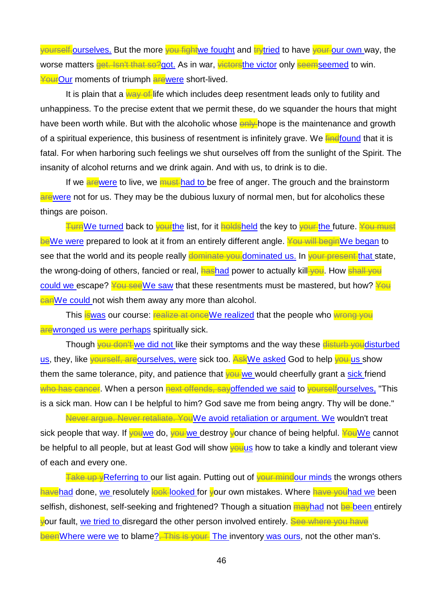yourself.ourselves. But the more you fightwe fought and trytried to have your our own way, the worse matters get. Isn't that so?got. As in war, wictorsthe victor only seemseemed to win. Your moments of triumph arewere short-lived.

It is plain that a way of life which includes deep resentment leads only to futility and unhappiness. To the precise extent that we permit these, do we squander the hours that might have been worth while. But with the alcoholic whose **only** hope is the maintenance and growth of a spiritual experience, this business of resentment is infinitely grave. We **findfound** that it is fatal. For when harboring such feelings we shut ourselves off from the sunlight of the Spirit. The insanity of alcohol returns and we drink again. And with us, to drink is to die.

If we arewere to live, we must had to be free of anger. The grouch and the brainstorm arewere not for us. They may be the dubious luxury of normal men, but for alcoholics these things are poison.

TurnWe turned back to yourthe list, for it holdsheld the key to your the future. You must beWe were prepared to look at it from an entirely different angle. You will begin We began to see that the world and its people really dominate you. dominated us. In your present that state, the wrong-doing of others, fancied or real, hashad power to actually kill you. How shall you could we escape? You see We saw that these resentments must be mastered, but how? You **canWe could not wish them away any more than alcohol.** 

This is was our course: **realize at once** We realized that the people who wrong you arewronged us were perhaps spiritually sick.

Though you don't we did not like their symptoms and the way these disturb you disturbed us, they, like vourself, areourselves, were sick too. AskWe asked God to help vou us show them the same tolerance, pity, and patience that vou we would cheerfully grant a sick friend who has cancer. When a person next offends, say offended we said to yourselfourselves, "This is a sick man. How can I be helpful to him? God save me from being angry. Thy will be done."

Never argue. Never retaliate. You We avoid retaliation or argument. We wouldn't treat sick people that way. If you've do, you we destroy your chance of being helpful. You've cannot be helpful to all people, but at least God will show vous how to take a kindly and tolerant view of each and every one.

Take up yReferring to our list again. Putting out of your mindour minds the wrongs others havehad done, we resolutely looked for your own mistakes. Where have you had we been selfish, dishonest, self-seeking and frightened? Though a situation may had not be been entirely your fault, we tried to disregard the other person involved entirely. See where you have beenWhere were we to blame?. This is your The inventory was ours, not the other man's.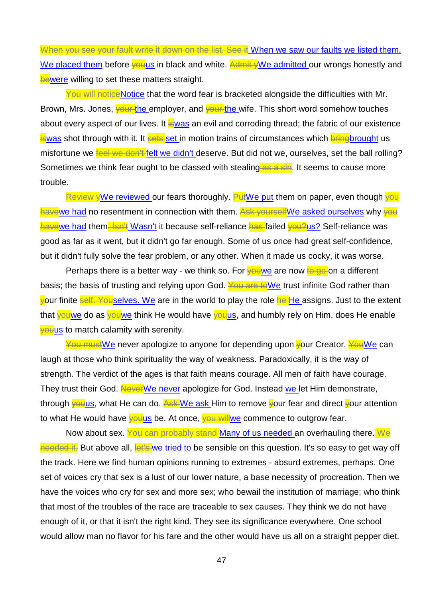When you see your fault write it down on the list. See it When we saw our faults we listed them. We placed them before you'us in black and white. Admit yWe admitted our wrongs honestly and bewere willing to set these matters straight.

You will notice Notice that the word fear is bracketed alongside the difficulties with Mr. Brown, Mrs. Jones, your the employer, and your the wife. This short word somehow touches about every aspect of our lives. It is was an evil and corroding thread; the fabric of our existence iswas shot through with it. It sets set in motion trains of circumstances which bring brought us misfortune we **feel we don't** felt we didn't deserve. But did not we, ourselves, set the ball rolling? Sometimes we think fear ought to be classed with stealing as a sin. It seems to cause more trouble.

Review yWe reviewed our fears thoroughly. PutWe put them on paper, even though you havewe had no resentment in connection with them. Ask yourselfWe asked ourselves why you havewe had them. Isn't Wasn't it because self-reliance has failed you?us? Self-reliance was good as far as it went, but it didn't go far enough. Some of us once had great self-confidence, but it didn't fully solve the fear problem, or any other. When it made us cocky, it was worse.

Perhaps there is a better way - we think so. For you we are now to go on a different basis; the basis of trusting and relying upon God. You are to We trust infinite God rather than your finite self. Youselves. We are in the world to play the role he He assigns. Just to the extent that vouwe do as vouwe think He would have voulged and humbly rely on Him, does He enable **youus** to match calamity with serenity.

You mustWe never apologize to anyone for depending upon your Creator. YouWe can laugh at those who think spirituality the way of weakness. Paradoxically, it is the way of strength. The verdict of the ages is that faith means courage. All men of faith have courage. They trust their God. NeverWe never apologize for God. Instead we let Him demonstrate, through **youus**, what He can do. Ask We ask Him to remove your fear and direct your attention to what He would have vous be. At once, vou will we commence to outgrow fear.

Now about sex. You can probably stand Many of us needed an overhauling there. We needed it. But above all, let's we tried to be sensible on this question. It's so easy to get way off the track. Here we find human opinions running to extremes - absurd extremes, perhaps. One set of voices cry that sex is a lust of our lower nature, a base necessity of procreation. Then we have the voices who cry for sex and more sex; who bewail the institution of marriage; who think that most of the troubles of the race are traceable to sex causes. They think we do not have enough of it, or that it isn't the right kind. They see its significance everywhere. One school would allow man no flavor for his fare and the other would have us all on a straight pepper diet.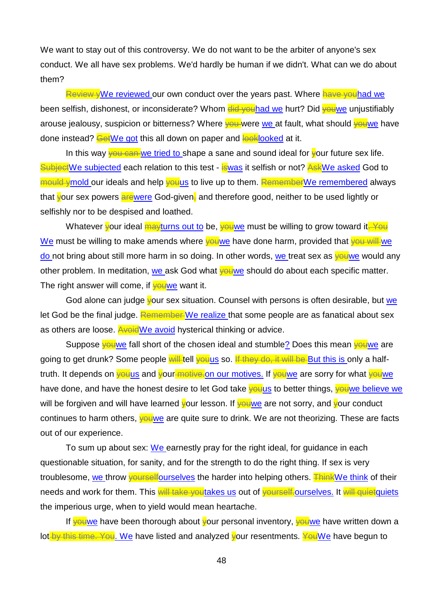We want to stay out of this controversy. We do not want to be the arbiter of anyone's sex conduct. We all have sex problems. We'd hardly be human if we didn't. What can we do about them?

Review yWe reviewed our own conduct over the years past. Where have you had we been selfish, dishonest, or inconsiderate? Whom did you had we hurt? Did you we unjustifiably arouse jealousy, suspicion or bitterness? Where vou were we at fault, what should vouwe have done instead? GetWe got this all down on paper and looklooked at it.

In this way  $\frac{1}{2}$  and we tried to shape a sane and sound ideal for  $\frac{1}{2}$  our future sex life. SubjectWe subjected each relation to this test - is was it selfish or not? AskWe asked God to mould ymold our ideals and help youus to live up to them. RememberWe remembered always that your sex powers arewere God-given. and therefore good, neither to be used lightly or selfishly nor to be despised and loathed.

Whatever your ideal may turns out to be, you we must be willing to grow toward it. You We must be willing to make amends where you we have done harm, provided that you will we do not bring about still more harm in so doing. In other words, we treat sex as vouwe would any other problem. In meditation, we ask God what vouwe should do about each specific matter. The right answer will come, if vouwe want it.

God alone can judge your sex situation. Counsel with persons is often desirable, but we let God be the final judge. Remember We realize that some people are as fanatical about sex as others are loose. Avoid We avoid hysterical thinking or advice.

Suppose you've fall short of the chosen ideal and stumble? Does this mean you've are going to get drunk? Some people will tell you us so. If they do, it will be But this is only a halftruth. It depends on youus and your motive.on our motives. If you we are sorry for what you we have done, and have the honest desire to let God take **youus** to better things, vouwe believe we will be forgiven and will have learned your lesson. If you we are not sorry, and your conduct continues to harm others, vouwe are quite sure to drink. We are not theorizing. These are facts out of our experience.

To sum up about sex: We earnestly pray for the right ideal, for guidance in each questionable situation, for sanity, and for the strength to do the right thing. If sex is very troublesome, we throw yourselfourselves the harder into helping others. ThinkWe think of their needs and work for them. This will take youtakes us out of yourself. ourselves. It will quiet quiets the imperious urge, when to yield would mean heartache.

If  $\frac{1}{2}$  you we have been thorough about  $\frac{1}{2}$  our personal inventory,  $\frac{1}{2}$  you we have written down a lot by this time. You. We have listed and analyzed your resentments. You We have begun to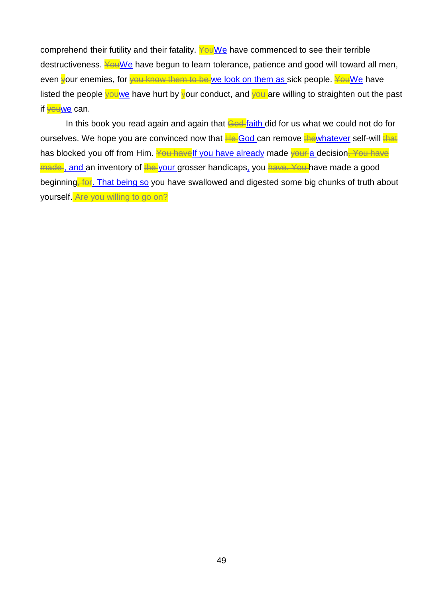comprehend their futility and their fatality. You We have commenced to see their terrible destructiveness. You We have begun to learn tolerance, patience and good will toward all men, even your enemies, for you know them to be we look on them as sick people. YouWe have listed the people **you've** have hurt by your conduct, and you are willing to straighten out the past if **youwe** can.

In this book you read again and again that **God** faith did for us what we could not do for ourselves. We hope you are convinced now that He God can remove the whatever self-will that has blocked you off from Him. You have If you have already made your a decision. You have made, and an inventory of the your grosser handicaps, you have. You have made a good beginning, for. That being so you have swallowed and digested some big chunks of truth about yourself. Are you willing to go on?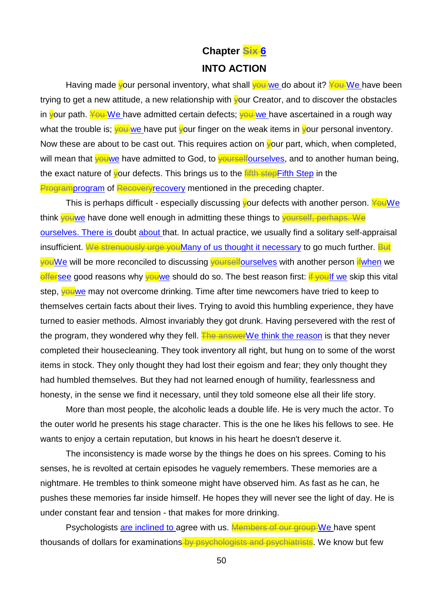# **Chapter Six 6 INTO ACTION**

Having made your personal inventory, what shall you we do about it? You We have been trying to get a new attitude, a new relationship with  $\frac{1}{2}$  our Creator, and to discover the obstacles in your path. You We have admitted certain defects; you we have ascertained in a rough way what the trouble is;  $\frac{1}{2}$  we have put  $\frac{1}{2}$  our finger on the weak items in  $\frac{1}{2}$  our personal inventory. Now these are about to be cast out. This requires action on  $\sqrt{x}$  pur part, which, when completed, will mean that **you** we have admitted to God, to **yourselfourselves**, and to another human being, the exact nature of your defects. This brings us to the  $\frac{f\{f\}}{f}$  step Fifth Step in the **Programprogram of Recovery recovery mentioned in the preceding chapter.** 

This is perhaps difficult - especially discussing your defects with another person. YouWe think youwe have done well enough in admitting these things to yourself, perhaps. We ourselves. There is doubt about that. In actual practice, we usually find a solitary self-appraisal insufficient. We strenuously urge you Many of us thought it necessary to go much further. But youWe will be more reconciled to discussing vourselfourselves with another person if when we offersee good reasons why vouwe should do so. The best reason first: if youIf we skip this vital step, **you've** may not overcome drinking. Time after time newcomers have tried to keep to themselves certain facts about their lives. Trying to avoid this humbling experience, they have turned to easier methods. Almost invariably they got drunk. Having persevered with the rest of the program, they wondered why they fell. The answerWe think the reason is that they never completed their housecleaning. They took inventory all right, but hung on to some of the worst items in stock. They only thought they had lost their egoism and fear; they only thought they had humbled themselves. But they had not learned enough of humility, fearlessness and honesty, in the sense we find it necessary, until they told someone else all their life story.

More than most people, the alcoholic leads a double life. He is very much the actor. To the outer world he presents his stage character. This is the one he likes his fellows to see. He wants to enjoy a certain reputation, but knows in his heart he doesn't deserve it.

The inconsistency is made worse by the things he does on his sprees. Coming to his senses, he is revolted at certain episodes he vaguely remembers. These memories are a nightmare. He trembles to think someone might have observed him. As fast as he can, he pushes these memories far inside himself. He hopes they will never see the light of day. He is under constant fear and tension - that makes for more drinking.

Psychologists are inclined to agree with us. Members of our group We have spent thousands of dollars for examinations by psychologists and psychiatrists. We know but few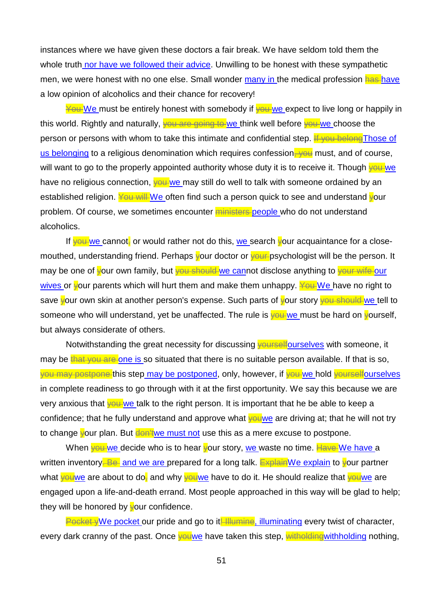instances where we have given these doctors a fair break. We have seldom told them the whole truth nor have we followed their advice. Unwilling to be honest with these sympathetic men, we were honest with no one else. Small wonder many in the medical profession has have a low opinion of alcoholics and their chance for recovery!

You We must be entirely honest with somebody if you we expect to live long or happily in this world. Rightly and naturally, vou are going to we think well before vou we choose the person or persons with whom to take this intimate and confidential step. If you belong Those of us belonging to a religious denomination which requires confession, you must, and of course, will want to go to the properly appointed authority whose duty it is to receive it. Though veu we have no religious connection, you we may still do well to talk with someone ordained by an established religion. You will We often find such a person quick to see and understand your problem. Of course, we sometimes encounter ministers people who do not understand alcoholics.

If  $\frac{1}{2}$  we cannot, or would rather not do this, we search  $\frac{1}{2}$  our acquaintance for a closemouthed, understanding friend. Perhaps your doctor or your psychologist will be the person. It may be one of your own family, but you should we cannot disclose anything to your wife our wives or your parents which will hurt them and make them unhappy. You We have no right to save your own skin at another person's expense. Such parts of your story you should we tell to someone who will understand, yet be unaffected. The rule is  $\frac{1}{2}$  we must be hard on  $\frac{1}{2}$  ourself. but always considerate of others.

Notwithstanding the great necessity for discussing **yourselfourselves** with someone, it may be that you are one is so situated that there is no suitable person available. If that is so, you may postpone this step may be postponed, only, however, if you we hold yourselfourselves in complete readiness to go through with it at the first opportunity. We say this because we are very anxious that veu we talk to the right person. It is important that he be able to keep a confidence; that he fully understand and approve what you we are driving at; that he will not try to change your plan. But  $\frac{d}{dt}$  we must not use this as a mere excuse to postpone.

When  $\frac{1}{2}$  we decide who is to hear  $\frac{1}{2}$  our story, we waste no time. Have We have a written inventory. Be and we are prepared for a long talk. Explain We explain to your partner what you we are about to do, and why you we have to do it. He should realize that you we are engaged upon a life-and-death errand. Most people approached in this way will be glad to help; they will be honored by  $\frac{1}{2}$  our confidence.

Pocket yWe pocket our pride and go to it Humine, illuminating every twist of character, every dark cranny of the past. Once **you** we have taken this step, witholding withholding nothing,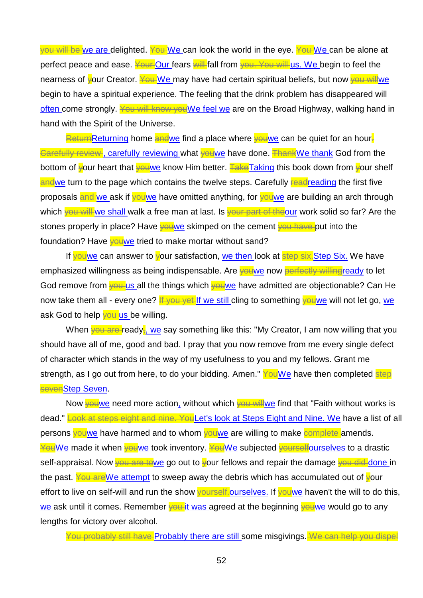you will be we are delighted. You We can look the world in the eye. You We can be alone at perfect peace and ease. Your Our fears will fall from you. You will us. We begin to feel the nearness of your Creator. You We may have had certain spiritual beliefs, but now you willwe begin to have a spiritual experience. The feeling that the drink problem has disappeared will often come strongly. You will know you We feel we are on the Broad Highway, walking hand in hand with the Spirit of the Universe.

ReturnReturning home andwe find a place where vouwe can be quiet for an hour. Carefully review, carefully reviewing what you've have done. ThankWe thank God from the bottom of your heart that you we know Him better. Take Taking this book down from your shelf andwe turn to the page which contains the twelve steps. Carefully readreading the first five proposals and we ask if vouwe have omitted anything, for vouwe are building an arch through which you will we shall walk a free man at last. Is your part of theour work solid so far? Are the stones properly in place? Have you we skimped on the cement you have put into the foundation? Have **you** we tried to make mortar without sand?

If youwe can answer to your satisfaction, we then look at step six. Step Six. We have emphasized willingness as being indispensable. Are vouwe now perfectly willingready to let God remove from **you us** all the things which **you've** have admitted are objectionable? Can He now take them all - every one? If you yet If we still cling to something you've will not let go, we ask God to help vou us be willing.

When you are ready, we say something like this: "My Creator, I am now willing that you should have all of me, good and bad. I pray that you now remove from me every single defect of character which stands in the way of my usefulness to you and my fellows. Grant me strength, as I go out from here, to do your bidding. Amen." You We have then completed step sevenStep Seven.

Now **youwe** need more action, without which **you will** we find that "Faith without works is dead." Look at steps eight and nine. You Let's look at Steps Eight and Nine. We have a list of all persons vouwe have harmed and to whom vouwe are willing to make complete amends. YouWe made it when youwe took inventory. YouWe subjected vourselfourselves to a drastic self-appraisal. Now you are towe go out to your fellows and repair the damage you did done in the past. You are We attempt to sweep away the debris which has accumulated out of  $\frac{1}{2}$ our effort to live on self-will and run the show yourself. ourselves. If you've haven't the will to do this, we ask until it comes. Remember you it was agreed at the beginning youwe would go to any lengths for victory over alcohol.

You probably still have Probably there are still some misgivings. We can help you dispel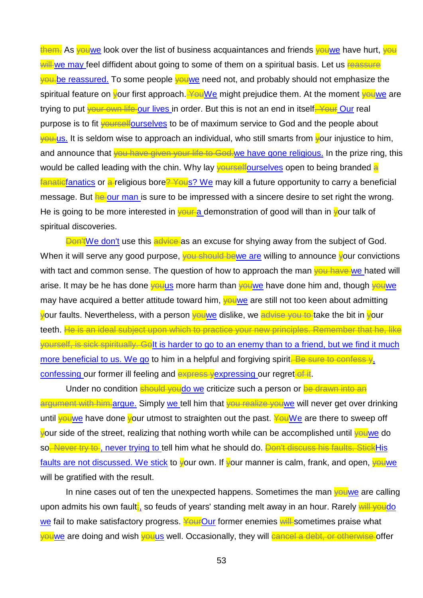them. As youwe look over the list of business acquaintances and friends youwe have hurt, you will we may feel diffident about going to some of them on a spiritual basis. Let us reassure you.be reassured. To some people you we need not, and probably should not emphasize the spiritual feature on your first approach. You We might prejudice them. At the moment you we are trying to put vour own life our lives in order. But this is not an end in itself. Your Our real purpose is to fit vourselfourselves to be of maximum service to God and the people about  $\frac{1}{2}$ you.us. It is seldom wise to approach an individual, who still smarts from  $\frac{1}{2}$ our injustice to him, and announce that you have given your life to God. we have gone religious. In the prize ring, this would be called leading with the chin. Why lay vourselfourselves open to being branded a fanaticfanatics or a religious bore? Yous? We may kill a future opportunity to carry a beneficial message. But he our man is sure to be impressed with a sincere desire to set right the wrong. He is going to be more interested in  $\frac{1}{2}$  demonstration of good will than in  $\frac{1}{2}$  our talk of spiritual discoveries.

**Don'tWe don't use this advice-as an excuse for shying away from the subject of God.** When it will serve any good purpose, you should be we are willing to announce your convictions with tact and common sense. The question of how to approach the man you have we hated will arise. It may be he has done vous more harm than vouwe have done him and, though vouwe may have acquired a better attitude toward him, vouwe are still not too keen about admitting your faults. Nevertheless, with a person youwe dislike, we advise you to take the bit in your teeth. He is an ideal subject upon which to practice your new principles. Remember that he, like yourself, is sick spiritually. Golt is harder to go to an enemy than to a friend, but we find it much more beneficial to us. We go to him in a helpful and forgiving spirit. Be sure to confess  $\mathbf{y}$ , confessing our former ill feeling and **express yexpressing our regret-of it.** 

Under no condition should youdo we criticize such a person or be drawn into an argument with him.argue. Simply we tell him that vou realize you we will never get over drinking until **youwe** have done your utmost to straighten out the past. YouWe are there to sweep off your side of the street, realizing that nothing worth while can be accomplished until vouwe do so. Never try to , never trying to tell him what he should do. Don't discuss his faults. StickHis faults are not discussed. We stick to your own. If your manner is calm, frank, and open, you we will be gratified with the result.

In nine cases out of ten the unexpected happens. Sometimes the man you we are calling upon admits his own fault<sup>1</sup>, so feuds of years' standing melt away in an hour. Rarely will you do we fail to make satisfactory progress. Your former enemies will sometimes praise what youwe are doing and wish you'us well. Occasionally, they will cancel a debt, or otherwise offer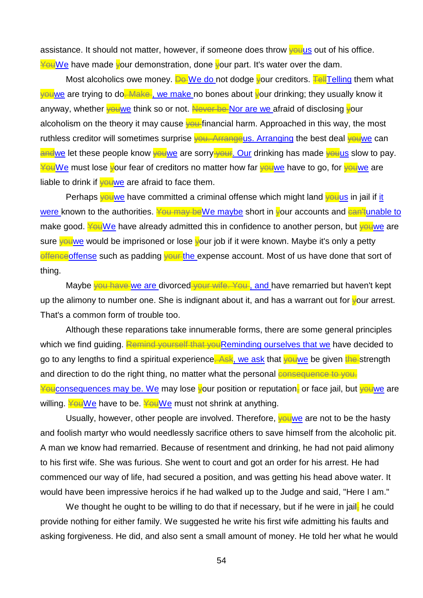assistance. It should not matter, however, if someone does throw vous out of his office. YouWe have made your demonstration, done your part. It's water over the dam.

Most alcoholics owe money.  $\overline{De}$  We do not dodge your creditors. Tell Telling them what youwe are trying to do. Make, we make no bones about your drinking; they usually know it anyway, whether vouwe think so or not. Never be Nor are we afraid of disclosing vour alcoholism on the theory it may cause  $\frac{1}{2}$  financial harm. Approached in this way, the most ruthless creditor will sometimes surprise you. Arrangeus. Arranging the best deal youwe can andwe let these people know vouwe are sorry your. Our drinking has made vous slow to pay. YouWe must lose your fear of creditors no matter how far vouwe have to go, for vouwe are liable to drink if  $\frac{1}{2}$  you we are afraid to face them.

Perhaps  $\frac{1}{2}$  Perhaps  $\frac{1}{2}$  is committed a criminal offense which might land  $\frac{1}{2}$  and if it were known to the authorities. You may be We may be short in your accounts and  $\frac{1}{\text{can't}}$  unable to make good. YouWe have already admitted this in confidence to another person, but you we are sure youwe would be imprisoned or lose your job if it were known. Maybe it's only a petty offence offense such as padding your the expense account. Most of us have done that sort of thing.

Maybe you have we are divorced your wife. You, and have remarried but haven't kept up the alimony to number one. She is indignant about it, and has a warrant out for  $\frac{1}{2}$ our arrest. That's a common form of trouble too.

Although these reparations take innumerable forms, there are some general principles which we find guiding. Remind yourself that you Reminding ourselves that we have decided to go to any lengths to find a spiritual experience. Ask, we ask that you we be given the strength and direction to do the right thing, no matter what the personal consequence to you. Youconsequences may be. We may lose your position or reputation, or face jail, but vouwe are willing. YouWe have to be. YouWe must not shrink at anything.

Usually, however, other people are involved. Therefore, vouwe are not to be the hasty and foolish martyr who would needlessly sacrifice others to save himself from the alcoholic pit. A man we know had remarried. Because of resentment and drinking, he had not paid alimony to his first wife. She was furious. She went to court and got an order for his arrest. He had commenced our way of life, had secured a position, and was getting his head above water. It would have been impressive heroics if he had walked up to the Judge and said, "Here I am."

We thought he ought to be willing to do that if necessary, but if he were in jail, he could provide nothing for either family. We suggested he write his first wife admitting his faults and asking forgiveness. He did, and also sent a small amount of money. He told her what he would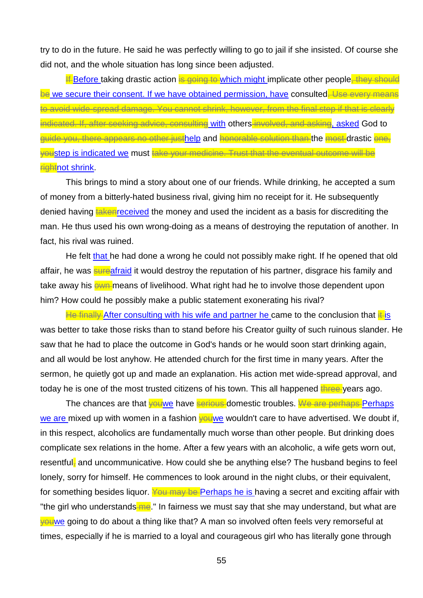try to do in the future. He said he was perfectly willing to go to jail if she insisted. Of course she did not, and the whole situation has long since been adjusted.

**If Before taking drastic action is going to which might implicate other people, they should** be we secure their consent. If we have obtained permission, have consulted Use every means to avoid wide-spread damage. You cannot shrink, however, from the final step if that is clearly indicated. If, after seeking advice, consulting with others involved, and asking, asked God to guide you, there appears no other justhelp and honorable solution than the most drastic one, youstep is indicated we must take your medicine. Trust that the eventual outcome will be **Right**not shrink.

This brings to mind a story about one of our friends. While drinking, he accepted a sum of money from a bitterly-hated business rival, giving him no receipt for it. He subsequently denied having **taken** received the money and used the incident as a basis for discrediting the man. He thus used his own wrong-doing as a means of destroying the reputation of another. In fact, his rival was ruined.

He felt that he had done a wrong he could not possibly make right. If he opened that old affair, he was sureafraid it would destroy the reputation of his partner, disgrace his family and take away his **own** means of livelihood. What right had he to involve those dependent upon him? How could he possibly make a public statement exonerating his rival?

He finally After consulting with his wife and partner he came to the conclusion that  $\frac{1}{1}$  is was better to take those risks than to stand before his Creator guilty of such ruinous slander. He saw that he had to place the outcome in God's hands or he would soon start drinking again, and all would be lost anyhow. He attended church for the first time in many years. After the sermon, he quietly got up and made an explanation. His action met wide-spread approval, and today he is one of the most trusted citizens of his town. This all happened three-years ago.

The chances are that **youwe have serious** domestic troubles. We are perhaps Perhaps we are mixed up with women in a fashion you wouldn't care to have advertised. We doubt if, in this respect, alcoholics are fundamentally much worse than other people. But drinking does complicate sex relations in the home. After a few years with an alcoholic, a wife gets worn out, resentful, and uncommunicative. How could she be anything else? The husband begins to feel lonely, sorry for himself. He commences to look around in the night clubs, or their equivalent, for something besides liquor. You may be Perhaps he is having a secret and exciting affair with "the girl who understands me." In fairness we must say that she may understand, but what are youwe going to do about a thing like that? A man so involved often feels very remorseful at times, especially if he is married to a loyal and courageous girl who has literally gone through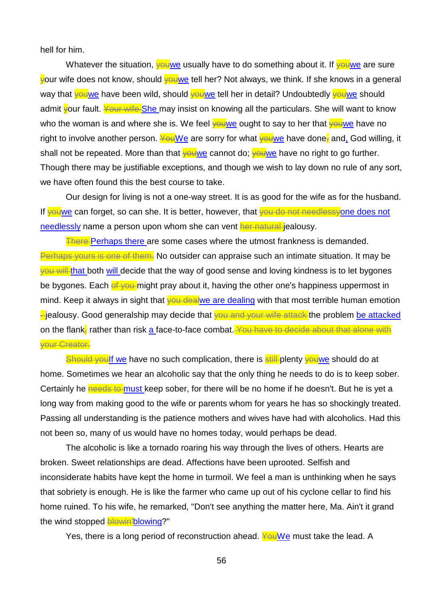hell for him.

Whatever the situation, you we usually have to do something about it. If you we are sure your wife does not know, should vouwe tell her? Not always, we think. If she knows in a general way that **you've** have been wild, should you've tell her in detail? Undoubtedly you've should admit your fault. Your wife She may insist on knowing all the particulars. She will want to know who the woman is and where she is. We feel  $\frac{1}{2}$  we ought to say to her that  $\frac{1}{2}$  we have no right to involve another person. You We are sorry for what vouwe have done, and, God willing, it shall not be repeated. More than that veuwe cannot do; veuwe have no right to go further. Though there may be justifiable exceptions, and though we wish to lay down no rule of any sort, we have often found this the best course to take.

Our design for living is not a one-way street. It is as good for the wife as for the husband. If you we can forget, so can she. It is better, however, that you do not needlessyone does not needlessly name a person upon whom she can vent her natural jealousy.

**There-Perhaps there are some cases where the utmost frankness is demanded.** Perhaps yours is one of them. No outsider can appraise such an intimate situation. It may be **you will** that both will decide that the way of good sense and loving kindness is to let bygones be bygones. Each of you might pray about it, having the other one's happiness uppermost in mind. Keep it always in sight that vou dealwe are dealing with that most terrible human emotion  $\equiv$ iealousy. Good generalship may decide that  $\frac{1}{2}$  wour wife attack the problem be attacked on the flank, rather than risk a face-to-face combat. You have to decide about that alone with your Creator.

Should youIf we have no such complication, there is still plenty youwe should do at home. Sometimes we hear an alcoholic say that the only thing he needs to do is to keep sober. Certainly he needs to must keep sober, for there will be no home if he doesn't. But he is yet a long way from making good to the wife or parents whom for years he has so shockingly treated. Passing all understanding is the patience mothers and wives have had with alcoholics. Had this not been so, many of us would have no homes today, would perhaps be dead.

The alcoholic is like a tornado roaring his way through the lives of others. Hearts are broken. Sweet relationships are dead. Affections have been uprooted. Selfish and inconsiderate habits have kept the home in turmoil. We feel a man is unthinking when he says that sobriety is enough. He is like the farmer who came up out of his cyclone cellar to find his home ruined. To his wife, he remarked, "Don't see anything the matter here, Ma. Ain't it grand the wind stopped **blowin'**blowing?"

Yes, there is a long period of reconstruction ahead. You We must take the lead. A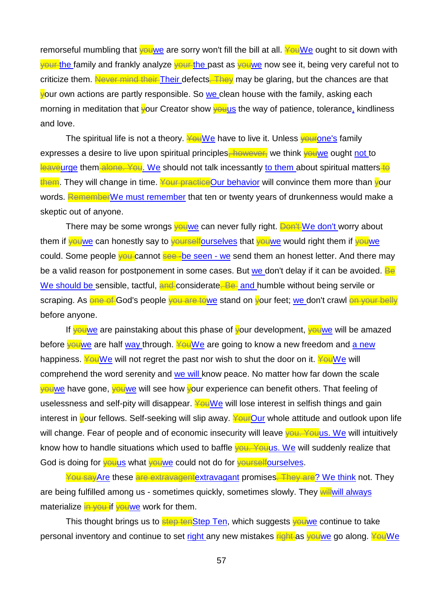remorseful mumbling that vouwe are sorry won't fill the bill at all. You We ought to sit down with your the family and frankly analyze your the past as you we now see it, being very careful not to criticize them. Never mind their Their defects. They may be glaring, but the chances are that your own actions are partly responsible. So we clean house with the family, asking each morning in meditation that your Creator show you us the way of patience, tolerance, kindliness and love.

The spiritual life is not a theory. You We have to live it. Unless your one's family expresses a desire to live upon spiritual principles. however, we think you we ought not to leaveurge them alone. You. We should not talk incessantly to them about spiritual matters to them. They will change in time. Your practice Our behavior will convince them more than your words. RememberWe must remember that ten or twenty years of drunkenness would make a skeptic out of anyone.

There may be some wrongs youwe can never fully right. Don't We don't worry about them if youwe can honestly say to yourselfourselves that youwe would right them if youwe could. Some people you cannot see -be seen - we send them an honest letter. And there may be a valid reason for postponement in some cases. But we don't delay if it can be avoided. Be We should be sensible, tactful, and considerate. Be and humble without being servile or scraping. As one of God's people you are towe stand on your feet; we don't crawl on your belly before anyone.

If  $\frac{1}{2}$  you we are painstaking about this phase of  $\frac{1}{2}$  our development,  $\frac{1}{2}$  you will be amazed before you'we are half way through. You'll are going to know a new freedom and a new happiness. YouWe will not regret the past nor wish to shut the door on it. YouWe will comprehend the word serenity and we will know peace. No matter how far down the scale youwe have gone, youwe will see how your experience can benefit others. That feeling of uselessness and self-pity will disappear. You We will lose interest in selfish things and gain interest in your fellows. Self-seeking will slip away. Your whole attitude and outlook upon life will change. Fear of people and of economic insecurity will leave vou. Young, We will intuitively know how to handle situations which used to baffle **you. You'us. We will suddenly realize that** God is doing for vous what vouwe could not do for vourselfourselves.

You sayAre these are extravagentextravagant promises. They are? We think not. They are being fulfilled among us - sometimes quickly, sometimes slowly. They will will always materialize in you if you we work for them.

This thought brings us to step tenStep Ten, which suggests you we continue to take personal inventory and continue to set right any new mistakes right as youwe go along. YouWe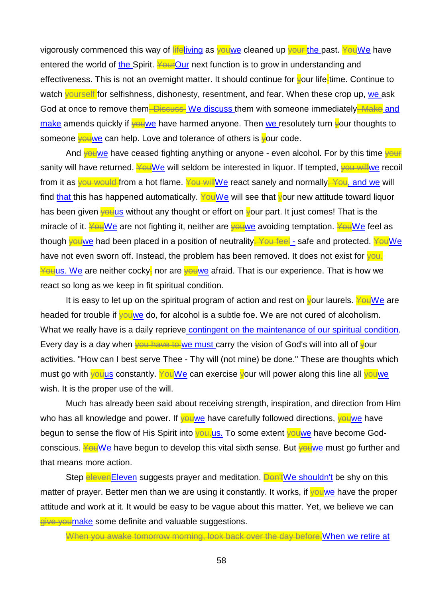vigorously commenced this way of lifeliving as vouwe cleaned up vour the past. YouWe have entered the world of the Spirit. Your next function is to grow in understanding and effectiveness. This is not an overnight matter. It should continue for  $\frac{1}{2}$  our life-time. Continue to watch yourself for selfishness, dishonesty, resentment, and fear. When these crop up, we ask God at once to remove them. Discuss. We discuss them with someone immediately. Make and make amends quickly if you we have harmed anyone. Then we resolutely turn your thoughts to someone  $\frac{1}{2}$  you we can help. Love and tolerance of others is  $\frac{1}{2}$  our code.

And vouwe have ceased fighting anything or anyone - even alcohol. For by this time vour sanity will have returned. YouWe will seldom be interested in liquor. If tempted, vou willwe recoil from it as you would from a hot flame. You will We react sanely and normally. You, and we will find that this has happened automatically. You We will see that your new attitude toward liquor has been given  $\frac{1}{2}$  without any thought or effort on  $\frac{1}{2}$  our part. It just comes! That is the miracle of it. You We are not fighting it, neither are you we avoiding temptation. You We feel as though youwe had been placed in a position of neutrality. You feel - safe and protected. YouWe have not even sworn off. Instead, the problem has been removed. It does not exist for vou. Youus. We are neither cocky, nor are youwe afraid. That is our experience. That is how we react so long as we keep in fit spiritual condition.

It is easy to let up on the spiritual program of action and rest on  $\frac{1}{2}$  our laurels.  $\frac{1}{2}$  we are headed for trouble if vouwe do, for alcohol is a subtle foe. We are not cured of alcoholism. What we really have is a daily reprieve contingent on the maintenance of our spiritual condition. Every day is a day when you have to we must carry the vision of God's will into all of your activities. "How can I best serve Thee - Thy will (not mine) be done." These are thoughts which must go with you'us constantly. You We can exercise your will power along this line all you've wish. It is the proper use of the will.

Much has already been said about receiving strength, inspiration, and direction from Him who has all knowledge and power. If vouwe have carefully followed directions, vouwe have begun to sense the flow of His Spirit into vou. To some extent vouwe have become Godconscious. You We have begun to develop this vital sixth sense. But vouwe must go further and that means more action.

Step eleven Eleven suggests prayer and meditation. Don't We shouldn't be shy on this matter of prayer. Better men than we are using it constantly. It works, if you've have the proper attitude and work at it. It would be easy to be vague about this matter. Yet, we believe we can give you make some definite and valuable suggestions.

When you awake tomorrow morning, look back over the day before. When we retire at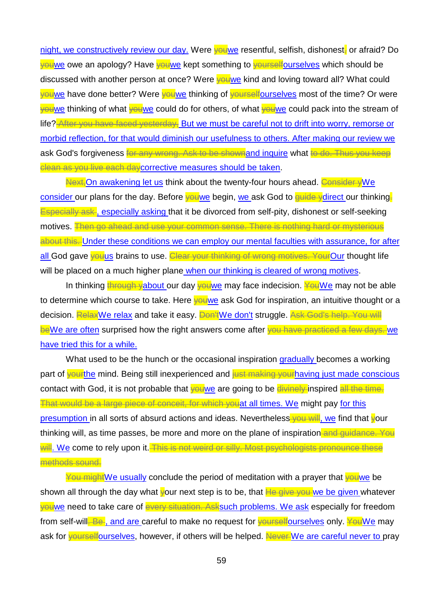night, we constructively review our day. Were vouwe resentful, selfish, dishonest, or afraid? Do youwe owe an apology? Have youwe kept something to yourselfourselves which should be discussed with another person at once? Were you've kind and loving toward all? What could youwe have done better? Were youwe thinking of yourselfourselves most of the time? Or were youwe thinking of what youwe could do for others, of what youwe could pack into the stream of life? After you have faced vesterday. But we must be careful not to drift into worry, remorse or morbid reflection, for that would diminish our usefulness to others. After making our review we ask God's forgiveness for any wrong. Ask to be shownand inquire what to do. Thus you keep clean as you live each daycorrective measures should be taken.

Next, On awakening let us think about the twenty-four hours ahead. Consider y We consider our plans for the day. Before  $\frac{1}{2}$  we begin, we ask God to  $\frac{1}{2}$  direct our thinking. Especially ask, especially asking that it be divorced from self-pity, dishonest or self-seeking motives. Then go ahead and use your common sense. There is nothing hard or mysterious about this. Under these conditions we can employ our mental faculties with assurance, for after all God gave youus brains to use. Clear your thinking of wrong motives. YourOur thought life will be placed on a much higher plane when our thinking is cleared of wrong motives.

In thinking through yabout our day youwe may face indecision. You We may not be able to determine which course to take. Here vouwe ask God for inspiration, an intuitive thought or a decision. RelaxWe relax and take it easy. Don'tWe don't struggle. Ask God's help. You will beWe are often surprised how the right answers come after you have practiced a few days. we have tried this for a while.

What used to be the hunch or the occasional inspiration gradually becomes a working part of vourthe mind. Being still inexperienced and just making your having just made conscious contact with God, it is not probable that vouwe are going to be divinely inspired all the time. That would be a large piece of conceit, for which youat all times. We might pay for this presumption in all sorts of absurd actions and ideas. Nevertheless you will, we find that your thinking will, as time passes, be more and more on the plane of inspiration and guidance. You will. We come to rely upon it. This is not weird or silly. Most psychologists pronounce these methods sound.

You might We usually conclude the period of meditation with a prayer that vouwe be shown all through the day what your next step is to be, that  $He$  give you we be given whatever youwe need to take care of every situation. Ask such problems. We ask especially for freedom from self-will. Be, and are careful to make no request for vourselfourselves only. YouWe may ask for vourselfourselves, however, if others will be helped. Never We are careful never to pray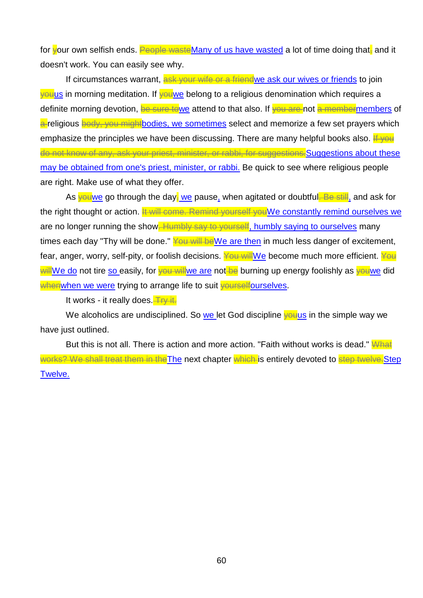for your own selfish ends. People waste Many of us have wasted a lot of time doing that, and it doesn't work. You can easily see why.

If circumstances warrant, ask your wife or a friendwe ask our wives or friends to join **youus** in morning meditation. If vouwe belong to a religious denomination which requires a definite morning devotion, be sure towe attend to that also. If you are not a membermembers of a religious body, you mightbodies, we sometimes select and memorize a few set prayers which emphasize the principles we have been discussing. There are many helpful books also. If you do not know of any, ask your priest, minister, or rabbi, for suggestions. Suggestions about these may be obtained from one's priest, minister, or rabbi. Be quick to see where religious people are right. Make use of what they offer.

As **youwe** go through the day, we pause, when agitated or doubtful Be still, and ask for the right thought or action. It will come. Remind yourself you We constantly remind ourselves we are no longer running the show. Humbly say to yourself, humbly saying to ourselves many times each day "Thy will be done."  $\frac{1}{2}$  will be We are then in much less danger of excitement, fear, anger, worry, self-pity, or foolish decisions. You will We become much more efficient. You willWe do not tire so easily, for vou willwe are not be burning up energy foolishly as vouwe did when we were trying to arrange life to suit vourselfourselves.

It works - it really does. Truit.

We alcoholics are undisciplined. So we let God discipline vous in the simple way we have just outlined.

But this is not all. There is action and more action. "Faith without works is dead." What works? We shall treat them in the The next chapter which is entirely devoted to step twelve. Step Twelve.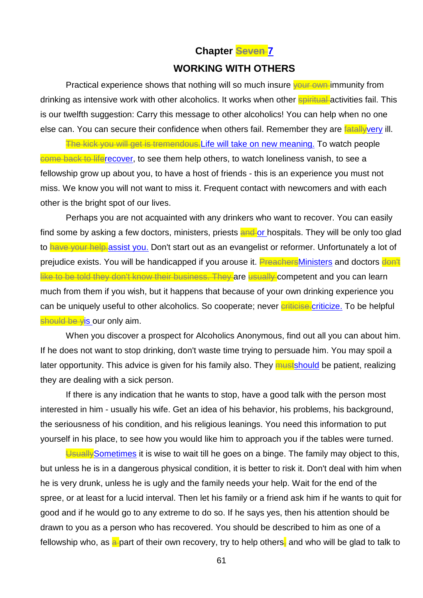## **Chapter Seven 7**

### **WORKING WITH OTHERS**

Practical experience shows that nothing will so much insure your own immunity from drinking as intensive work with other alcoholics. It works when other **spiritual** activities fail. This is our twelfth suggestion: Carry this message to other alcoholics! You can help when no one else can. You can secure their confidence when others fail. Remember they are **fatally** very ill.

The kick you will get is tremendous.Life will take on new meaning. To watch people come back to life recover, to see them help others, to watch loneliness vanish, to see a fellowship grow up about you, to have a host of friends - this is an experience you must not miss. We know you will not want to miss it. Frequent contact with newcomers and with each other is the bright spot of our lives.

Perhaps you are not acquainted with any drinkers who want to recover. You can easily find some by asking a few doctors, ministers, priests and or hospitals. They will be only too glad to have your help assist you. Don't start out as an evangelist or reformer. Unfortunately a lot of prejudice exists. You will be handicapped if you arouse it. Preachers Ministers and doctors don't like to be told they don't know their business. They are usually competent and you can learn much from them if you wish, but it happens that because of your own drinking experience you can be uniquely useful to other alcoholics. So cooperate; never **criticise** criticize. To be helpful should be yis our only aim.

When you discover a prospect for Alcoholics Anonymous, find out all you can about him. If he does not want to stop drinking, don't waste time trying to persuade him. You may spoil a later opportunity. This advice is given for his family also. They **must should be patient**, realizing they are dealing with a sick person.

If there is any indication that he wants to stop, have a good talk with the person most interested in him - usually his wife. Get an idea of his behavior, his problems, his background, the seriousness of his condition, and his religious leanings. You need this information to put yourself in his place, to see how you would like him to approach you if the tables were turned.

Usually Sometimes it is wise to wait till he goes on a binge. The family may object to this, but unless he is in a dangerous physical condition, it is better to risk it. Don't deal with him when he is very drunk, unless he is ugly and the family needs your help. Wait for the end of the spree, or at least for a lucid interval. Then let his family or a friend ask him if he wants to quit for good and if he would go to any extreme to do so. If he says yes, then his attention should be drawn to you as a person who has recovered. You should be described to him as one of a fellowship who, as  $a$  part of their own recovery, try to help others, and who will be glad to talk to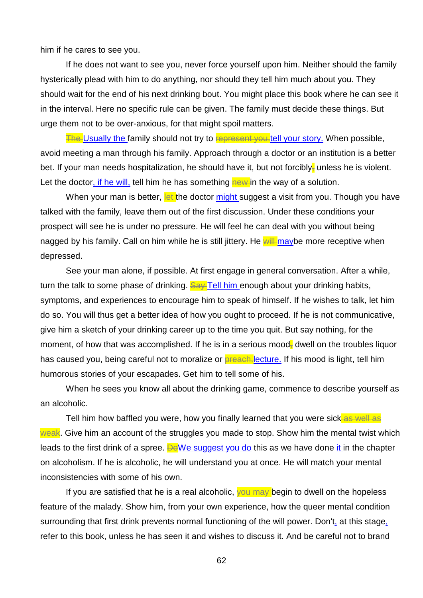him if he cares to see you.

If he does not want to see you, never force yourself upon him. Neither should the family hysterically plead with him to do anything, nor should they tell him much about you. They should wait for the end of his next drinking bout. You might place this book where he can see it in the interval. Here no specific rule can be given. The family must decide these things. But urge them not to be over-anxious, for that might spoil matters.

The Usually the family should not try to represent you.tell your story. When possible, avoid meeting a man through his family. Approach through a doctor or an institution is a better bet. If your man needs hospitalization, he should have it, but not forcibly, unless he is violent. Let the doctor, if he will, tell him he has something  $\frac{\text{new}}{\text{new}}$  in the way of a solution.

When your man is better, let the doctor might suggest a visit from you. Though you have talked with the family, leave them out of the first discussion. Under these conditions your prospect will see he is under no pressure. He will feel he can deal with you without being nagged by his family. Call on him while he is still jittery. He will maybe more receptive when depressed.

See your man alone, if possible. At first engage in general conversation. After a while, turn the talk to some phase of drinking. Say Tell him enough about your drinking habits, symptoms, and experiences to encourage him to speak of himself. If he wishes to talk, let him do so. You will thus get a better idea of how you ought to proceed. If he is not communicative, give him a sketch of your drinking career up to the time you quit. But say nothing, for the moment, of how that was accomplished. If he is in a serious mood, dwell on the troubles liquor has caused you, being careful not to moralize or **preach.** ecture. If his mood is light, tell him humorous stories of your escapades. Get him to tell some of his.

When he sees you know all about the drinking game, commence to describe yourself as an alcoholic.

Tell him how baffled you were, how you finally learned that you were sick as well as weak. Give him an account of the struggles you made to stop. Show him the mental twist which leads to the first drink of a spree.  $\overline{$  DeWe suggest you do this as we have done it in the chapter on alcoholism. If he is alcoholic, he will understand you at once. He will match your mental inconsistencies with some of his own.

If you are satisfied that he is a real alcoholic,  $\frac{1}{2}$   $\frac{1}{2}$   $\frac{1}{2}$  and the hopeless feature of the malady. Show him, from your own experience, how the queer mental condition surrounding that first drink prevents normal functioning of the will power. Don't, at this stage, refer to this book, unless he has seen it and wishes to discuss it. And be careful not to brand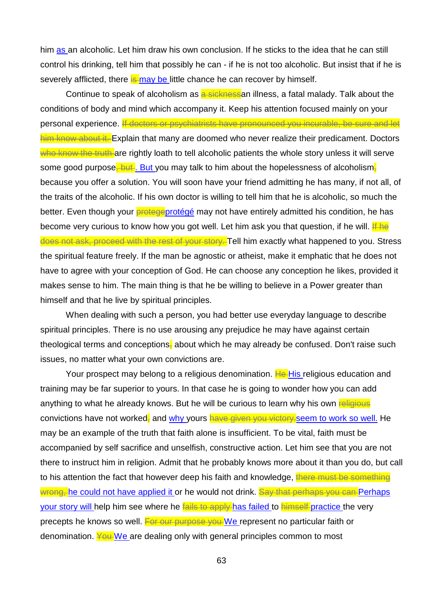him as an alcoholic. Let him draw his own conclusion. If he sticks to the idea that he can still control his drinking, tell him that possibly he can - if he is not too alcoholic. But insist that if he is severely afflicted, there is may be little chance he can recover by himself.

Continue to speak of alcoholism as a sicknessan illness, a fatal malady. Talk about the conditions of body and mind which accompany it. Keep his attention focused mainly on your personal experience. If doctors or psychiatrists have pronounced you incurable, be sure and let him know about it. Explain that many are doomed who never realize their predicament. Doctors who know the truth are rightly loath to tell alcoholic patients the whole story unless it will serve some good purpose, but. But you may talk to him about the hopelessness of alcoholism. because you offer a solution. You will soon have your friend admitting he has many, if not all, of the traits of the alcoholic. If his own doctor is willing to tell him that he is alcoholic, so much the better. Even though your **protegeprotégé** may not have entirely admitted his condition, he has become very curious to know how you got well. Let him ask you that question, if he will. If he does not ask, proceed with the rest of your story. Tell him exactly what happened to you. Stress the spiritual feature freely. If the man be agnostic or atheist, make it emphatic that he does not have to agree with your conception of God. He can choose any conception he likes, provided it makes sense to him. The main thing is that he be willing to believe in a Power greater than himself and that he live by spiritual principles.

When dealing with such a person, you had better use everyday language to describe spiritual principles. There is no use arousing any prejudice he may have against certain theological terms and conceptions, about which he may already be confused. Don't raise such issues, no matter what your own convictions are.

Your prospect may belong to a religious denomination. He His religious education and training may be far superior to yours. In that case he is going to wonder how you can add anything to what he already knows. But he will be curious to learn why his own religious convictions have not worked, and why yours have given you victory. Seem to work so well. He may be an example of the truth that faith alone is insufficient. To be vital, faith must be accompanied by self sacrifice and unselfish, constructive action. Let him see that you are not there to instruct him in religion. Admit that he probably knows more about it than you do, but call to his attention the fact that however deep his faith and knowledge, there must be something wrong, he could not have applied it or he would not drink. Say that perhaps you can Perhaps your story will help him see where he fails to apply has failed to himself practice the very precepts he knows so well. For our purpose you We represent no particular faith or denomination. You We are dealing only with general principles common to most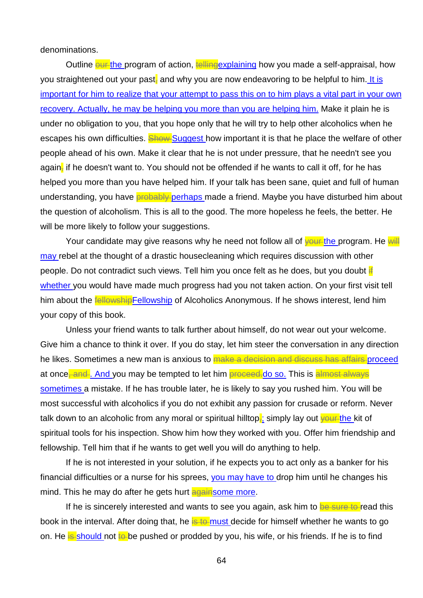denominations.

Outline **our the program of action**, telling explaining how you made a self-appraisal, how you straightened out your past, and why you are now endeavoring to be helpful to him. It is important for him to realize that your attempt to pass this on to him plays a vital part in your own recovery. Actually, he may be helping you more than you are helping him. Make it plain he is under no obligation to you, that you hope only that he will try to help other alcoholics when he escapes his own difficulties. Show Suggest how important it is that he place the welfare of other people ahead of his own. Make it clear that he is not under pressure, that he needn't see you again, if he doesn't want to. You should not be offended if he wants to call it off, for he has helped you more than you have helped him. If your talk has been sane, quiet and full of human understanding, you have **probably** perhaps made a friend. Maybe you have disturbed him about the question of alcoholism. This is all to the good. The more hopeless he feels, the better. He will be more likely to follow your suggestions.

Your candidate may give reasons why he need not follow all of vour the program. He will may rebel at the thought of a drastic housecleaning which requires discussion with other people. Do not contradict such views. Tell him you once felt as he does, but you doubt if whether you would have made much progress had you not taken action. On your first visit tell him about the **fellowship Fellowship of Alcoholics Anonymous.** If he shows interest, lend him your copy of this book.

Unless your friend wants to talk further about himself, do not wear out your welcome. Give him a chance to think it over. If you do stay, let him steer the conversation in any direction he likes. Sometimes a new man is anxious to make a decision and discuss has affairs proceed at once, and . And you may be tempted to let him proceed. do so. This is almost always sometimes a mistake. If he has trouble later, he is likely to say you rushed him. You will be most successful with alcoholics if you do not exhibit any passion for crusade or reform. Never talk down to an alcoholic from any moral or spiritual hilltop $\frac{1}{2}$ ; simply lay out  $\frac{1}{2}$  we kit of spiritual tools for his inspection. Show him how they worked with you. Offer him friendship and fellowship. Tell him that if he wants to get well you will do anything to help.

If he is not interested in your solution, if he expects you to act only as a banker for his financial difficulties or a nurse for his sprees, you may have to drop him until he changes his mind. This he may do after he gets hurt againsome more.

If he is sincerely interested and wants to see you again, ask him to be sure to read this book in the interval. After doing that, he is to must decide for himself whether he wants to go on. He is should not to be pushed or prodded by you, his wife, or his friends. If he is to find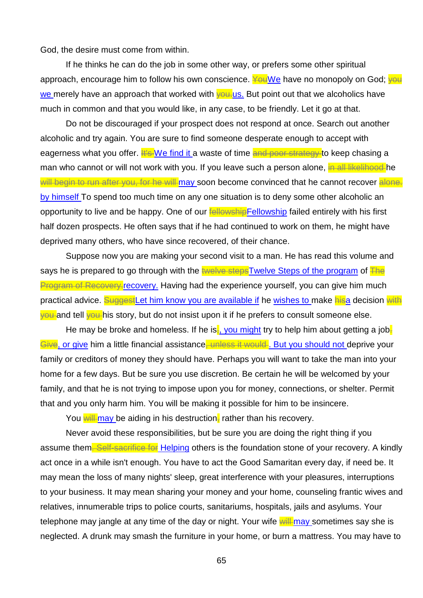God, the desire must come from within.

If he thinks he can do the job in some other way, or prefers some other spiritual approach, encourage him to follow his own conscience. You We have no monopoly on God; you we merely have an approach that worked with you. But point out that we alcoholics have much in common and that you would like, in any case, to be friendly. Let it go at that.

Do not be discouraged if your prospect does not respond at once. Search out another alcoholic and try again. You are sure to find someone desperate enough to accept with eagerness what you offer. It's We find it a waste of time and poor strategy to keep chasing a man who cannot or will not work with you. If you leave such a person alone, in all likelihood he will begin to run after you, for he will may soon become convinced that he cannot recover alone. by himself To spend too much time on any one situation is to deny some other alcoholic an opportunity to live and be happy. One of our **fellowship Fellowship** failed entirely with his first half dozen prospects. He often says that if he had continued to work on them, he might have deprived many others, who have since recovered, of their chance.

Suppose now you are making your second visit to a man. He has read this volume and says he is prepared to go through with the twelve steps Twelve Steps of the program of The **Program of Recovery.** recovery. Having had the experience yourself, you can give him much practical advice. SuggestLet him know you are available if he wishes to make hisa decision with **Vou and tell vou** his story, but do not insist upon it if he prefers to consult someone else.

He may be broke and homeless. If he is<sub> $<sub>1</sub>$ , you might try to help him about getting a job.</sub></sub> Give, or give him a little financial assistance, unless it would. But you should not deprive your family or creditors of money they should have. Perhaps you will want to take the man into your home for a few days. But be sure you use discretion. Be certain he will be welcomed by your family, and that he is not trying to impose upon you for money, connections, or shelter. Permit that and you only harm him. You will be making it possible for him to be insincere.

You will may be aiding in his destruction, rather than his recovery.

Never avoid these responsibilities, but be sure you are doing the right thing if you assume them. Self-sacrifice for Helping others is the foundation stone of your recovery. A kindly act once in a while isn't enough. You have to act the Good Samaritan every day, if need be. It may mean the loss of many nights' sleep, great interference with your pleasures, interruptions to your business. It may mean sharing your money and your home, counseling frantic wives and relatives, innumerable trips to police courts, sanitariums, hospitals, jails and asylums. Your telephone may jangle at any time of the day or night. Your wife will may sometimes say she is neglected. A drunk may smash the furniture in your home, or burn a mattress. You may have to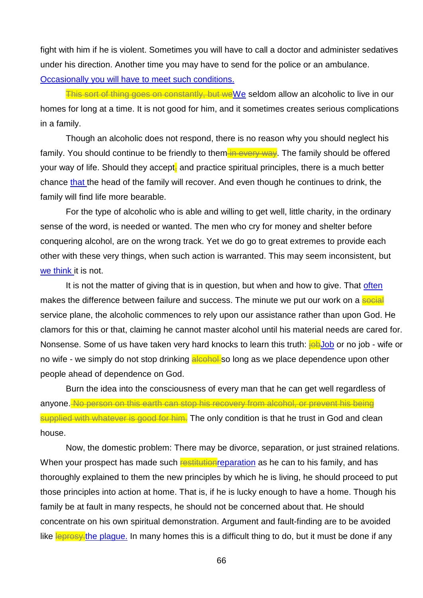fight with him if he is violent. Sometimes you will have to call a doctor and administer sedatives under his direction. Another time you may have to send for the police or an ambulance. Occasionally you will have to meet such conditions.

This sort of thing goes on constantly, but we We seldom allow an alcoholic to live in our homes for long at a time. It is not good for him, and it sometimes creates serious complications in a family.

Though an alcoholic does not respond, there is no reason why you should neglect his family. You should continue to be friendly to them in every way. The family should be offered your way of life. Should they accept- and practice spiritual principles, there is a much better chance that the head of the family will recover. And even though he continues to drink, the family will find life more bearable.

For the type of alcoholic who is able and willing to get well, little charity, in the ordinary sense of the word, is needed or wanted. The men who cry for money and shelter before conquering alcohol, are on the wrong track. Yet we do go to great extremes to provide each other with these very things, when such action is warranted. This may seem inconsistent, but we think it is not.

It is not the matter of giving that is in question, but when and how to give. That often makes the difference between failure and success. The minute we put our work on a social service plane, the alcoholic commences to rely upon our assistance rather than upon God. He clamors for this or that, claiming he cannot master alcohol until his material needs are cared for. Nonsense. Some of us have taken very hard knocks to learn this truth:  $\theta$ bJob or no job - wife or no wife - we simply do not stop drinking alcohol so long as we place dependence upon other people ahead of dependence on God.

Burn the idea into the consciousness of every man that he can get well regardless of anyone. No person on this earth can stop his recovery from alcohol, or prevent his being supplied with whatever is good for him. The only condition is that he trust in God and clean house.

Now, the domestic problem: There may be divorce, separation, or just strained relations. When your prospect has made such restitution reparation as he can to his family, and has thoroughly explained to them the new principles by which he is living, he should proceed to put those principles into action at home. That is, if he is lucky enough to have a home. Though his family be at fault in many respects, he should not be concerned about that. He should concentrate on his own spiritual demonstration. Argument and fault-finding are to be avoided like leprosy the plague. In many homes this is a difficult thing to do, but it must be done if any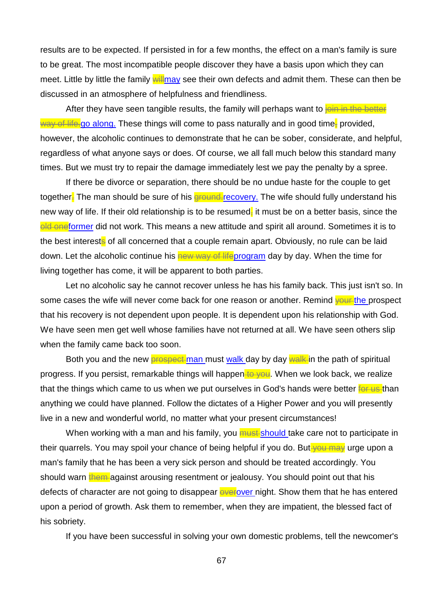results are to be expected. If persisted in for a few months, the effect on a man's family is sure to be great. The most incompatible people discover they have a basis upon which they can meet. Little by little the family will may see their own defects and admit them. These can then be discussed in an atmosphere of helpfulness and friendliness.

After they have seen tangible results, the family will perhaps want to join in the better way of life.go along. These things will come to pass naturally and in good time, provided, however, the alcoholic continues to demonstrate that he can be sober, considerate, and helpful, regardless of what anyone says or does. Of course, we all fall much below this standard many times. But we must try to repair the damage immediately lest we pay the penalty by a spree.

If there be divorce or separation, there should be no undue haste for the couple to get together. The man should be sure of his **ground** recovery. The wife should fully understand his new way of life. If their old relationship is to be resumed, it must be on a better basis, since the old oneformer did not work. This means a new attitude and spirit all around. Sometimes it is to the best interests of all concerned that a couple remain apart. Obviously, no rule can be laid down. Let the alcoholic continue his new way of lifeprogram day by day. When the time for living together has come, it will be apparent to both parties.

Let no alcoholic say he cannot recover unless he has his family back. This just isn't so. In some cases the wife will never come back for one reason or another. Remind vour the prospect that his recovery is not dependent upon people. It is dependent upon his relationship with God. We have seen men get well whose families have not returned at all. We have seen others slip when the family came back too soon.

Both you and the new **prospect** man must walk day by day walk in the path of spiritual progress. If you persist, remarkable things will happen to you. When we look back, we realize that the things which came to us when we put ourselves in God's hands were better for us than anything we could have planned. Follow the dictates of a Higher Power and you will presently live in a new and wonderful world, no matter what your present circumstances!

When working with a man and his family, you **must** should take care not to participate in their quarrels. You may spoil your chance of being helpful if you do. But you may urge upon a man's family that he has been a very sick person and should be treated accordingly. You should warn them against arousing resentment or jealousy. You should point out that his defects of character are not going to disappear **overover** night. Show them that he has entered upon a period of growth. Ask them to remember, when they are impatient, the blessed fact of his sobriety.

If you have been successful in solving your own domestic problems, tell the newcomer's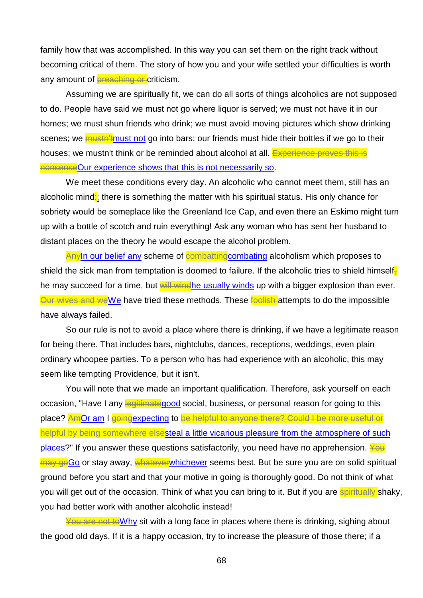family how that was accomplished. In this way you can set them on the right track without becoming critical of them. The story of how you and your wife settled your difficulties is worth any amount of **preaching or** criticism.

Assuming we are spiritually fit, we can do all sorts of things alcoholics are not supposed to do. People have said we must not go where liquor is served; we must not have it in our homes; we must shun friends who drink; we must avoid moving pictures which show drinking scenes; we muste throw not go into bars; our friends must hide their bottles if we go to their houses; we mustn't think or be reminded about alcohol at all. Experience proves this is nonsenseOur experience shows that this is not necessarily so.

We meet these conditions every day. An alcoholic who cannot meet them, still has an alcoholic mind: there is something the matter with his spiritual status. His only chance for sobriety would be someplace like the Greenland Ice Cap, and even there an Eskimo might turn up with a bottle of scotch and ruin everything! Ask any woman who has sent her husband to distant places on the theory he would escape the alcohol problem.

AnyIn our belief any scheme of combatting combating alcoholism which proposes to shield the sick man from temptation is doomed to failure. If the alcoholic tries to shield himself, he may succeed for a time, but will wind be usually winds up with a bigger explosion than ever. Our wives and weWe have tried these methods. These **foolish** attempts to do the impossible have always failed.

So our rule is not to avoid a place where there is drinking, if we have a legitimate reason for being there. That includes bars, nightclubs, dances, receptions, weddings, even plain ordinary whoopee parties. To a person who has had experience with an alcoholic, this may seem like tempting Providence, but it isn't.

You will note that we made an important qualification. Therefore, ask yourself on each occasion, "Have I any **legitimate** good social, business, or personal reason for going to this place? AmOr am I going expecting to be helpful to anyone there? Could I be more useful or helpful by being somewhere elsesteal a little vicarious pleasure from the atmosphere of such places?" If you answer these questions satisfactorily, you need have no apprehension. You may goGo or stay away, whateverwhichever seems best. But be sure you are on solid spiritual ground before you start and that your motive in going is thoroughly good. Do not think of what you will get out of the occasion. Think of what you can bring to it. But if you are spiritually shaky, you had better work with another alcoholic instead!

You are not to Why sit with a long face in places where there is drinking, sighing about the good old days. If it is a happy occasion, try to increase the pleasure of those there; if a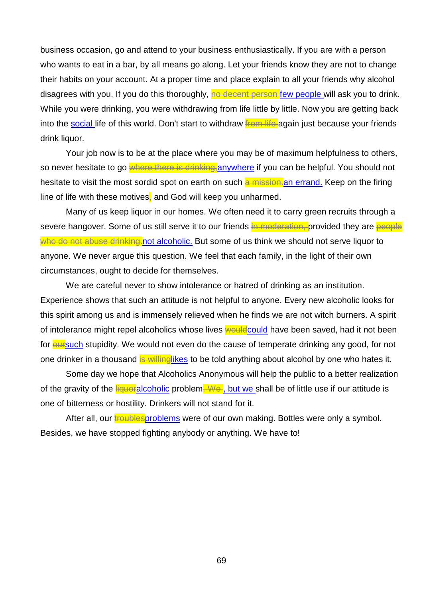business occasion, go and attend to your business enthusiastically. If you are with a person who wants to eat in a bar, by all means go along. Let your friends know they are not to change their habits on your account. At a proper time and place explain to all your friends why alcohol disagrees with you. If you do this thoroughly, no decent person few people will ask you to drink. While you were drinking, you were withdrawing from life little by little. Now you are getting back into the social life of this world. Don't start to withdraw from life again just because your friends drink liquor.

Your job now is to be at the place where you may be of maximum helpfulness to others, so never hesitate to go where there is drinking, anywhere if you can be helpful. You should not hesitate to visit the most sordid spot on earth on such a mission an errand. Keep on the firing line of life with these motives, and God will keep you unharmed.

Many of us keep liquor in our homes. We often need it to carry green recruits through a severe hangover. Some of us still serve it to our friends in moderation, provided they are people who do not abuse drinking not alcoholic. But some of us think we should not serve liquor to anyone. We never argue this question. We feel that each family, in the light of their own circumstances, ought to decide for themselves.

We are careful never to show intolerance or hatred of drinking as an institution. Experience shows that such an attitude is not helpful to anyone. Every new alcoholic looks for this spirit among us and is immensely relieved when he finds we are not witch burners. A spirit of intolerance might repel alcoholics whose lives would could have been saved, had it not been for oursuch stupidity. We would not even do the cause of temperate drinking any good, for not one drinker in a thousand is willinglikes to be told anything about alcohol by one who hates it.

Some day we hope that Alcoholics Anonymous will help the public to a better realization of the gravity of the liquoralcoholic problem. We, but we shall be of little use if our attitude is one of bitterness or hostility. Drinkers will not stand for it.

After all, our **troubles** problems were of our own making. Bottles were only a symbol. Besides, we have stopped fighting anybody or anything. We have to!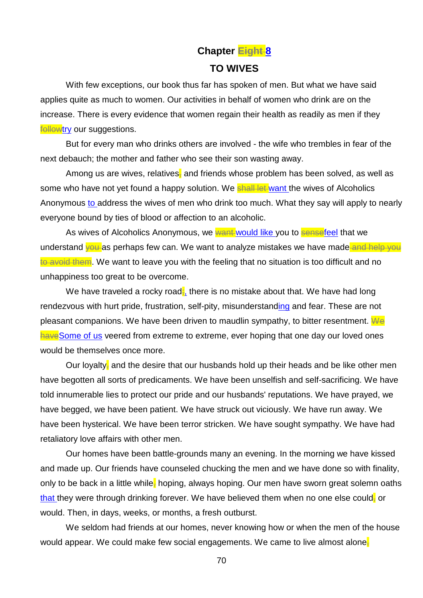## **Chapter Eight 8 TO WIVES**

With few exceptions, our book thus far has spoken of men. But what we have said applies quite as much to women. Our activities in behalf of women who drink are on the increase. There is every evidence that women regain their health as readily as men if they **followtry our suggestions.** 

But for every man who drinks others are involved - the wife who trembles in fear of the next debauch; the mother and father who see their son wasting away.

Among us are wives, relatives, and friends whose problem has been solved, as well as some who have not yet found a happy solution. We shall let want the wives of Alcoholics Anonymous to address the wives of men who drink too much. What they say will apply to nearly everyone bound by ties of blood or affection to an alcoholic.

As wives of Alcoholics Anonymous, we want would like you to sensefeel that we understand you as perhaps few can. We want to analyze mistakes we have made and help you to avoid them. We want to leave you with the feeling that no situation is too difficult and no unhappiness too great to be overcome.

We have traveled a rocky road. there is no mistake about that. We have had long rendezvous with hurt pride, frustration, self-pity, misunderstanding and fear. These are not pleasant companions. We have been driven to maudlin sympathy, to bitter resentment. We have Some of us veered from extreme to extreme, ever hoping that one day our loved ones would be themselves once more.

Our loyalty, and the desire that our husbands hold up their heads and be like other men have begotten all sorts of predicaments. We have been unselfish and self-sacrificing. We have told innumerable lies to protect our pride and our husbands' reputations. We have prayed, we have begged, we have been patient. We have struck out viciously. We have run away. We have been hysterical. We have been terror stricken. We have sought sympathy. We have had retaliatory love affairs with other men.

Our homes have been battle-grounds many an evening. In the morning we have kissed and made up. Our friends have counseled chucking the men and we have done so with finality, only to be back in a little while-hoping, always hoping. Our men have sworn great solemn oaths that they were through drinking forever. We have believed them when no one else could, or would. Then, in days, weeks, or months, a fresh outburst.

We seldom had friends at our homes, never knowing how or when the men of the house would appear. We could make few social engagements. We came to live almost alone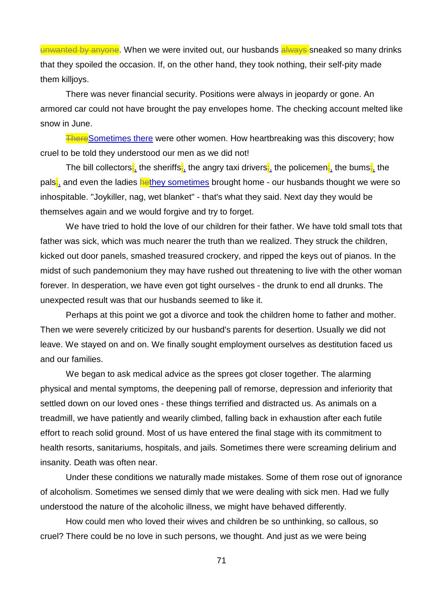unwanted by anyone. When we were invited out, our husbands always sneaked so many drinks that they spoiled the occasion. If, on the other hand, they took nothing, their self-pity made them killjoys.

There was never financial security. Positions were always in jeopardy or gone. An armored car could not have brought the pay envelopes home. The checking account melted like snow in June.

**There**Sometimes there were other women. How heartbreaking was this discovery; how cruel to be told they understood our men as we did not!

The bill collectors: the sheriffs: the angry taxi drivers: the policemen; the bums: the pals; and even the ladies hethey sometimes brought home - our husbands thought we were so inhospitable. "Joykiller, nag, wet blanket" - that's what they said. Next day they would be themselves again and we would forgive and try to forget.

We have tried to hold the love of our children for their father. We have told small tots that father was sick, which was much nearer the truth than we realized. They struck the children, kicked out door panels, smashed treasured crockery, and ripped the keys out of pianos. In the midst of such pandemonium they may have rushed out threatening to live with the other woman forever. In desperation, we have even got tight ourselves - the drunk to end all drunks. The unexpected result was that our husbands seemed to like it.

Perhaps at this point we got a divorce and took the children home to father and mother. Then we were severely criticized by our husband's parents for desertion. Usually we did not leave. We stayed on and on. We finally sought employment ourselves as destitution faced us and our families.

We began to ask medical advice as the sprees got closer together. The alarming physical and mental symptoms, the deepening pall of remorse, depression and inferiority that settled down on our loved ones - these things terrified and distracted us. As animals on a treadmill, we have patiently and wearily climbed, falling back in exhaustion after each futile effort to reach solid ground. Most of us have entered the final stage with its commitment to health resorts, sanitariums, hospitals, and jails. Sometimes there were screaming delirium and insanity. Death was often near.

Under these conditions we naturally made mistakes. Some of them rose out of ignorance of alcoholism. Sometimes we sensed dimly that we were dealing with sick men. Had we fully understood the nature of the alcoholic illness, we might have behaved differently.

How could men who loved their wives and children be so unthinking, so callous, so cruel? There could be no love in such persons, we thought. And just as we were being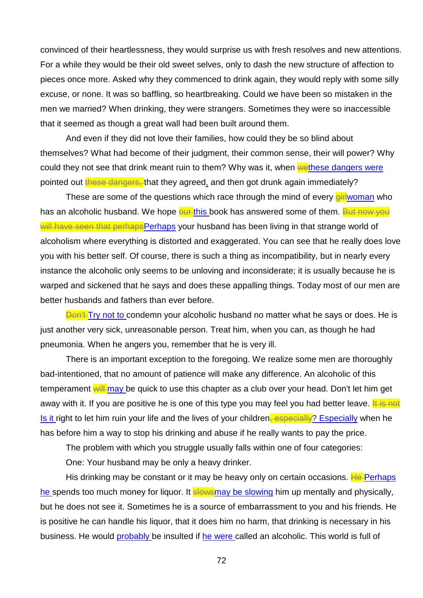convinced of their heartlessness, they would surprise us with fresh resolves and new attentions. For a while they would be their old sweet selves, only to dash the new structure of affection to pieces once more. Asked why they commenced to drink again, they would reply with some silly excuse, or none. It was so baffling, so heartbreaking. Could we have been so mistaken in the men we married? When drinking, they were strangers. Sometimes they were so inaccessible that it seemed as though a great wall had been built around them.

And even if they did not love their families, how could they be so blind about themselves? What had become of their judgment, their common sense, their will power? Why could they not see that drink meant ruin to them? Why was it, when wethese dangers were pointed out these dangers, that they agreed, and then got drunk again immediately?

These are some of the questions which race through the mind of every **girlwoman who** has an alcoholic husband. We hope our this book has answered some of them. But now you will have seen that perhaps Perhaps your husband has been living in that strange world of alcoholism where everything is distorted and exaggerated. You can see that he really does love you with his better self. Of course, there is such a thing as incompatibility, but in nearly every instance the alcoholic only seems to be unloving and inconsiderate; it is usually because he is warped and sickened that he says and does these appalling things. Today most of our men are better husbands and fathers than ever before.

**Don't** Try not to condemn your alcoholic husband no matter what he says or does. He is just another very sick, unreasonable person. Treat him, when you can, as though he had pneumonia. When he angers you, remember that he is very ill.

There is an important exception to the foregoing. We realize some men are thoroughly bad-intentioned, that no amount of patience will make any difference. An alcoholic of this temperament will may be quick to use this chapter as a club over your head. Don't let him get away with it. If you are positive he is one of this type you may feel you had better leave. It is not Is it right to let him ruin your life and the lives of your children–especially? Especially when he has before him a way to stop his drinking and abuse if he really wants to pay the price.

The problem with which you struggle usually falls within one of four categories:

One: Your husband may be only a heavy drinker.

His drinking may be constant or it may be heavy only on certain occasions. He Perhaps he spends too much money for liquor. It slows may be slowing him up mentally and physically, but he does not see it. Sometimes he is a source of embarrassment to you and his friends. He is positive he can handle his liquor, that it does him no harm, that drinking is necessary in his business. He would **probably** be insulted if he were called an alcoholic. This world is full of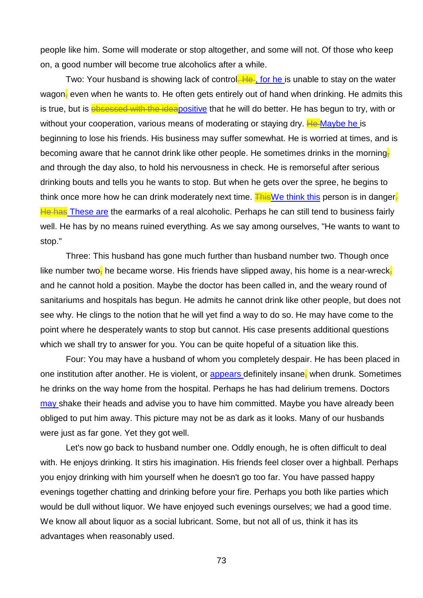people like him. Some will moderate or stop altogether, and some will not. Of those who keep on, a good number will become true alcoholics after a while.

Two: Your husband is showing lack of control He, for he is unable to stay on the water wagon, even when he wants to. He often gets entirely out of hand when drinking. He admits this is true, but is obsessed with the ideapositive that he will do better. He has begun to try, with or without your cooperation, various means of moderating or staying dry. He Maybe he is beginning to lose his friends. His business may suffer somewhat. He is worried at times, and is becoming aware that he cannot drink like other people. He sometimes drinks in the morningand through the day also, to hold his nervousness in check. He is remorseful after serious drinking bouts and tells you he wants to stop. But when he gets over the spree, he begins to think once more how he can drink moderately next time. This We think this person is in danger. He has These are the earmarks of a real alcoholic. Perhaps he can still tend to business fairly well. He has by no means ruined everything. As we say among ourselves, "He wants to want to stop."

Three: This husband has gone much further than husband number two. Though once like number two<sub>r</sub> he became worse. His friends have slipped away, his home is a near-wreckand he cannot hold a position. Maybe the doctor has been called in, and the weary round of sanitariums and hospitals has begun. He admits he cannot drink like other people, but does not see why. He clings to the notion that he will yet find a way to do so. He may have come to the point where he desperately wants to stop but cannot. His case presents additional questions which we shall try to answer for you. You can be quite hopeful of a situation like this.

Four: You may have a husband of whom you completely despair. He has been placed in one institution after another. He is violent, or appears definitely insane, when drunk. Sometimes he drinks on the way home from the hospital. Perhaps he has had delirium tremens. Doctors may shake their heads and advise you to have him committed. Maybe you have already been obliged to put him away. This picture may not be as dark as it looks. Many of our husbands were just as far gone. Yet they got well.

Let's now go back to husband number one. Oddly enough, he is often difficult to deal with. He enjoys drinking. It stirs his imagination. His friends feel closer over a highball. Perhaps you enjoy drinking with him yourself when he doesn't go too far. You have passed happy evenings together chatting and drinking before your fire. Perhaps you both like parties which would be dull without liquor. We have enjoyed such evenings ourselves; we had a good time. We know all about liquor as a social lubricant. Some, but not all of us, think it has its advantages when reasonably used.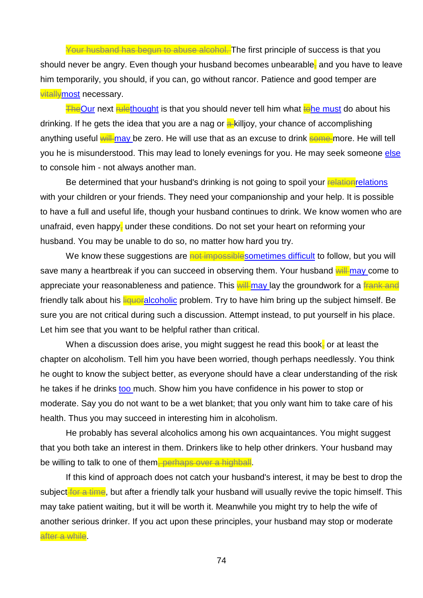Your husband has begun to abuse alcohol. The first principle of success is that you should never be angry. Even though your husband becomes unbearable- and you have to leave him temporarily, you should, if you can, go without rancor. Patience and good temper are **vitally**most necessary.

TheOur next rulethought is that you should never tell him what tohe must do about his drinking. If he gets the idea that you are a nag or  $a$  killioy, your chance of accomplishing anything useful will may be zero. He will use that as an excuse to drink some more. He will tell you he is misunderstood. This may lead to lonely evenings for you. He may seek someone else to console him - not always another man.

Be determined that your husband's drinking is not going to spoil your **Felation** relations with your children or your friends. They need your companionship and your help. It is possible to have a full and useful life, though your husband continues to drink. We know women who are unafraid, even happy<sub> $\frac{1}{2}$ </sub> under these conditions. Do not set your heart on reforming your husband. You may be unable to do so, no matter how hard you try.

We know these suggestions are not impossible sometimes difficult to follow, but you will save many a heartbreak if you can succeed in observing them. Your husband will may come to appreciate your reasonableness and patience. This will may lay the groundwork for a frank and friendly talk about his **liquoralcoholic** problem. Try to have him bring up the subject himself. Be sure you are not critical during such a discussion. Attempt instead, to put yourself in his place. Let him see that you want to be helpful rather than critical.

When a discussion does arise, you might suggest he read this book, or at least the chapter on alcoholism. Tell him you have been worried, though perhaps needlessly. You think he ought to know the subject better, as everyone should have a clear understanding of the risk he takes if he drinks too much. Show him you have confidence in his power to stop or moderate. Say you do not want to be a wet blanket; that you only want him to take care of his health. Thus you may succeed in interesting him in alcoholism.

He probably has several alcoholics among his own acquaintances. You might suggest that you both take an interest in them. Drinkers like to help other drinkers. Your husband may be willing to talk to one of them, perhaps over a highball.

If this kind of approach does not catch your husband's interest, it may be best to drop the subject for a time, but after a friendly talk your husband will usually revive the topic himself. This may take patient waiting, but it will be worth it. Meanwhile you might try to help the wife of another serious drinker. If you act upon these principles, your husband may stop or moderate after a while.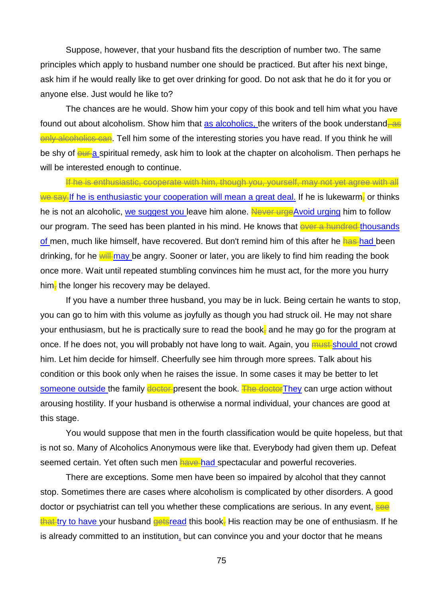Suppose, however, that your husband fits the description of number two. The same principles which apply to husband number one should be practiced. But after his next binge, ask him if he would really like to get over drinking for good. Do not ask that he do it for you or anyone else. Just would he like to?

The chances are he would. Show him your copy of this book and tell him what you have found out about alcoholism. Show him that as alcoholics, the writers of the book understand, as only alcoholics can. Tell him some of the interesting stories you have read. If you think he will be shy of **our a** spiritual remedy, ask him to look at the chapter on alcoholism. Then perhaps he will be interested enough to continue.

If he is enthusiastic, cooperate with him, though you, yourself, may not yet agree with all we say. If he is enthusiastic your cooperation will mean a great deal. If he is lukewarm, or thinks he is not an alcoholic, we suggest you leave him alone. Never urgeAvoid urging him to follow our program. The seed has been planted in his mind. He knows that over a hundred thousands of men, much like himself, have recovered. But don't remind him of this after he has had been drinking, for he will may be angry. Sooner or later, you are likely to find him reading the book once more. Wait until repeated stumbling convinces him he must act, for the more you hurry him, the longer his recovery may be delayed.

If you have a number three husband, you may be in luck. Being certain he wants to stop, you can go to him with this volume as joyfully as though you had struck oil. He may not share your enthusiasm, but he is practically sure to read the book, and he may go for the program at once. If he does not, you will probably not have long to wait. Again, you must should not crowd him. Let him decide for himself. Cheerfully see him through more sprees. Talk about his condition or this book only when he raises the issue. In some cases it may be better to let someone outside the family doctor present the book. The doctor They can urge action without arousing hostility. If your husband is otherwise a normal individual, your chances are good at this stage.

You would suppose that men in the fourth classification would be quite hopeless, but that is not so. Many of Alcoholics Anonymous were like that. Everybody had given them up. Defeat seemed certain. Yet often such men **have-had spectacular and powerful recoveries.** 

There are exceptions. Some men have been so impaired by alcohol that they cannot stop. Sometimes there are cases where alcoholism is complicated by other disorders. A good doctor or psychiatrist can tell you whether these complications are serious. In any event, see that try to have your husband gets read this book. His reaction may be one of enthusiasm. If he is already committed to an institution, but can convince you and your doctor that he means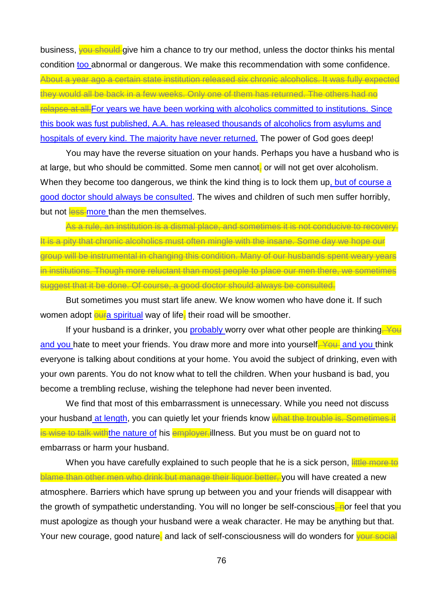business, you should give him a chance to try our method, unless the doctor thinks his mental condition too abnormal or dangerous. We make this recommendation with some confidence. About a year ago a certain state institution released six chronic alcoholics. It was fully expected they would all be back in a few weeks. Only one of them has returned. The others had no relapse at all. For years we have been working with alcoholics committed to institutions. Since this book was fust published, A.A. has released thousands of alcoholics from asylums and hospitals of every kind. The majority have never returned. The power of God goes deep!

You may have the reverse situation on your hands. Perhaps you have a husband who is at large, but who should be committed. Some men cannot, or will not get over alcoholism. When they become too dangerous, we think the kind thing is to lock them up, but of course a good doctor should always be consulted. The wives and children of such men suffer horribly, but not **less more than the men themselves.** 

As a rule, an institution is a dismal place, and sometimes it is not conducive to recovery. It is a pity that chronic alcoholics must often mingle with the insane. Some day we hope our group will be instrumental in changing this condition. Many of our husbands spent weary years in institutions. Though more reluctant than most people to place our men there, we sometimes suggest that it be done. Of course, a good doctor should always be consulted.

But sometimes you must start life anew. We know women who have done it. If such women adopt **oura** spiritual way of life, their road will be smoother.

If your husband is a drinker, you probably worry over what other people are thinking. You and you hate to meet your friends. You draw more and more into yourself. You and you think everyone is talking about conditions at your home. You avoid the subject of drinking, even with your own parents. You do not know what to tell the children. When your husband is bad, you become a trembling recluse, wishing the telephone had never been invented.

We find that most of this embarrassment is unnecessary. While you need not discuss your husband at length, you can quietly let your friends know what the trouble is. Sometimes it is wise to talk with the nature of his employer. Illness. But you must be on quard not to embarrass or harm your husband.

When you have carefully explained to such people that he is a sick person, little more to blame than other men who drink but manage their liquor better, you will have created a new atmosphere. Barriers which have sprung up between you and your friends will disappear with the growth of sympathetic understanding. You will no longer be self-conscious-nor feel that you must apologize as though your husband were a weak character. He may be anything but that. Your new courage, good nature, and lack of self-consciousness will do wonders for vour social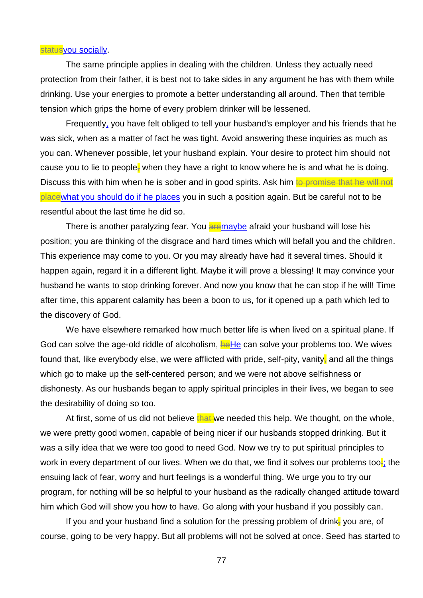#### statusyou socially.

The same principle applies in dealing with the children. Unless they actually need protection from their father, it is best not to take sides in any argument he has with them while drinking. Use your energies to promote a better understanding all around. Then that terrible tension which grips the home of every problem drinker will be lessened.

Frequently, you have felt obliged to tell your husband's employer and his friends that he was sick, when as a matter of fact he was tight. Avoid answering these inquiries as much as you can. Whenever possible, let your husband explain. Your desire to protect him should not cause you to lie to people, when they have a right to know where he is and what he is doing. Discuss this with him when he is sober and in good spirits. Ask him to promise that he will not placewhat you should do if he places you in such a position again. But be careful not to be resentful about the last time he did so.

There is another paralyzing fear. You **aremaybe** afraid your husband will lose his position; you are thinking of the disgrace and hard times which will befall you and the children. This experience may come to you. Or you may already have had it several times. Should it happen again, regard it in a different light. Maybe it will prove a blessing! It may convince your husband he wants to stop drinking forever. And now you know that he can stop if he will! Time after time, this apparent calamity has been a boon to us, for it opened up a path which led to the discovery of God.

We have elsewhere remarked how much better life is when lived on a spiritual plane. If God can solve the age-old riddle of alcoholism, he He can solve your problems too. We wives found that, like everybody else, we were afflicted with pride, self-pity, vanity- and all the things which go to make up the self-centered person; and we were not above selfishness or dishonesty. As our husbands began to apply spiritual principles in their lives, we began to see the desirability of doing so too.

At first, some of us did not believe that we needed this help. We thought, on the whole, we were pretty good women, capable of being nicer if our husbands stopped drinking. But it was a silly idea that we were too good to need God. Now we try to put spiritual principles to work in every department of our lives. When we do that, we find it solves our problems too: the ensuing lack of fear, worry and hurt feelings is a wonderful thing. We urge you to try our program, for nothing will be so helpful to your husband as the radically changed attitude toward him which God will show you how to have. Go along with your husband if you possibly can.

If you and your husband find a solution for the pressing problem of drink, you are, of course, going to be very happy. But all problems will not be solved at once. Seed has started to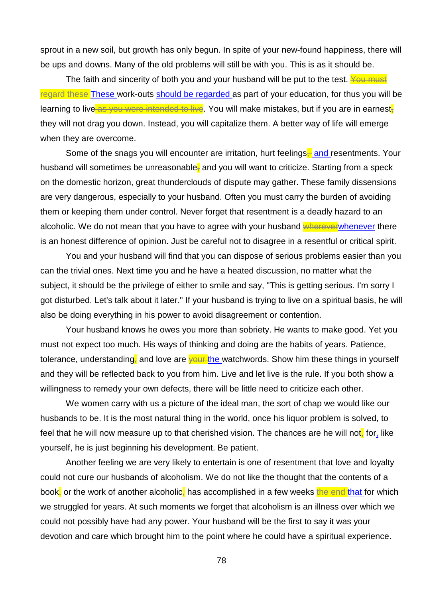sprout in a new soil, but growth has only begun. In spite of your new-found happiness, there will be ups and downs. Many of the old problems will still be with you. This is as it should be.

The faith and sincerity of both you and your husband will be put to the test. You must regard these These work-outs should be regarded as part of your education, for thus you will be learning to live as you were intended to live. You will make mistakes, but if you are in earnest, they will not drag you down. Instead, you will capitalize them. A better way of life will emerge when they are overcome.

Some of the snags you will encounter are irritation, hurt feelings, and resentments. Your husband will sometimes be unreasonable, and you will want to criticize. Starting from a speck on the domestic horizon, great thunderclouds of dispute may gather. These family dissensions are very dangerous, especially to your husband. Often you must carry the burden of avoiding them or keeping them under control. Never forget that resentment is a deadly hazard to an alcoholic. We do not mean that you have to agree with your husband whereverwhenever there is an honest difference of opinion. Just be careful not to disagree in a resentful or critical spirit.

You and your husband will find that you can dispose of serious problems easier than you can the trivial ones. Next time you and he have a heated discussion, no matter what the subject, it should be the privilege of either to smile and say, "This is getting serious. I'm sorry I got disturbed. Let's talk about it later." If your husband is trying to live on a spiritual basis, he will also be doing everything in his power to avoid disagreement or contention.

Your husband knows he owes you more than sobriety. He wants to make good. Yet you must not expect too much. His ways of thinking and doing are the habits of years. Patience, tolerance, understanding, and love are vour the watchwords. Show him these things in yourself and they will be reflected back to you from him. Live and let live is the rule. If you both show a willingness to remedy your own defects, there will be little need to criticize each other.

We women carry with us a picture of the ideal man, the sort of chap we would like our husbands to be. It is the most natural thing in the world, once his liquor problem is solved, to feel that he will now measure up to that cherished vision. The chances are he will not for, like yourself, he is just beginning his development. Be patient.

Another feeling we are very likely to entertain is one of resentment that love and loyalty could not cure our husbands of alcoholism. We do not like the thought that the contents of a book, or the work of another alcoholic, has accomplished in a few weeks the end that for which we struggled for years. At such moments we forget that alcoholism is an illness over which we could not possibly have had any power. Your husband will be the first to say it was your devotion and care which brought him to the point where he could have a spiritual experience.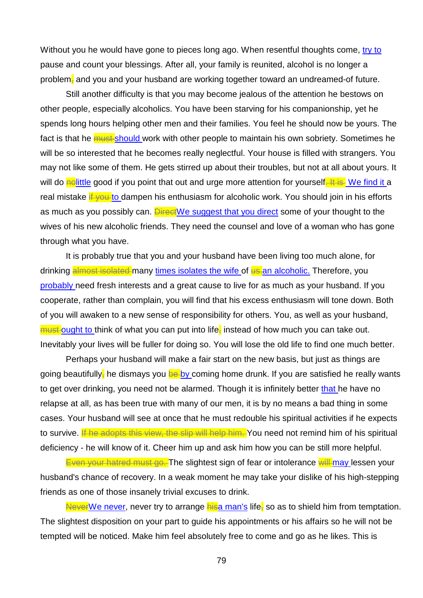Without you he would have gone to pieces long ago. When resentful thoughts come, try to pause and count your blessings. After all, your family is reunited, alcohol is no longer a problem, and you and your husband are working together toward an undreamed-of future.

Still another difficulty is that you may become jealous of the attention he bestows on other people, especially alcoholics. You have been starving for his companionship, yet he spends long hours helping other men and their families. You feel he should now be yours. The fact is that he **must** should work with other people to maintain his own sobriety. Sometimes he will be so interested that he becomes really neglectful. Your house is filled with strangers. You may not like some of them. He gets stirred up about their troubles, but not at all about yours. It will do notitude good if you point that out and urge more attention for yourself. It is We find it a real mistake if you to dampen his enthusiasm for alcoholic work. You should join in his efforts as much as you possibly can. DirectWe suggest that you direct some of your thought to the wives of his new alcoholic friends. They need the counsel and love of a woman who has gone through what you have.

It is probably true that you and your husband have been living too much alone, for drinking almost isolated many times isolates the wife of us. an alcoholic. Therefore, you probably need fresh interests and a great cause to live for as much as your husband. If you cooperate, rather than complain, you will find that his excess enthusiasm will tone down. Both of you will awaken to a new sense of responsibility for others. You, as well as your husband, must ought to think of what you can put into life, instead of how much you can take out. Inevitably your lives will be fuller for doing so. You will lose the old life to find one much better.

Perhaps your husband will make a fair start on the new basis, but just as things are going beautifully, he dismays you be by coming home drunk. If you are satisfied he really wants to get over drinking, you need not be alarmed. Though it is infinitely better that he have no relapse at all, as has been true with many of our men, it is by no means a bad thing in some cases. Your husband will see at once that he must redouble his spiritual activities if he expects to survive. If he adopts this view, the slip will help him. You need not remind him of his spiritual deficiency - he will know of it. Cheer him up and ask him how you can be still more helpful.

Even your hatred must go. The slightest sign of fear or intolerance will may lessen your husband's chance of recovery. In a weak moment he may take your dislike of his high-stepping friends as one of those insanely trivial excuses to drink.

NeverWe never, never try to arrange hisa man's life, so as to shield him from temptation. The slightest disposition on your part to guide his appointments or his affairs so he will not be tempted will be noticed. Make him feel absolutely free to come and go as he likes. This is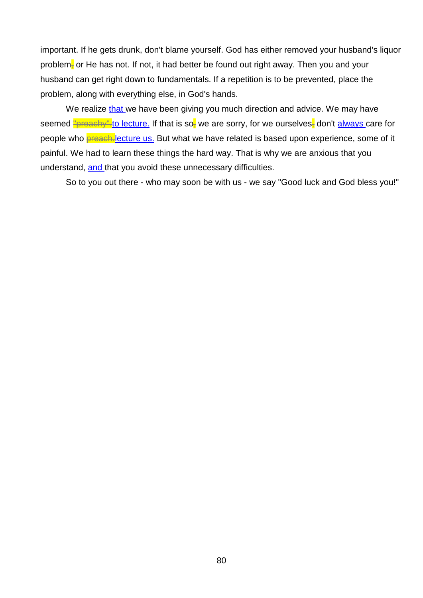important. If he gets drunk, don't blame yourself. God has either removed your husband's liquor problem<sub>i</sub> or He has not. If not, it had better be found out right away. Then you and your husband can get right down to fundamentals. If a repetition is to be prevented, place the problem, along with everything else, in God's hands.

We realize that we have been giving you much direction and advice. We may have seemed "preachy" to lecture. If that is so, we are sorry, for we ourselves, don't always care for people who **preach.** lecture us. But what we have related is based upon experience, some of it painful. We had to learn these things the hard way. That is why we are anxious that you understand, and that you avoid these unnecessary difficulties.

So to you out there - who may soon be with us - we say "Good luck and God bless you!"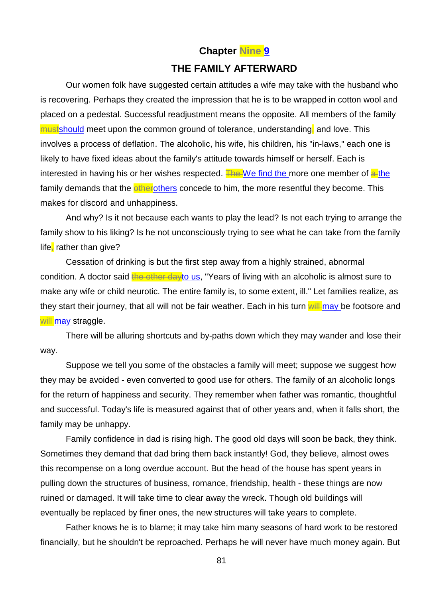# **Chapter Nine 9**

### **THE FAMILY AFTERWARD**

Our women folk have suggested certain attitudes a wife may take with the husband who is recovering. Perhaps they created the impression that he is to be wrapped in cotton wool and placed on a pedestal. Successful readjustment means the opposite. All members of the family must should meet upon the common ground of tolerance, understanding and love. This involves a process of deflation. The alcoholic, his wife, his children, his "in-laws," each one is likely to have fixed ideas about the family's attitude towards himself or herself. Each is interested in having his or her wishes respected. The We find the more one member of  $\frac{1}{2}$ the family demands that the *etherothers* concede to him, the more resentful they become. This makes for discord and unhappiness.

And why? Is it not because each wants to play the lead? Is not each trying to arrange the family show to his liking? Is he not unconsciously trying to see what he can take from the family life, rather than give?

Cessation of drinking is but the first step away from a highly strained, abnormal condition. A doctor said the other day to us, "Years of living with an alcoholic is almost sure to make any wife or child neurotic. The entire family is, to some extent, ill." Let families realize, as they start their journey, that all will not be fair weather. Each in his turn will may be footsore and will may straggle.

There will be alluring shortcuts and by-paths down which they may wander and lose their way.

Suppose we tell you some of the obstacles a family will meet; suppose we suggest how they may be avoided - even converted to good use for others. The family of an alcoholic longs for the return of happiness and security. They remember when father was romantic, thoughtful and successful. Today's life is measured against that of other years and, when it falls short, the family may be unhappy.

Family confidence in dad is rising high. The good old days will soon be back, they think. Sometimes they demand that dad bring them back instantly! God, they believe, almost owes this recompense on a long overdue account. But the head of the house has spent years in pulling down the structures of business, romance, friendship, health - these things are now ruined or damaged. It will take time to clear away the wreck. Though old buildings will eventually be replaced by finer ones, the new structures will take years to complete.

Father knows he is to blame; it may take him many seasons of hard work to be restored financially, but he shouldn't be reproached. Perhaps he will never have much money again. But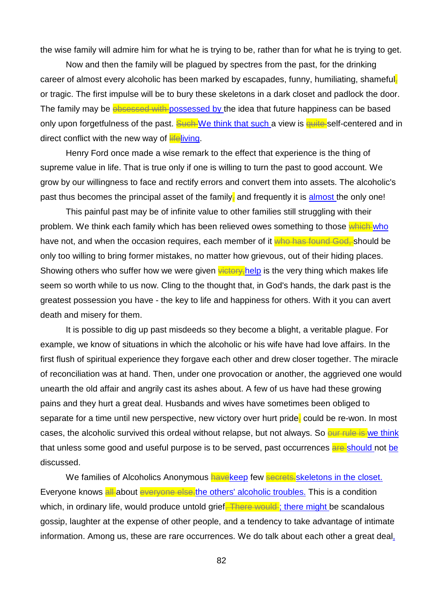the wise family will admire him for what he is trying to be, rather than for what he is trying to get.

Now and then the family will be plagued by spectres from the past, for the drinking career of almost every alcoholic has been marked by escapades, funny, humiliating, shamefulor tragic. The first impulse will be to bury these skeletons in a dark closet and padlock the door. The family may be obsessed with possessed by the idea that future happiness can be based only upon forgetfulness of the past. Such We think that such a view is quite self-centered and in direct conflict with the new way of **lifelliving**.

Henry Ford once made a wise remark to the effect that experience is the thing of supreme value in life. That is true only if one is willing to turn the past to good account. We grow by our willingness to face and rectify errors and convert them into assets. The alcoholic's past thus becomes the principal asset of the family- and frequently it is almost the only one!

This painful past may be of infinite value to other families still struggling with their problem. We think each family which has been relieved owes something to those which who have not, and when the occasion requires, each member of it who has found God, should be only too willing to bring former mistakes, no matter how grievous, out of their hiding places. Showing others who suffer how we were given victory, help is the very thing which makes life seem so worth while to us now. Cling to the thought that, in God's hands, the dark past is the greatest possession you have - the key to life and happiness for others. With it you can avert death and misery for them.

It is possible to dig up past misdeeds so they become a blight, a veritable plague. For example, we know of situations in which the alcoholic or his wife have had love affairs. In the first flush of spiritual experience they forgave each other and drew closer together. The miracle of reconciliation was at hand. Then, under one provocation or another, the aggrieved one would unearth the old affair and angrily cast its ashes about. A few of us have had these growing pains and they hurt a great deal. Husbands and wives have sometimes been obliged to separate for a time until new perspective, new victory over hurt pride, could be re-won. In most cases, the alcoholic survived this ordeal without relapse, but not always. So our rule is we think that unless some good and useful purpose is to be served, past occurrences are should not be discussed.

We families of Alcoholics Anonymous have keep few secrets. Skeletons in the closet. Everyone knows all about everyone else the others' alcoholic troubles. This is a condition which, in ordinary life, would produce untold grief. There would, there might be scandalous gossip, laughter at the expense of other people, and a tendency to take advantage of intimate information. Among us, these are rare occurrences. We do talk about each other a great deal,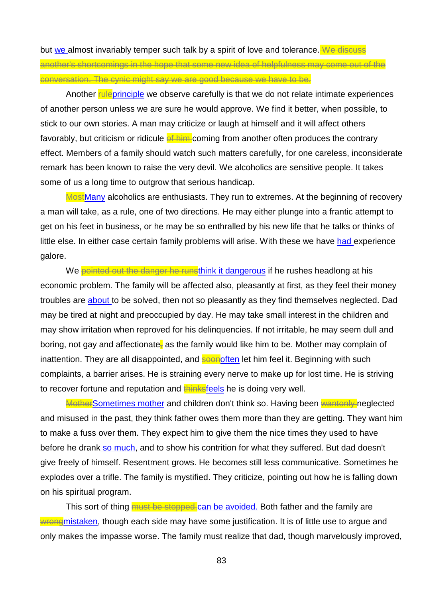but we almost invariably temper such talk by a spirit of love and tolerance. We discuss another's shortcomings in the hope that some new idea of helpfulness may come out of the conversation. The cynic might say we are good because we have to be.

Another ruleprinciple we observe carefully is that we do not relate intimate experiences of another person unless we are sure he would approve. We find it better, when possible, to stick to our own stories. A man may criticize or laugh at himself and it will affect others favorably, but criticism or ridicule of him coming from another often produces the contrary effect. Members of a family should watch such matters carefully, for one careless, inconsiderate remark has been known to raise the very devil. We alcoholics are sensitive people. It takes some of us a long time to outgrow that serious handicap.

**Most Many alcoholics are enthusiasts. They run to extremes. At the beginning of recovery** a man will take, as a rule, one of two directions. He may either plunge into a frantic attempt to get on his feet in business, or he may be so enthralled by his new life that he talks or thinks of little else. In either case certain family problems will arise. With these we have had experience galore.

We pointed out the danger he runsthink it dangerous if he rushes headlong at his economic problem. The family will be affected also, pleasantly at first, as they feel their money troubles are about to be solved, then not so pleasantly as they find themselves neglected. Dad may be tired at night and preoccupied by day. He may take small interest in the children and may show irritation when reproved for his delinquencies. If not irritable, he may seem dull and boring, not gay and affectionate, as the family would like him to be. Mother may complain of inattention. They are all disappointed, and soonoften let him feel it. Beginning with such complaints, a barrier arises. He is straining every nerve to make up for lost time. He is striving to recover fortune and reputation and thinksfeels he is doing very well.

MotherSometimes mother and children don't think so. Having been wantonly neglected and misused in the past, they think father owes them more than they are getting. They want him to make a fuss over them. They expect him to give them the nice times they used to have before he drank so much, and to show his contrition for what they suffered. But dad doesn't give freely of himself. Resentment grows. He becomes still less communicative. Sometimes he explodes over a trifle. The family is mystified. They criticize, pointing out how he is falling down on his spiritual program.

This sort of thing must be stopped.can be avoided. Both father and the family are wrong mistaken, though each side may have some justification. It is of little use to argue and only makes the impasse worse. The family must realize that dad, though marvelously improved,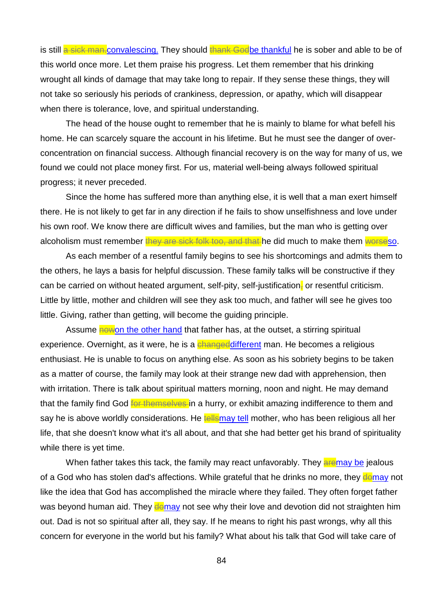is still a sick man.convalescing. They should thank Godbe thankful he is sober and able to be of this world once more. Let them praise his progress. Let them remember that his drinking wrought all kinds of damage that may take long to repair. If they sense these things, they will not take so seriously his periods of crankiness, depression, or apathy, which will disappear when there is tolerance, love, and spiritual understanding.

The head of the house ought to remember that he is mainly to blame for what befell his home. He can scarcely square the account in his lifetime. But he must see the danger of overconcentration on financial success. Although financial recovery is on the way for many of us, we found we could not place money first. For us, material well-being always followed spiritual progress; it never preceded.

Since the home has suffered more than anything else, it is well that a man exert himself there. He is not likely to get far in any direction if he fails to show unselfishness and love under his own roof. We know there are difficult wives and families, but the man who is getting over alcoholism must remember they are sick folk too, and that he did much to make them worseso.

As each member of a resentful family begins to see his shortcomings and admits them to the others, he lays a basis for helpful discussion. These family talks will be constructive if they can be carried on without heated argument, self-pity, self-justification, or resentful criticism. Little by little, mother and children will see they ask too much, and father will see he gives too little. Giving, rather than getting, will become the guiding principle.

Assume nowon the other hand that father has, at the outset, a stirring spiritual experience. Overnight, as it were, he is a changed different man. He becomes a religious enthusiast. He is unable to focus on anything else. As soon as his sobriety begins to be taken as a matter of course, the family may look at their strange new dad with apprehension, then with irritation. There is talk about spiritual matters morning, noon and night. He may demand that the family find God for themselves in a hurry, or exhibit amazing indifference to them and say he is above worldly considerations. He **tells**may tell mother, who has been religious all her life, that she doesn't know what it's all about, and that she had better get his brand of spirituality while there is yet time.

When father takes this tack, the family may react unfavorably. They are may be jealous of a God who has stolen dad's affections. While grateful that he drinks no more, they domay not like the idea that God has accomplished the miracle where they failed. They often forget father was beyond human aid. They domay not see why their love and devotion did not straighten him out. Dad is not so spiritual after all, they say. If he means to right his past wrongs, why all this concern for everyone in the world but his family? What about his talk that God will take care of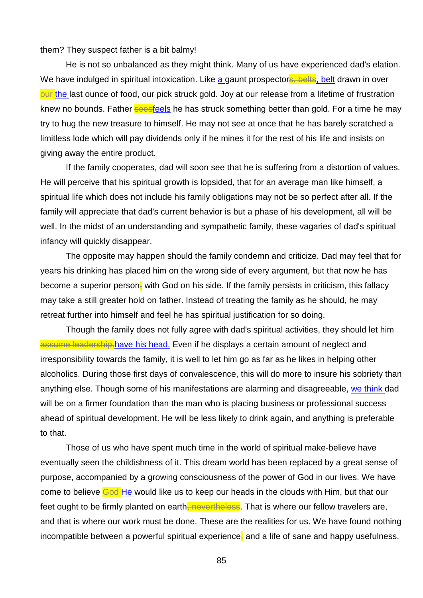them? They suspect father is a bit balmy!

He is not so unbalanced as they might think. Many of us have experienced dad's elation. We have indulged in spiritual intoxication. Like a gaunt prospectors, belts, belt drawn in over **OUF** the last ounce of food, our pick struck gold. Joy at our release from a lifetime of frustration knew no bounds. Father seesfeels he has struck something better than gold. For a time he may try to hug the new treasure to himself. He may not see at once that he has barely scratched a limitless lode which will pay dividends only if he mines it for the rest of his life and insists on giving away the entire product.

If the family cooperates, dad will soon see that he is suffering from a distortion of values. He will perceive that his spiritual growth is lopsided, that for an average man like himself, a spiritual life which does not include his family obligations may not be so perfect after all. If the family will appreciate that dad's current behavior is but a phase of his development, all will be well. In the midst of an understanding and sympathetic family, these vagaries of dad's spiritual infancy will quickly disappear.

The opposite may happen should the family condemn and criticize. Dad may feel that for years his drinking has placed him on the wrong side of every argument, but that now he has become a superior person<sub>i</sub> with God on his side. If the family persists in criticism, this fallacy may take a still greater hold on father. Instead of treating the family as he should, he may retreat further into himself and feel he has spiritual justification for so doing.

Though the family does not fully agree with dad's spiritual activities, they should let him assume leadership. have his head. Even if he displays a certain amount of neglect and irresponsibility towards the family, it is well to let him go as far as he likes in helping other alcoholics. During those first days of convalescence, this will do more to insure his sobriety than anything else. Though some of his manifestations are alarming and disagreeable, we think dad will be on a firmer foundation than the man who is placing business or professional success ahead of spiritual development. He will be less likely to drink again, and anything is preferable to that.

Those of us who have spent much time in the world of spiritual make-believe have eventually seen the childishness of it. This dream world has been replaced by a great sense of purpose, accompanied by a growing consciousness of the power of God in our lives. We have come to believe God-He would like us to keep our heads in the clouds with Him, but that our feet ought to be firmly planted on earth, nevertheless. That is where our fellow travelers are, and that is where our work must be done. These are the realities for us. We have found nothing incompatible between a powerful spiritual experience, and a life of sane and happy usefulness.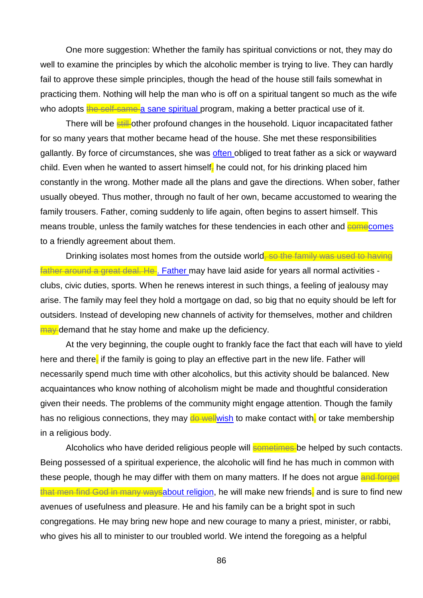One more suggestion: Whether the family has spiritual convictions or not, they may do well to examine the principles by which the alcoholic member is trying to live. They can hardly fail to approve these simple principles, though the head of the house still fails somewhat in practicing them. Nothing will help the man who is off on a spiritual tangent so much as the wife who adopts the self-same a sane spiritual program, making a better practical use of it.

There will be still other profound changes in the household. Liquor incapacitated father for so many years that mother became head of the house. She met these responsibilities gallantly. By force of circumstances, she was often obliged to treat father as a sick or wayward child. Even when he wanted to assert himself- he could not, for his drinking placed him constantly in the wrong. Mother made all the plans and gave the directions. When sober, father usually obeyed. Thus mother, through no fault of her own, became accustomed to wearing the family trousers. Father, coming suddenly to life again, often begins to assert himself. This means trouble, unless the family watches for these tendencies in each other and **come**comes to a friendly agreement about them.

Drinking isolates most homes from the outside world<del>, so the family was used to having</del> father around a great deal. He. Father may have laid aside for years all normal activities clubs, civic duties, sports. When he renews interest in such things, a feeling of jealousy may arise. The family may feel they hold a mortgage on dad, so big that no equity should be left for outsiders. Instead of developing new channels of activity for themselves, mother and children **may** demand that he stay home and make up the deficiency.

At the very beginning, the couple ought to frankly face the fact that each will have to yield here and there, if the family is going to play an effective part in the new life. Father will necessarily spend much time with other alcoholics, but this activity should be balanced. New acquaintances who know nothing of alcoholism might be made and thoughtful consideration given their needs. The problems of the community might engage attention. Though the family has no religious connections, they may do well wish to make contact with, or take membership in a religious body.

Alcoholics who have derided religious people will **sometimes** be helped by such contacts. Being possessed of a spiritual experience, the alcoholic will find he has much in common with these people, though he may differ with them on many matters. If he does not argue and forget that men find God in many ways about religion, he will make new friends, and is sure to find new avenues of usefulness and pleasure. He and his family can be a bright spot in such congregations. He may bring new hope and new courage to many a priest, minister, or rabbi, who gives his all to minister to our troubled world. We intend the foregoing as a helpful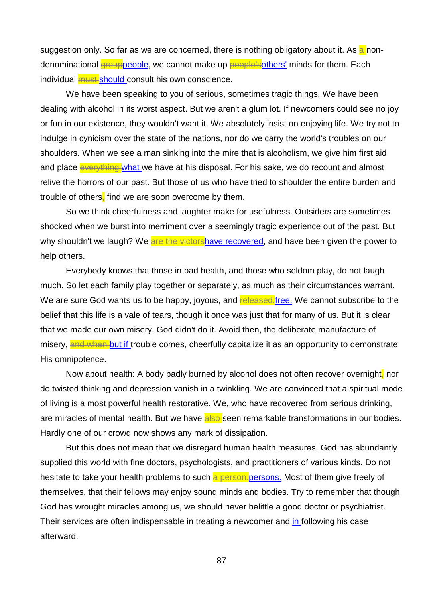suggestion only. So far as we are concerned, there is nothing obligatory about it. As  $a$ -nondenominational grouppeople, we cannot make up people's others' minds for them. Each individual **must** should consult his own conscience.

We have been speaking to you of serious, sometimes tragic things. We have been dealing with alcohol in its worst aspect. But we aren't a glum lot. If newcomers could see no joy or fun in our existence, they wouldn't want it. We absolutely insist on enjoying life. We try not to indulge in cynicism over the state of the nations, nor do we carry the world's troubles on our shoulders. When we see a man sinking into the mire that is alcoholism, we give him first aid and place everything what we have at his disposal. For his sake, we do recount and almost relive the horrors of our past. But those of us who have tried to shoulder the entire burden and trouble of others, find we are soon overcome by them.

So we think cheerfulness and laughter make for usefulness. Outsiders are sometimes shocked when we burst into merriment over a seemingly tragic experience out of the past. But why shouldn't we laugh? We are the victorshave recovered, and have been given the power to help others.

Everybody knows that those in bad health, and those who seldom play, do not laugh much. So let each family play together or separately, as much as their circumstances warrant. We are sure God wants us to be happy, joyous, and released free. We cannot subscribe to the belief that this life is a vale of tears, though it once was just that for many of us. But it is clear that we made our own misery. God didn't do it. Avoid then, the deliberate manufacture of misery, and when but if trouble comes, cheerfully capitalize it as an opportunity to demonstrate His omnipotence.

Now about health: A body badly burned by alcohol does not often recover overnight, nor do twisted thinking and depression vanish in a twinkling. We are convinced that a spiritual mode of living is a most powerful health restorative. We, who have recovered from serious drinking, are miracles of mental health. But we have also seen remarkable transformations in our bodies. Hardly one of our crowd now shows any mark of dissipation.

But this does not mean that we disregard human health measures. God has abundantly supplied this world with fine doctors, psychologists, and practitioners of various kinds. Do not hesitate to take your health problems to such a person-persons. Most of them give freely of themselves, that their fellows may enjoy sound minds and bodies. Try to remember that though God has wrought miracles among us, we should never belittle a good doctor or psychiatrist. Their services are often indispensable in treating a newcomer and in following his case afterward.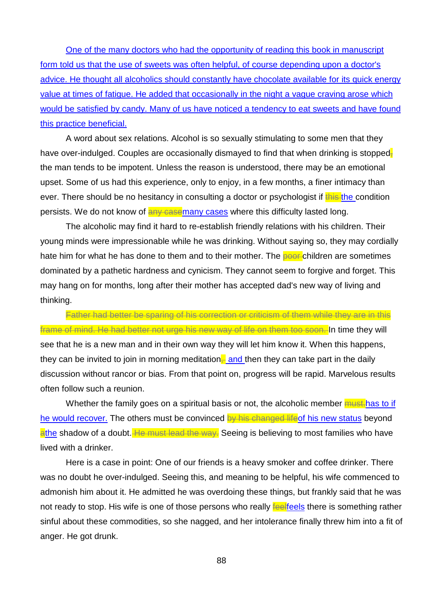One of the many doctors who had the opportunity of reading this book in manuscript form told us that the use of sweets was often helpful, of course depending upon a doctor's advice. He thought all alcoholics should constantly have chocolate available for its quick energy value at times of fatigue. He added that occasionally in the night a vague craving arose which would be satisfied by candy. Many of us have noticed a tendency to eat sweets and have found this practice beneficial.

A word about sex relations. Alcohol is so sexually stimulating to some men that they have over-indulged. Couples are occasionally dismayed to find that when drinking is stopped, the man tends to be impotent. Unless the reason is understood, there may be an emotional upset. Some of us had this experience, only to enjoy, in a few months, a finer intimacy than ever. There should be no hesitancy in consulting a doctor or psychologist if this the condition persists. We do not know of any casemany cases where this difficulty lasted long.

The alcoholic may find it hard to re-establish friendly relations with his children. Their young minds were impressionable while he was drinking. Without saying so, they may cordially hate him for what he has done to them and to their mother. The poor children are sometimes dominated by a pathetic hardness and cynicism. They cannot seem to forgive and forget. This may hang on for months, long after their mother has accepted dad's new way of living and thinking.

Father had better be sparing of his correction or criticism of them while they are in this frame of mind. He had better not urge his new way of life on them too soon. In time they will see that he is a new man and in their own way they will let him know it. When this happens, they can be invited to join in morning meditation— and then they can take part in the daily discussion without rancor or bias. From that point on, progress will be rapid. Marvelous results often follow such a reunion.

Whether the family goes on a spiritual basis or not, the alcoholic member **must** has to if he would recover. The others must be convinced by his changed lifeof his new status beyond athe shadow of a doubt. He must lead the way. Seeing is believing to most families who have lived with a drinker.

Here is a case in point: One of our friends is a heavy smoker and coffee drinker. There was no doubt he over-indulged. Seeing this, and meaning to be helpful, his wife commenced to admonish him about it. He admitted he was overdoing these things, but frankly said that he was not ready to stop. His wife is one of those persons who really **feelfeels** there is something rather sinful about these commodities, so she nagged, and her intolerance finally threw him into a fit of anger. He got drunk.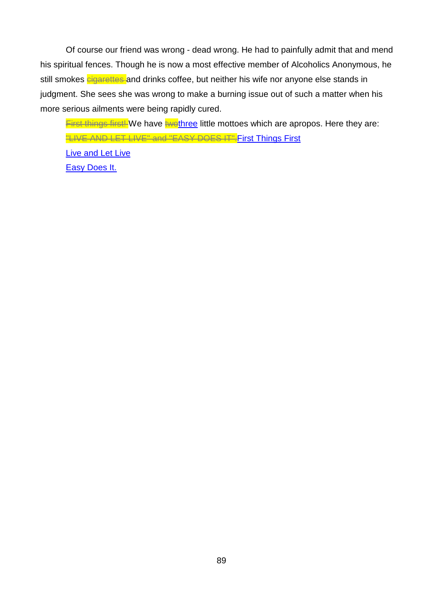Of course our friend was wrong - dead wrong. He had to painfully admit that and mend his spiritual fences. Though he is now a most effective member of Alcoholics Anonymous, he still smokes eigarettes and drinks coffee, but neither his wife nor anyone else stands in judgment. She sees she was wrong to make a burning issue out of such a matter when his more serious ailments were being rapidly cured.

First things first! We have twothree little mottoes which are apropos. Here they are: "LIVE AND LET LIVE" and "EASY DOES IT". First Things First Live and Let Live Easy Does It.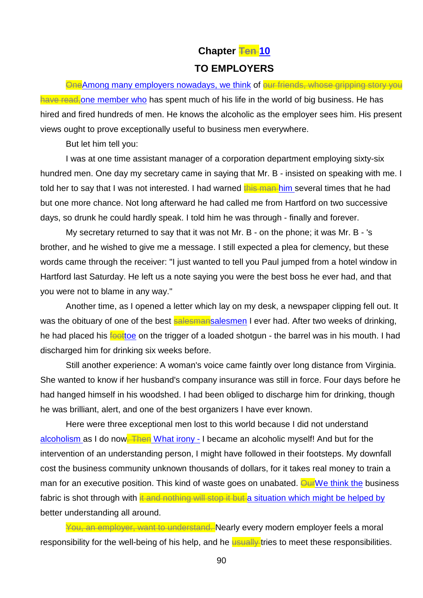# **Chapter Ten 10 TO EMPLOYERS**

OneAmong many employers nowadays, we think of our friends, whose gripping story you have read, one member who has spent much of his life in the world of big business. He has hired and fired hundreds of men. He knows the alcoholic as the employer sees him. His present views ought to prove exceptionally useful to business men everywhere.

But let him tell you:

I was at one time assistant manager of a corporation department employing sixty-six hundred men. One day my secretary came in saying that Mr. B - insisted on speaking with me. I told her to say that I was not interested. I had warned this man him several times that he had but one more chance. Not long afterward he had called me from Hartford on two successive days, so drunk he could hardly speak. I told him he was through - finally and forever.

My secretary returned to say that it was not Mr. B - on the phone; it was Mr. B - 's brother, and he wished to give me a message. I still expected a plea for clemency, but these words came through the receiver: "I just wanted to tell you Paul jumped from a hotel window in Hartford last Saturday. He left us a note saying you were the best boss he ever had, and that you were not to blame in any way."

Another time, as I opened a letter which lay on my desk, a newspaper clipping fell out. It was the obituary of one of the best salesmansalesmen I ever had. After two weeks of drinking, he had placed his **foottoe** on the trigger of a loaded shotgun - the barrel was in his mouth. I had discharged him for drinking six weeks before.

Still another experience: A woman's voice came faintly over long distance from Virginia. She wanted to know if her husband's company insurance was still in force. Four days before he had hanged himself in his woodshed. I had been obliged to discharge him for drinking, though he was brilliant, alert, and one of the best organizers I have ever known.

Here were three exceptional men lost to this world because I did not understand alcoholism as I do now. Then What irony - I became an alcoholic myself! And but for the intervention of an understanding person, I might have followed in their footsteps. My downfall cost the business community unknown thousands of dollars, for it takes real money to train a man for an executive position. This kind of waste goes on unabated. Our We think the business fabric is shot through with it and nothing will stop it but a situation which might be helped by better understanding all around.

You, an employer, want to understand. Nearly every modern employer feels a moral responsibility for the well-being of his help, and he **usually** tries to meet these responsibilities.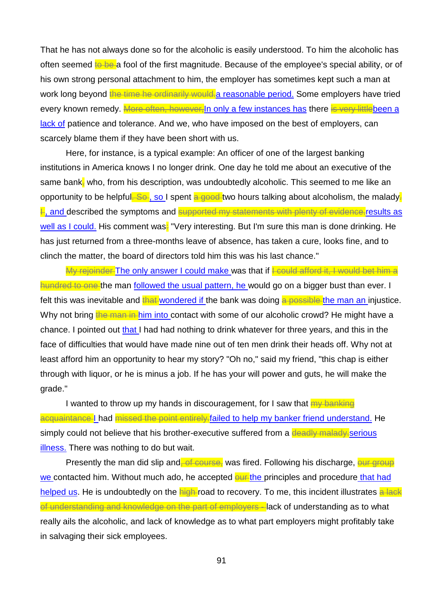That he has not always done so for the alcoholic is easily understood. To him the alcoholic has often seemed to be a fool of the first magnitude. Because of the employee's special ability, or of his own strong personal attachment to him, the employer has sometimes kept such a man at work long beyond the time he ordinarily would. a reasonable period. Some employers have tried every known remedy. More often, however, In only a few instances has there is very littlebeen a lack of patience and tolerance. And we, who have imposed on the best of employers, can scarcely blame them if they have been short with us.

Here, for instance, is a typical example: An officer of one of the largest banking institutions in America knows I no longer drink. One day he told me about an executive of the same bank, who, from his description, was undoubtedly alcoholic. This seemed to me like an opportunity to be helpful. So, so I spent a good two hours talking about alcoholism, the malady.  $\frac{1}{2}$ , and described the symptoms and supported my statements with plenty of evidence. results as well as I could. His comment was: "Very interesting. But I'm sure this man is done drinking. He has just returned from a three-months leave of absence, has taken a cure, looks fine, and to clinch the matter, the board of directors told him this was his last chance."

My rejoinder The only answer I could make was that if Leould afford it, I would bet him a hundred to one the man followed the usual pattern, he would go on a bigger bust than ever. I felt this was inevitable and that wondered if the bank was doing a possible the man an injustice. Why not bring the man in him into contact with some of our alcoholic crowd? He might have a chance. I pointed out that I had had nothing to drink whatever for three years, and this in the face of difficulties that would have made nine out of ten men drink their heads off. Why not at least afford him an opportunity to hear my story? "Oh no," said my friend, "this chap is either through with liquor, or he is minus a job. If he has your will power and guts, he will make the grade."

I wanted to throw up my hands in discouragement, for I saw that **my banking** acquaintance I had missed the point entirely failed to help my banker friend understand. He simply could not believe that his brother-executive suffered from a deadly malady serious illness. There was nothing to do but wait.

Presently the man did slip and of course, was fired. Following his discharge, our group we contacted him. Without much ado, he accepted **our** the principles and procedure that had helped us. He is undoubtedly on the high road to recovery. To me, this incident illustrates a lack of understanding and knowledge on the part of employers - lack of understanding as to what really ails the alcoholic, and lack of knowledge as to what part employers might profitably take in salvaging their sick employees.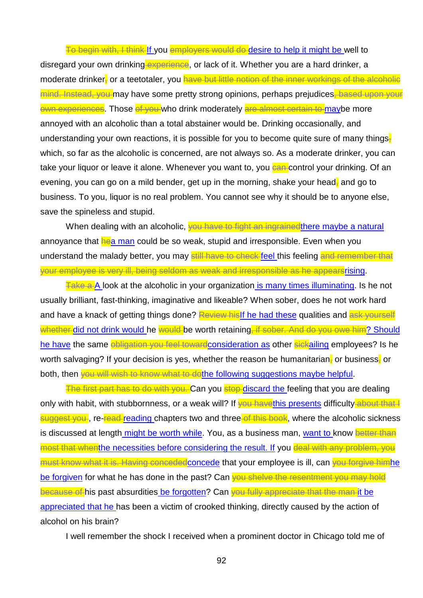To begin with, I think If you employers would do desire to help it might be well to disregard your own drinking experience, or lack of it. Whether you are a hard drinker, a moderate drinker<sup>-</sup> or a teetotaler, you have but little notion of the inner workings of the alcoholic mind. Instead, you may have some pretty strong opinions, perhaps prejudices, based upon your own experiences. Those of you who drink moderately are almost certain to maybe more annoyed with an alcoholic than a total abstainer would be. Drinking occasionally, and understanding your own reactions, it is possible for you to become quite sure of many things. which, so far as the alcoholic is concerned, are not always so. As a moderate drinker, you can take your liquor or leave it alone. Whenever you want to, you can control your drinking. Of an evening, you can go on a mild bender, get up in the morning, shake your head, and go to business. To you, liquor is no real problem. You cannot see why it should be to anyone else, save the spineless and stupid.

When dealing with an alcoholic, you have to fight an ingrained there maybe a natural annoyance that hea man could be so weak, stupid and irresponsible. Even when you understand the malady better, you may still have to check feel this feeling and remember that your employee is very ill, being seldom as weak and irresponsible as he appearsrising.

Take a A look at the alcoholic in your organization is many times illuminating. Is he not usually brilliant, fast-thinking, imaginative and likeable? When sober, does he not work hard and have a knack of getting things done? Review hisIf he had these qualities and ask yourself whether did not drink would he would be worth retaining, if sober. And do you owe him? Should he have the same obligation you feel toward consideration as other sickailing employees? Is he worth salvaging? If your decision is yes, whether the reason be humanitarian, or business, or both, then you will wish to know what to dothe following suggestions maybe helpful.

The first part has to do with you. Can you stop discard the feeling that you are dealing only with habit, with stubbornness, or a weak will? If vou have this presents difficulty about that I suggest you, re-read reading chapters two and three of this book, where the alcoholic sickness is discussed at length might be worth while. You, as a business man, want to know better than most that whenthe necessities before considering the result. If you deal with any problem, you must know what it is. Having conceded concede that your employee is ill, can vou forgive himhe be forgiven for what he has done in the past? Can vou shelve the resentment you may hold because of his past absurdities be forgotten? Can you fully appreciate that the man it be appreciated that he has been a victim of crooked thinking, directly caused by the action of alcohol on his brain?

I well remember the shock I received when a prominent doctor in Chicago told me of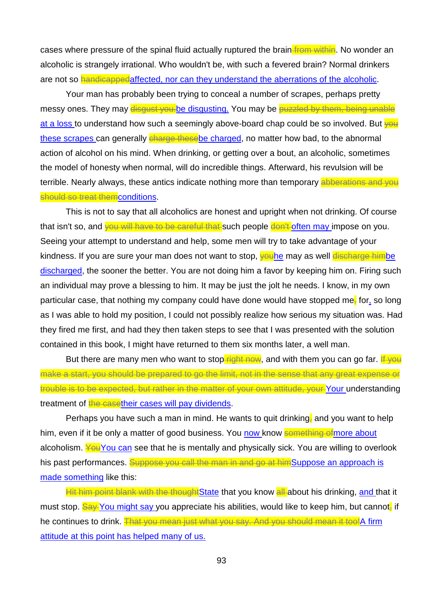cases where pressure of the spinal fluid actually ruptured the brain *from within*. No wonder an alcoholic is strangely irrational. Who wouldn't be, with such a fevered brain? Normal drinkers are not so handicapped affected, nor can they understand the aberrations of the alcoholic.

Your man has probably been trying to conceal a number of scrapes, perhaps pretty messy ones. They may disgust you, be disgusting. You may be puzzled by them, being unable at a loss to understand how such a seemingly above-board chap could be so involved. But vou these scrapes can generally charge thesebe charged, no matter how bad, to the abnormal action of alcohol on his mind. When drinking, or getting over a bout, an alcoholic, sometimes the model of honesty when normal, will do incredible things. Afterward, his revulsion will be terrible. Nearly always, these antics indicate nothing more than temporary abberations and you should so treat them conditions.

This is not to say that all alcoholics are honest and upright when not drinking. Of course that isn't so, and you will have to be careful that such people don't often may impose on you. Seeing your attempt to understand and help, some men will try to take advantage of your kindness. If you are sure your man does not want to stop, youhe may as well discharge himbe discharged, the sooner the better. You are not doing him a favor by keeping him on. Firing such an individual may prove a blessing to him. It may be just the jolt he needs. I know, in my own particular case, that nothing my company could have done would have stopped me<sub>r</sub> for, so long as I was able to hold my position, I could not possibly realize how serious my situation was. Had they fired me first, and had they then taken steps to see that I was presented with the solution contained in this book, I might have returned to them six months later, a well man.

But there are many men who want to stop right now, and with them you can go far. If you make a start, you should be prepared to go the limit, not in the sense that any great expense or trouble is to be expected, but rather in the matter of your own attitude, your Your understanding treatment of the casetheir cases will pay dividends.

Perhaps you have such a man in mind. He wants to quit drinking- and you want to help him, even if it be only a matter of good business. You now know something ofmore about alcoholism. You can see that he is mentally and physically sick. You are willing to overlook his past performances. Suppose you call the man in and go at him Suppose an approach is made something like this:

Hit him point blank with the thought State that you know all about his drinking, and that it must stop. Say You might say you appreciate his abilities, would like to keep him, but cannot, if he continues to drink. That you mean just what you say. And you should mean it too!A firm attitude at this point has helped many of us.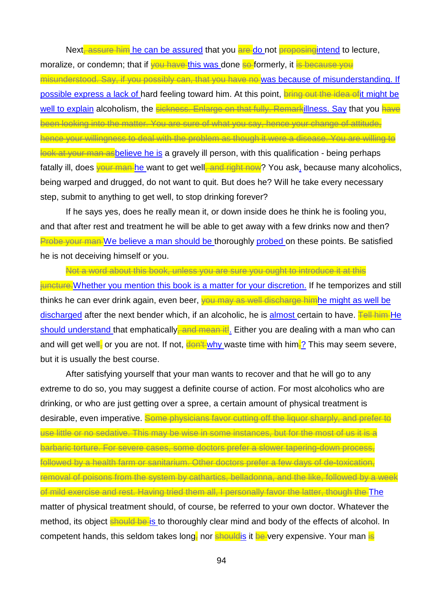Next<del>, assure him</del> he can be assured that you are do not proposing intend to lecture, moralize, or condemn; that if you have this was done so formerly, it is because you misunderstood. Say, if you possibly can, that you have no was because of misunderstanding. If possible express a lack of hard feeling toward him. At this point, bring out the idea of it might be well to explain alcoholism, the sickness. Enlarge on that fully. Remarkillness. Say that you have been looking into the matter. You are sure of what you say, hence your change of attitude, hence your willingness to deal with the problem as though it were a disease. You are willing to look at your man asbelieve he is a gravely ill person, with this qualification - being perhaps fatally ill, does vour man he want to get well, and right now? You ask, because many alcoholics, being warped and drugged, do not want to quit. But does he? Will he take every necessary step, submit to anything to get well, to stop drinking forever?

If he says yes, does he really mean it, or down inside does he think he is fooling you, and that after rest and treatment he will be able to get away with a few drinks now and then? **Probe your man** We believe a man should be thoroughly probed on these points. Be satisfied he is not deceiving himself or you.

Not a word about this book, unless you are sure you ought to introduce it at this juncture. Whether you mention this book is a matter for your discretion. If he temporizes and still thinks he can ever drink again, even beer, vou may as well discharge himhe might as well be discharged after the next bender which, if an alcoholic, he is almost certain to have.  $\overline{\text{FeH him}}$ He should understand that emphatically, and mean it. Either you are dealing with a man who can and will get well, or you are not. If not,  $\frac{d\Theta n}{d}$  why waste time with him. ? This may seem severe, but it is usually the best course.

After satisfying yourself that your man wants to recover and that he will go to any extreme to do so, you may suggest a definite course of action. For most alcoholics who are drinking, or who are just getting over a spree, a certain amount of physical treatment is desirable, even imperative. Some physicians favor cutting off the liquor sharply, and prefer to use little or no sedative. This may be wise in some instances, but for the most of us it is a barbaric torture. For severe cases, some doctors prefer a slower tapering-down process, followed by a health farm or sanitarium. Other doctors prefer a few days of de-toxication, removal of poisons from the system by cathartics, belladonna, and the like, followed by a week of mild exercise and rest. Having tried them all, I personally favor the latter, though the The matter of physical treatment should, of course, be referred to your own doctor. Whatever the method, its object should be is to thoroughly clear mind and body of the effects of alcohol. In competent hands, this seldom takes long, nor should is it be very expensive. Your man is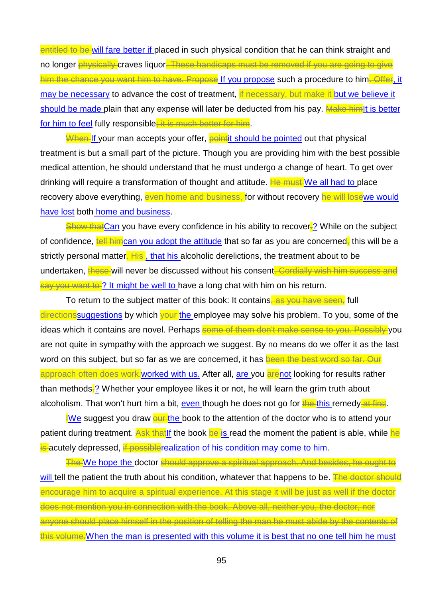entitled to be will fare better if placed in such physical condition that he can think straight and no longer physically craves liquor. These handicaps must be removed if you are going to give him the chance you want him to have. Propose If you propose such a procedure to him. Offer, it may be necessary to advance the cost of treatment, if necessary, but make it but we believe it should be made plain that any expense will later be deducted from his pay. Make him it is better for him to feel fully responsible. It is much better for him.

When If your man accepts your offer, point it should be pointed out that physical treatment is but a small part of the picture. Though you are providing him with the best possible medical attention, he should understand that he must undergo a change of heart. To get over drinking will require a transformation of thought and attitude. He must We all had to place recovery above everything, even home and business, for without recovery he will lose we would have lost both home and business.

Show that Can you have every confidence in his ability to recover<sup>1</sup>? While on the subject of confidence, tell himcan you adopt the attitude that so far as you are concerned, this will be a strictly personal matter. His, that his alcoholic derelictions, the treatment about to be undertaken, these will never be discussed without his consent. Cordially wish him success and  $s$ ay you want to ? It might be well to have a long chat with him on his return.

To return to the subject matter of this book: It contains, as you have seen, full directions suggestions by which vour the employee may solve his problem. To you, some of the ideas which it contains are novel. Perhaps some of them don't make sense to you. Possibly you are not quite in sympathy with the approach we suggest. By no means do we offer it as the last word on this subject, but so far as we are concerned, it has been the best word so far. Our approach often does work. worked with us. After all, are you arenot looking for results rather than methods<sup>2</sup>? Whether your employee likes it or not, he will learn the grim truth about alcoholism. That won't hurt him a bit, even though he does not go for the this remedy at first.

**IWe suggest you draw our the book to the attention of the doctor who is to attend your** patient during treatment. Ask that If the book be is read the moment the patient is able, while he is acutely depressed, if possible realization of his condition may come to him.

The We hope the doctor should approve a spiritual approach. And besides, he ought to will tell the patient the truth about his condition, whatever that happens to be. The doctor should encourage him to acquire a spiritual experience. At this stage it will be just as well if the doctor does not mention you in connection with the book. Above all, neither you, the doctor, nor anyone should place himself in the position of telling the man he must abide by the contents of this volume. When the man is presented with this volume it is best that no one tell him he must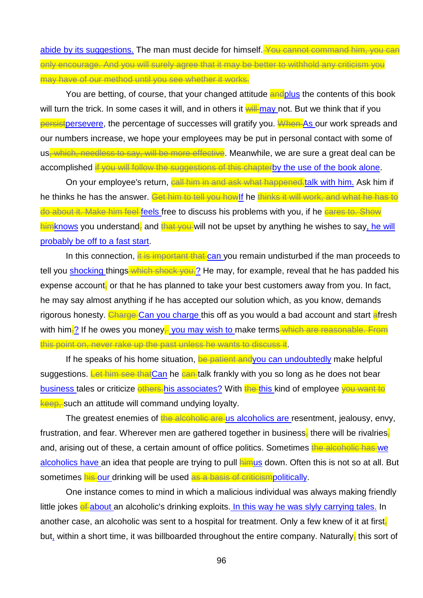abide by its suggestions. The man must decide for himself. You cannot command him, you can only encourage. And you will surely agree that it may be better to withhold any criticism you may have of our method until you see whether it works.

You are betting, of course, that your changed attitude and plus the contents of this book will turn the trick. In some cases it will, and in others it will may not. But we think that if you persistpersevere, the percentage of successes will gratify you. When As our work spreads and our numbers increase, we hope your employees may be put in personal contact with some of us, which, needless to say, will be more effective. Meanwhile, we are sure a great deal can be accomplished if you will follow the suggestions of this chapterby the use of the book alone.

On your employee's return, call him in and ask what happened talk with him. Ask him if he thinks he has the answer. Get him to tell you howIf he thinks it will work, and what he has to do about it. Make him feel feels free to discuss his problems with you, if he cares to. Show himknows you understand, and that you will not be upset by anything he wishes to say, he will probably be off to a fast start.

In this connection, it is important that can you remain undisturbed if the man proceeds to tell you shocking things which shock you.? He may, for example, reveal that he has padded his expense account<sup>-</sup> or that he has planned to take your best customers away from you. In fact, he may say almost anything if he has accepted our solution which, as you know, demands rigorous honesty. Charge Can you charge this off as you would a bad account and start afresh with him.<sup>?</sup> If he owes you money, you may wish to make terms which are reasonable. From this point on, never rake up the past unless he wants to discuss it.

If he speaks of his home situation, be patient and you can undoubtedly make helpful suggestions. Let him see that Can he can talk frankly with you so long as he does not bear business tales or criticize others-his associates? With the this kind of employee you want to keep, such an attitude will command undying loyalty.

The greatest enemies of the alcoholic are us alcoholics are resentment, jealousy, envy, frustration, and fear. Wherever men are gathered together in business, there will be rivalries. and, arising out of these, a certain amount of office politics. Sometimes the alcoholic has we alcoholics have an idea that people are trying to pull **himus** down. Often this is not so at all. But sometimes his our drinking will be used as a basis of criticism politically.

One instance comes to mind in which a malicious individual was always making friendly little jokes of about an alcoholic's drinking exploits. In this way he was slyly carrying tales. In another case, an alcoholic was sent to a hospital for treatment. Only a few knew of it at firstbut, within a short time, it was billboarded throughout the entire company. Naturally, this sort of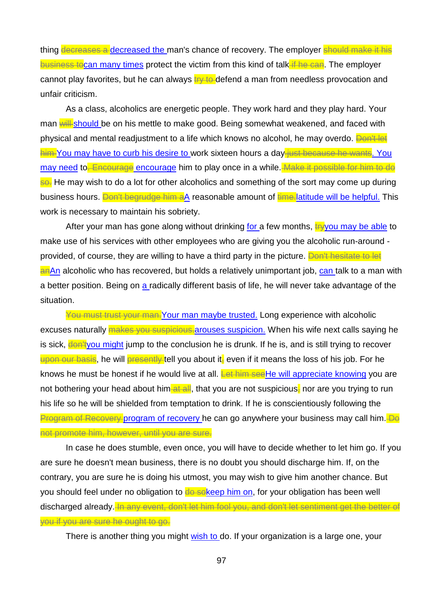thing decreases a decreased the man's chance of recovery. The employer should make it his business to can many times protect the victim from this kind of talk if he can. The employer cannot play favorites, but he can always try to defend a man from needless provocation and unfair criticism.

As a class, alcoholics are energetic people. They work hard and they play hard. Your man will should be on his mettle to make good. Being somewhat weakened, and faced with physical and mental readjustment to a life which knows no alcohol, he may overdo. Don't let him You may have to curb his desire to work sixteen hours a day-just because he wants. You may need to. Encourage encourage him to play once in a while. Make it possible for him to do so. He may wish to do a lot for other alcoholics and something of the sort may come up during business hours. Don't begrudge him aA reasonable amount of time. at at turn be helpful. This work is necessary to maintain his sobriety.

After your man has gone along without drinking for a few months, **tryyou may be able to** make use of his services with other employees who are giving you the alcoholic run-around provided, of course, they are willing to have a third party in the picture. Don't hesitate to let anAn alcoholic who has recovered, but holds a relatively unimportant job, can talk to a man with a better position. Being on a radically different basis of life, he will never take advantage of the situation.

You must trust your man.Your man maybe trusted. Long experience with alcoholic excuses naturally makes you suspicious arouses suspicion. When his wife next calls saying he is sick, **don'tyou might jump to the conclusion he is drunk**. If he is, and is still trying to recover upon our basis, he will presently tell you about it, even if it means the loss of his job. For he knows he must be honest if he would live at all. Let him see He will appreciate knowing you are not bothering your head about him at all, that you are not suspicious, nor are you trying to run his life so he will be shielded from temptation to drink. If he is conscientiously following the Program of Recovery program of recovery he can go anywhere your business may call him. Do not promote him, however, until you are sure.

In case he does stumble, even once, you will have to decide whether to let him go. If you are sure he doesn't mean business, there is no doubt you should discharge him. If, on the contrary, you are sure he is doing his utmost, you may wish to give him another chance. But you should feel under no obligation to do sokeep him on, for your obligation has been well discharged already. In any event, don't let him fool you, and don't let sentiment get the better of you if you are sure he ought to go.

There is another thing you might wish to do. If your organization is a large one, your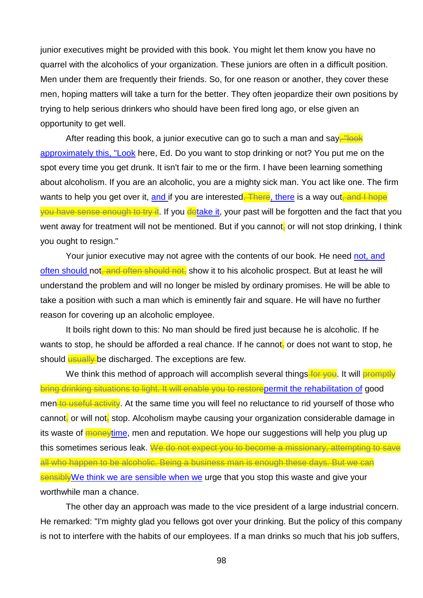junior executives might be provided with this book. You might let them know you have no quarrel with the alcoholics of your organization. These juniors are often in a difficult position. Men under them are frequently their friends. So, for one reason or another, they cover these men, hoping matters will take a turn for the better. They often jeopardize their own positions by trying to help serious drinkers who should have been fired long ago, or else given an opportunity to get well.

After reading this book, a junior executive can go to such a man and say. "look approximately this, "Look here, Ed. Do you want to stop drinking or not? You put me on the spot every time you get drunk. It isn't fair to me or the firm. I have been learning something about alcoholism. If you are an alcoholic, you are a mighty sick man. You act like one. The firm wants to help you get over it, and if you are interested. There, there is a way out, and I hope you have sense enough to try it. If you dotake it, your past will be forgotten and the fact that you went away for treatment will not be mentioned. But if you cannot, or will not stop drinking, I think you ought to resign."

Your junior executive may not agree with the contents of our book. He need not, and often should not, and often should not, show it to his alcoholic prospect. But at least he will understand the problem and will no longer be misled by ordinary promises. He will be able to take a position with such a man which is eminently fair and square. He will have no further reason for covering up an alcoholic employee.

It boils right down to this: No man should be fired just because he is alcoholic. If he wants to stop, he should be afforded a real chance. If he cannot or does not want to stop, he should usually be discharged. The exceptions are few.

We think this method of approach will accomplish several things for you. It will promptly bring drinking situations to light. It will enable you to restorepermit the rehabilitation of good men to useful activity. At the same time you will feel no reluctance to rid yourself of those who cannot, or will not, stop. Alcoholism maybe causing your organization considerable damage in its waste of **moneytime**, men and reputation. We hope our suggestions will help you plug up this sometimes serious leak. We do not expect you to become a missionary, attempting to save all who happen to be alcoholic. Being a business man is enough these days. But we can sensibly We think we are sensible when we urge that you stop this waste and give your worthwhile man a chance.

The other day an approach was made to the vice president of a large industrial concern. He remarked: "I'm mighty glad you fellows got over your drinking. But the policy of this company is not to interfere with the habits of our employees. If a man drinks so much that his job suffers,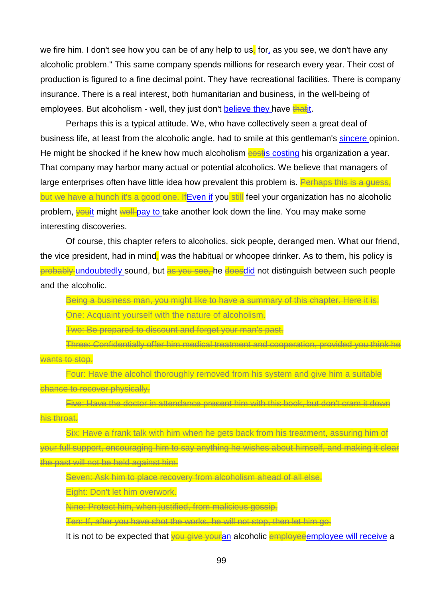we fire him. I don't see how you can be of any help to us<sup>t</sup> for, as you see, we don't have any alcoholic problem." This same company spends millions for research every year. Their cost of production is figured to a fine decimal point. They have recreational facilities. There is company insurance. There is a real interest, both humanitarian and business, in the well-being of employees. But alcoholism - well, they just don't believe they have that it.

Perhaps this is a typical attitude. We, who have collectively seen a great deal of business life, at least from the alcoholic angle, had to smile at this gentleman's sincere opinion. He might be shocked if he knew how much alcoholism costing his organization a year. That company may harbor many actual or potential alcoholics. We believe that managers of large enterprises often have little idea how prevalent this problem is. Perhaps this is a guess, but we have a hunch it's a good one. If Even if you still feel your organization has no alcoholic problem, youth might well pay to take another look down the line. You may make some interesting discoveries.

Of course, this chapter refers to alcoholics, sick people, deranged men. What our friend, the vice president, had in mind-was the habitual or whoopee drinker. As to them, his policy is **probably undoubtedly sound, but as you see, he doesdid not distinguish between such people** and the alcoholic.

Being a business man, you might like to have a summary of this chapter. Here it is:

One: Acquaint yourself with the nature of alcoholism.

Two: Be prepared to discount and forget your man's past.

Three: Confidentially offer him medical treatment and cooperation, provided you think he wants to stop.

Four: Have the alcohol thoroughly removed from his system and give him a suitable chance to recover physically.

Five: Have the doctor in attendance present him with this book, but don't cram it down his throat.

Six: Have a frank talk with him when he gets back from his treatment, assuring him of your full support, encouraging him to say anything he wishes about himself, and making it clear the past will not be held against him.

Seven: Ask him to place recovery from alcoholism ahead of all else.

Eight: Don't let him overwork.

Nine: Protect him, when justified, from malicious gossip.

Ten: If, after you have shot the works, he will not stop, then let him go.

It is not to be expected that vou give youran alcoholic employeeemployee will receive a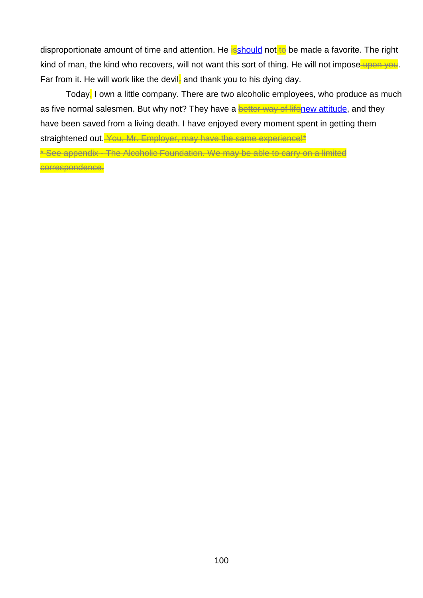disproportionate amount of time and attention. He **isshould not to** be made a favorite. The right kind of man, the kind who recovers, will not want this sort of thing. He will not impose upon you. Far from it. He will work like the devil<sub>i</sub> and thank you to his dying day.

Today, I own a little company. There are two alcoholic employees, who produce as much as five normal salesmen. But why not? They have a **better way of lifenew attitude**, and they have been saved from a living death. I have enjoyed every moment spent in getting them straightened out. You, Mr. Employer, may have the same experience!\* \* See appendix - The Alcoholic Foundation. We may be able to carry on a limited correspondence.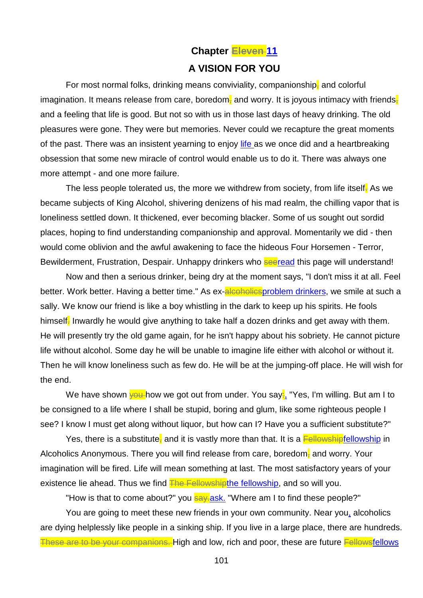# **Chapter Eleven 11**

## **A VISION FOR YOU**

For most normal folks, drinking means conviviality, companionship<sub> $\frac{1}{2}$ </sub> and colorful imagination. It means release from care, boredom, and worry. It is joyous intimacy with friends, and a feeling that life is good. But not so with us in those last days of heavy drinking. The old pleasures were gone. They were but memories. Never could we recapture the great moments of the past. There was an insistent yearning to enjoy life as we once did and a heartbreaking obsession that some new miracle of control would enable us to do it. There was always one more attempt - and one more failure.

The less people tolerated us, the more we withdrew from society, from life itself. As we became subjects of King Alcohol, shivering denizens of his mad realm, the chilling vapor that is loneliness settled down. It thickened, ever becoming blacker. Some of us sought out sordid places, hoping to find understanding companionship and approval. Momentarily we did - then would come oblivion and the awful awakening to face the hideous Four Horsemen - Terror, Bewilderment, Frustration, Despair. Unhappy drinkers who seeread this page will understand!

Now and then a serious drinker, being dry at the moment says, "I don't miss it at all. Feel better. Work better. Having a better time." As ex-alcoholics problem drinkers, we smile at such a sally. We know our friend is like a boy whistling in the dark to keep up his spirits. He fools himself. Inwardly he would give anything to take half a dozen drinks and get away with them. He will presently try the old game again, for he isn't happy about his sobriety. He cannot picture life without alcohol. Some day he will be unable to imagine life either with alcohol or without it. Then he will know loneliness such as few do. He will be at the jumping-off place. He will wish for the end.

We have shown **you** how we got out from under. You say: "Yes, I'm willing. But am I to be consigned to a life where I shall be stupid, boring and glum, like some righteous people I see? I know I must get along without liquor, but how can I? Have you a sufficient substitute?"

Yes, there is a substitute, and it is vastly more than that. It is a **Fellowshipfellowship in** Alcoholics Anonymous. There you will find release from care, boredom, and worry. Your imagination will be fired. Life will mean something at last. The most satisfactory years of your existence lie ahead. Thus we find The Fellowshipthe fellowship, and so will you.

"How is that to come about?" you say ask. "Where am I to find these people?"

You are going to meet these new friends in your own community. Near you, alcoholics are dying helplessly like people in a sinking ship. If you live in a large place, there are hundreds. These are to be your companions. High and low, rich and poor, these are future **Fellows** fellows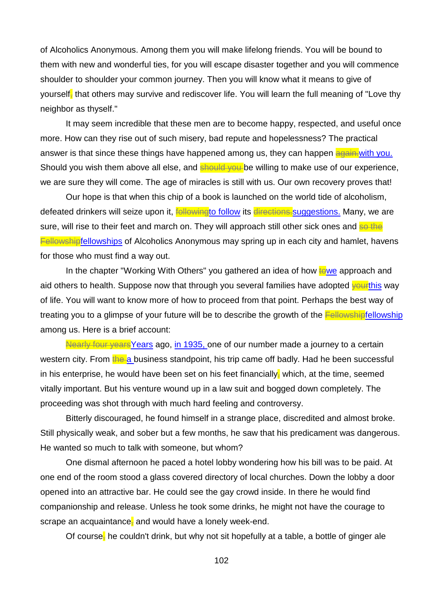of Alcoholics Anonymous. Among them you will make lifelong friends. You will be bound to them with new and wonderful ties, for you will escape disaster together and you will commence shoulder to shoulder your common journey. Then you will know what it means to give of yourself, that others may survive and rediscover life. You will learn the full meaning of "Love thy neighbor as thyself."

It may seem incredible that these men are to become happy, respected, and useful once more. How can they rise out of such misery, bad repute and hopelessness? The practical answer is that since these things have happened among us, they can happen again.with you. Should you wish them above all else, and **should you** be willing to make use of our experience, we are sure they will come. The age of miracles is still with us. Our own recovery proves that!

Our hope is that when this chip of a book is launched on the world tide of alcoholism, defeated drinkers will seize upon it, **followingto follow its directions** suggestions. Many, we are sure, will rise to their feet and march on. They will approach still other sick ones and so the Fellowshipfellowships of Alcoholics Anonymous may spring up in each city and hamlet, havens for those who must find a way out.

In the chapter "Working With Others" you gathered an idea of how to approach and aid others to health. Suppose now that through you several families have adopted vourthis way of life. You will want to know more of how to proceed from that point. Perhaps the best way of treating you to a glimpse of your future will be to describe the growth of the **Fellowshipfellowship** among us. Here is a brief account:

Nearly four years Years ago, in 1935, one of our number made a journey to a certain western city. From the a business standpoint, his trip came off badly. Had he been successful in his enterprise, he would have been set on his feet financially, which, at the time, seemed vitally important. But his venture wound up in a law suit and bogged down completely. The proceeding was shot through with much hard feeling and controversy.

Bitterly discouraged, he found himself in a strange place, discredited and almost broke. Still physically weak, and sober but a few months, he saw that his predicament was dangerous. He wanted so much to talk with someone, but whom?

One dismal afternoon he paced a hotel lobby wondering how his bill was to be paid. At one end of the room stood a glass covered directory of local churches. Down the lobby a door opened into an attractive bar. He could see the gay crowd inside. In there he would find companionship and release. Unless he took some drinks, he might not have the courage to scrape an acquaintance, and would have a lonely week-end.

Of course, he couldn't drink, but why not sit hopefully at a table, a bottle of ginger ale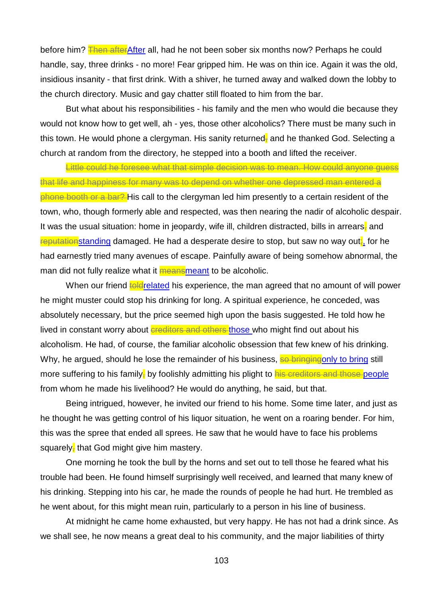before him? Then afterAfter all, had he not been sober six months now? Perhaps he could handle, say, three drinks - no more! Fear gripped him. He was on thin ice. Again it was the old, insidious insanity - that first drink. With a shiver, he turned away and walked down the lobby to the church directory. Music and gay chatter still floated to him from the bar.

But what about his responsibilities - his family and the men who would die because they would not know how to get well, ah - yes, those other alcoholics? There must be many such in this town. He would phone a clergyman. His sanity returned, and he thanked God. Selecting a church at random from the directory, he stepped into a booth and lifted the receiver.

Little could he foresee what that simple decision was to mean. How could anyone guess that life and happiness for many was to depend on whether one depressed man entered a phone booth or a bar? His call to the clergyman led him presently to a certain resident of the town, who, though formerly able and respected, was then nearing the nadir of alcoholic despair. It was the usual situation: home in jeopardy, wife ill, children distracted, bills in arrears, and reputationstanding damaged. He had a desperate desire to stop, but saw no way out. for he had earnestly tried many avenues of escape. Painfully aware of being somehow abnormal, the man did not fully realize what it means meant to be alcoholic.

When our friend toldrelated his experience, the man agreed that no amount of will power he might muster could stop his drinking for long. A spiritual experience, he conceded, was absolutely necessary, but the price seemed high upon the basis suggested. He told how he lived in constant worry about creditors and others those who might find out about his alcoholism. He had, of course, the familiar alcoholic obsession that few knew of his drinking. Why, he argued, should he lose the remainder of his business, so bringing only to bring still more suffering to his family, by foolishly admitting his plight to his creditors and those people from whom he made his livelihood? He would do anything, he said, but that.

Being intrigued, however, he invited our friend to his home. Some time later, and just as he thought he was getting control of his liquor situation, he went on a roaring bender. For him, this was the spree that ended all sprees. He saw that he would have to face his problems squarely, that God might give him mastery.

One morning he took the bull by the horns and set out to tell those he feared what his trouble had been. He found himself surprisingly well received, and learned that many knew of his drinking. Stepping into his car, he made the rounds of people he had hurt. He trembled as he went about, for this might mean ruin, particularly to a person in his line of business.

At midnight he came home exhausted, but very happy. He has not had a drink since. As we shall see, he now means a great deal to his community, and the major liabilities of thirty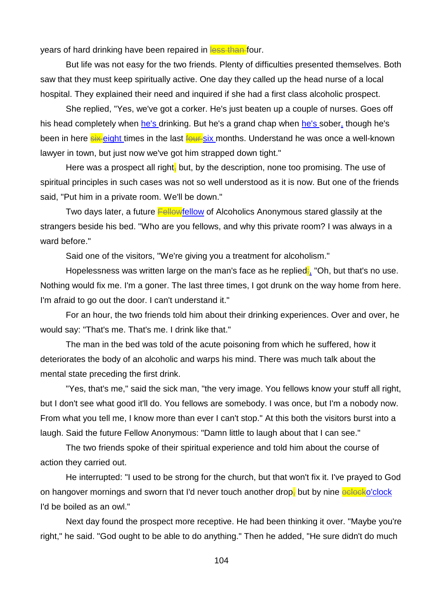years of hard drinking have been repaired in less than four.

But life was not easy for the two friends. Plenty of difficulties presented themselves. Both saw that they must keep spiritually active. One day they called up the head nurse of a local hospital. They explained their need and inquired if she had a first class alcoholic prospect.

She replied, "Yes, we've got a corker. He's just beaten up a couple of nurses. Goes off his head completely when he's drinking. But he's a grand chap when he's sober, though he's been in here six eight times in the last **four six months. Understand he was once a well-known** lawyer in town, but just now we've got him strapped down tight."

Here was a prospect all right. but, by the description, none too promising. The use of spiritual principles in such cases was not so well understood as it is now. But one of the friends said, "Put him in a private room. We'll be down."

Two days later, a future **Fellowfellow of Alcoholics Anonymous stared glassily at the** strangers beside his bed. "Who are you fellows, and why this private room? I was always in a ward before."

Said one of the visitors, "We're giving you a treatment for alcoholism."

Hopelessness was written large on the man's face as he replied<sup>-</sup>, "Oh, but that's no use. Nothing would fix me. I'm a goner. The last three times, I got drunk on the way home from here. I'm afraid to go out the door. I can't understand it."

For an hour, the two friends told him about their drinking experiences. Over and over, he would say: "That's me. That's me. I drink like that."

The man in the bed was told of the acute poisoning from which he suffered, how it deteriorates the body of an alcoholic and warps his mind. There was much talk about the mental state preceding the first drink.

"Yes, that's me," said the sick man, "the very image. You fellows know your stuff all right, but I don't see what good it'll do. You fellows are somebody. I was once, but I'm a nobody now. From what you tell me, I know more than ever I can't stop." At this both the visitors burst into a laugh. Said the future Fellow Anonymous: "Damn little to laugh about that I can see."

The two friends spoke of their spiritual experience and told him about the course of action they carried out.

He interrupted: "I used to be strong for the church, but that won't fix it. I've prayed to God on hangover mornings and sworn that I'd never touch another drop<sub>r</sub> but by nine **eclock**<sup>o'clock</sup> I'd be boiled as an owl."

Next day found the prospect more receptive. He had been thinking it over. "Maybe you're right," he said. "God ought to be able to do anything." Then he added, "He sure didn't do much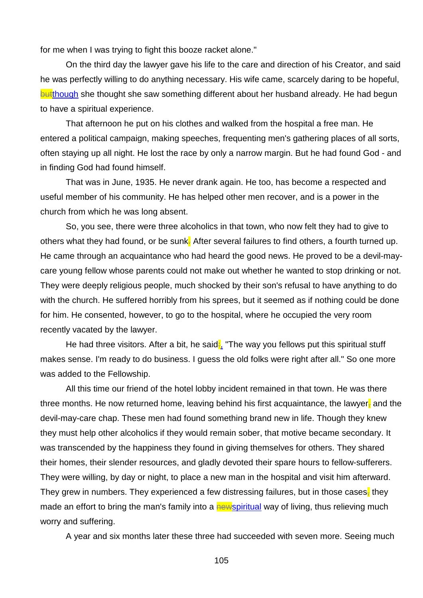for me when I was trying to fight this booze racket alone."

On the third day the lawyer gave his life to the care and direction of his Creator, and said he was perfectly willing to do anything necessary. His wife came, scarcely daring to be hopeful, butthough she thought she saw something different about her husband already. He had begun to have a spiritual experience.

That afternoon he put on his clothes and walked from the hospital a free man. He entered a political campaign, making speeches, frequenting men's gathering places of all sorts, often staying up all night. He lost the race by only a narrow margin. But he had found God - and in finding God had found himself.

That was in June, 1935. He never drank again. He too, has become a respected and useful member of his community. He has helped other men recover, and is a power in the church from which he was long absent.

So, you see, there were three alcoholics in that town, who now felt they had to give to others what they had found, or be sunk. After several failures to find others, a fourth turned up. He came through an acquaintance who had heard the good news. He proved to be a devil-maycare young fellow whose parents could not make out whether he wanted to stop drinking or not. They were deeply religious people, much shocked by their son's refusal to have anything to do with the church. He suffered horribly from his sprees, but it seemed as if nothing could be done for him. He consented, however, to go to the hospital, where he occupied the very room recently vacated by the lawyer.

He had three visitors. After a bit, he said $\frac{1}{2}$ . "The way you fellows put this spiritual stuff makes sense. I'm ready to do business. I guess the old folks were right after all." So one more was added to the Fellowship.

All this time our friend of the hotel lobby incident remained in that town. He was there three months. He now returned home, leaving behind his first acquaintance, the lawyer, and the devil-may-care chap. These men had found something brand new in life. Though they knew they must help other alcoholics if they would remain sober, that motive became secondary. It was transcended by the happiness they found in giving themselves for others. They shared their homes, their slender resources, and gladly devoted their spare hours to fellow-sufferers. They were willing, by day or night, to place a new man in the hospital and visit him afterward. They grew in numbers. They experienced a few distressing failures, but in those cases they made an effort to bring the man's family into a newspiritual way of living, thus relieving much worry and suffering.

A year and six months later these three had succeeded with seven more. Seeing much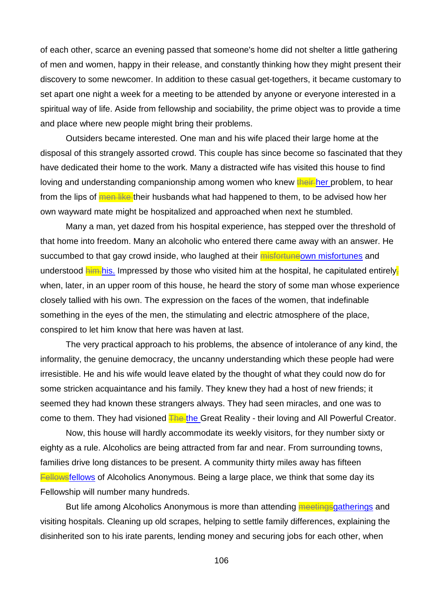of each other, scarce an evening passed that someone's home did not shelter a little gathering of men and women, happy in their release, and constantly thinking how they might present their discovery to some newcomer. In addition to these casual get-togethers, it became customary to set apart one night a week for a meeting to be attended by anyone or everyone interested in a spiritual way of life. Aside from fellowship and sociability, the prime object was to provide a time and place where new people might bring their problems.

Outsiders became interested. One man and his wife placed their large home at the disposal of this strangely assorted crowd. This couple has since become so fascinated that they have dedicated their home to the work. Many a distracted wife has visited this house to find loving and understanding companionship among women who knew their her problem, to hear from the lips of men like their husbands what had happened to them, to be advised how her own wayward mate might be hospitalized and approached when next he stumbled.

Many a man, yet dazed from his hospital experience, has stepped over the threshold of that home into freedom. Many an alcoholic who entered there came away with an answer. He succumbed to that gay crowd inside, who laughed at their misfortuneown misfortunes and understood  $\frac{h}{m}$  his. Impressed by those who visited him at the hospital, he capitulated entirely, when, later, in an upper room of this house, he heard the story of some man whose experience closely tallied with his own. The expression on the faces of the women, that indefinable something in the eyes of the men, the stimulating and electric atmosphere of the place, conspired to let him know that here was haven at last.

The very practical approach to his problems, the absence of intolerance of any kind, the informality, the genuine democracy, the uncanny understanding which these people had were irresistible. He and his wife would leave elated by the thought of what they could now do for some stricken acquaintance and his family. They knew they had a host of new friends; it seemed they had known these strangers always. They had seen miracles, and one was to come to them. They had visioned The the Great Reality - their loving and All Powerful Creator.

Now, this house will hardly accommodate its weekly visitors, for they number sixty or eighty as a rule. Alcoholics are being attracted from far and near. From surrounding towns, families drive long distances to be present. A community thirty miles away has fifteen **Fellows** fellows of Alcoholics Anonymous. Being a large place, we think that some day its Fellowship will number many hundreds.

But life among Alcoholics Anonymous is more than attending **meetings** gatherings and visiting hospitals. Cleaning up old scrapes, helping to settle family differences, explaining the disinherited son to his irate parents, lending money and securing jobs for each other, when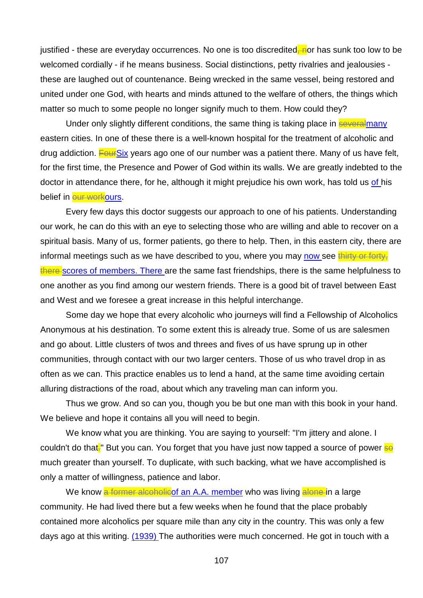justified - these are everyday occurrences. No one is too discredited—nor has sunk too low to be welcomed cordially - if he means business. Social distinctions, petty rivalries and jealousies these are laughed out of countenance. Being wrecked in the same vessel, being restored and united under one God, with hearts and minds attuned to the welfare of others, the things which matter so much to some people no longer signify much to them. How could they?

Under only slightly different conditions, the same thing is taking place in severalmany eastern cities. In one of these there is a well-known hospital for the treatment of alcoholic and drug addiction. **FourSix** years ago one of our number was a patient there. Many of us have felt, for the first time, the Presence and Power of God within its walls. We are greatly indebted to the doctor in attendance there, for he, although it might prejudice his own work, has told us of his belief in **our workours**.

Every few days this doctor suggests our approach to one of his patients. Understanding our work, he can do this with an eye to selecting those who are willing and able to recover on a spiritual basis. Many of us, former patients, go there to help. Then, in this eastern city, there are informal meetings such as we have described to you, where you may now see thirty or forty, there-scores of members. There are the same fast friendships, there is the same helpfulness to one another as you find among our western friends. There is a good bit of travel between East and West and we foresee a great increase in this helpful interchange.

Some day we hope that every alcoholic who journeys will find a Fellowship of Alcoholics Anonymous at his destination. To some extent this is already true. Some of us are salesmen and go about. Little clusters of twos and threes and fives of us have sprung up in other communities, through contact with our two larger centers. Those of us who travel drop in as often as we can. This practice enables us to lend a hand, at the same time avoiding certain alluring distractions of the road, about which any traveling man can inform you.

Thus we grow. And so can you, though you be but one man with this book in your hand. We believe and hope it contains all you will need to begin.

We know what you are thinking. You are saying to yourself: "I'm jittery and alone. I couldn't do that. But you can. You forget that you have just now tapped a source of power so much greater than yourself. To duplicate, with such backing, what we have accomplished is only a matter of willingness, patience and labor.

We know a former alcoholicof an A.A. member who was living alone in a large community. He had lived there but a few weeks when he found that the place probably contained more alcoholics per square mile than any city in the country. This was only a few days ago at this writing. (1939) The authorities were much concerned. He got in touch with a